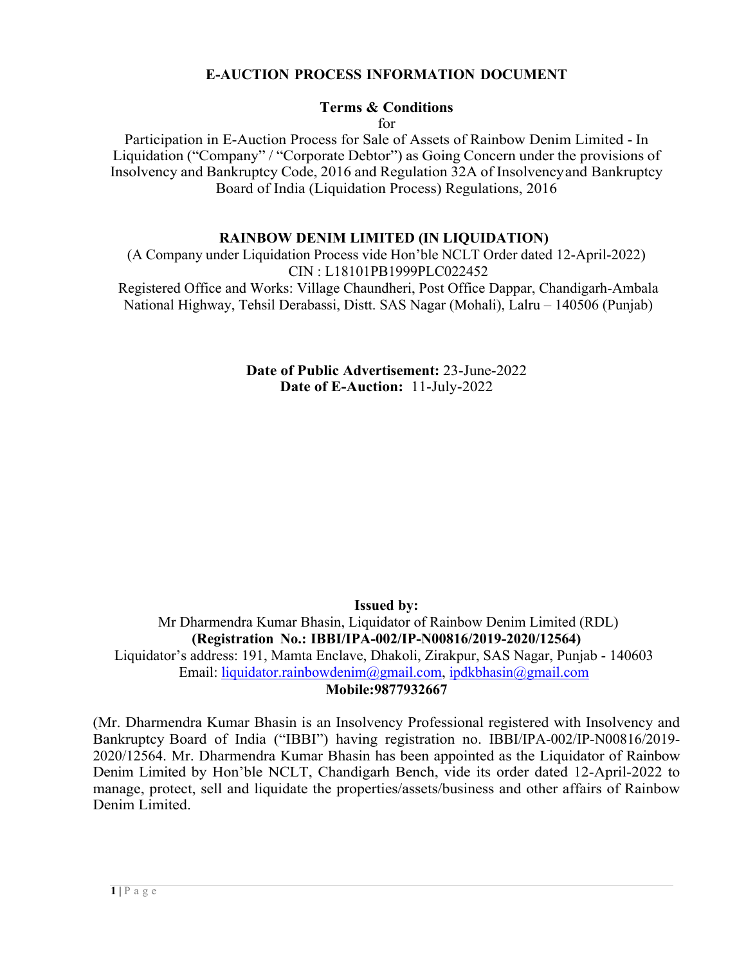#### **E-AUCTION PROCESS INFORMATION DOCUMENT**

# **Terms & Conditions**

for

Participation in E-Auction Process for Sale of Assets of Rainbow Denim Limited - In Liquidation ("Company" / "Corporate Debtor") as Going Concern under the provisions of Insolvency and Bankruptcy Code, 2016 and Regulation 32A of Insolvencyand Bankruptcy Board of India (Liquidation Process) Regulations, 2016

#### **RAINBOW DENIM LIMITED (IN LIQUIDATION)**

(A Company under Liquidation Process vide Hon'ble NCLT Order dated 12-April-2022) CIN : L18101PB1999PLC022452 Registered Office and Works: Village Chaundheri, Post Office Dappar, Chandigarh-Ambala National Highway, Tehsil Derabassi, Distt. SAS Nagar (Mohali), Lalru – 140506 (Punjab)

> **Date of Public Advertisement:** 23-June-2022 **Date of E-Auction:** 11-July-2022

> > **Issued by:**

Mr Dharmendra Kumar Bhasin, Liquidator of Rainbow Denim Limited (RDL) **(Registration No.: IBBI/IPA-002/IP-N00816/2019-2020/12564)** Liquidator's address: 191, Mamta Enclave, Dhakoli, Zirakpur, SAS Nagar, Punjab - 140603 Email: liquidator.rainbowdenim@gmail.com, ipdkbhasin@gmail.com **Mobile:9877932667**

(Mr. Dharmendra Kumar Bhasin is an Insolvency Professional registered with Insolvency and Bankruptcy Board of India ("IBBI") having registration no. IBBI/IPA-002/IP-N00816/2019- 2020/12564. Mr. Dharmendra Kumar Bhasin has been appointed as the Liquidator of Rainbow Denim Limited by Hon'ble NCLT, Chandigarh Bench, vide its order dated 12-April-2022 to manage, protect, sell and liquidate the properties/assets/business and other affairs of Rainbow Denim Limited.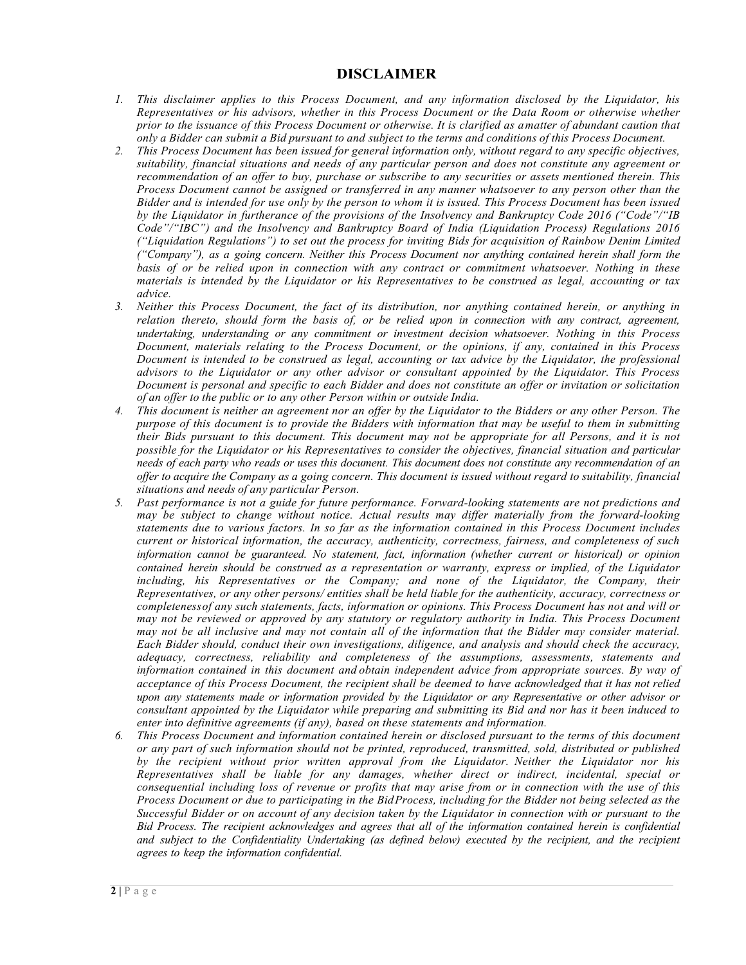#### **DISCLAIMER**

- *1. This disclaimer applies to this Process Document, and any information disclosed by the Liquidator, his Representatives or his advisors, whether in this Process Document or the Data Room or otherwise whether prior to the issuance of this Process Document or otherwise. It is clarified as amatter of abundant caution that*  only a Bidder can submit a Bid pursuant to and subject to the terms and conditions of this Process Document.
- *2. This Process Document has been issued for general information only, without regard to any specific objectives, suitability, financial situations and needs of any particular person and does not constitute any agreement or recommendation of an offer to buy, purchase or subscribe to any securities or assets mentioned therein. This Process Document cannot be assigned or transferred in any manner whatsoever to any person other than the Bidder and is intended for use only by the person to whom it is issued. This Process Document has been issued by the Liquidator in furtherance of the provisions of the Insolvency and Bankruptcy Code 2016 ("Code"/"IB Code"/"IBC") and the Insolvency and Bankruptcy Board of India (Liquidation Process) Regulations 2016 ("Liquidation Regulations") to set out the process for inviting Bids for acquisition of Rainbow Denim Limited ("Company"), as a going concern. Neither this Process Document nor anything contained herein shall form the basis of or be relied upon in connection with any contract or commitment whatsoever. Nothing in these materials is intended by the Liquidator or his Representatives to be construed as legal, accounting or tax advice.*
- *3. Neither this Process Document, the fact of its distribution, nor anything contained herein, or anything in relation thereto, should form the basis of, or be relied upon in connection with any contract, agreement, undertaking, understanding or any commitment or investment decision whatsoever. Nothing in this Process Document, materials relating to the Process Document, or the opinions, if any, contained in this Process Document is intended to be construed as legal, accounting or tax advice by the Liquidator, the professional advisors to the Liquidator or any other advisor or consultant appointed by the Liquidator. This Process Document is personal and specific to each Bidder and does not constitute an offer or invitation or solicitation of an offer to the public or to any other Person within or outside India.*
- *4. This document is neither an agreement nor an offer by the Liquidator to the Bidders or any other Person. The purpose of this document is to provide the Bidders with information that may be useful to them in submitting their Bids pursuant to this document. This document may not be appropriate for all Persons, and it is not possible for the Liquidator or his Representatives to consider the objectives, financial situation and particular needs of each party who reads or uses this document. This document does not constitute any recommendation of an offer to acquire the Company as a going concern. This document is issued without regard to suitability, financial situations and needs of any particular Person.*
- *5. Past performance is not a guide for future performance. Forward-looking statements are not predictions and may be subject to change without notice. Actual results may differ materially from the forward-looking statements due to various factors. In so far as the information contained in this Process Document includes current or historical information, the accuracy, authenticity, correctness, fairness, and completeness of such information cannot be guaranteed. No statement, fact, information (whether current or historical) or opinion contained herein should be construed as a representation or warranty, express or implied, of the Liquidator including, his Representatives or the Company; and none of the Liquidator, the Company, their Representatives, or any other persons/ entities shall be held liable for the authenticity, accuracy, correctness or completenessof any such statements, facts, information or opinions. This Process Document has not and will or may not be reviewed or approved by any statutory or regulatory authority in India. This Process Document may not be all inclusive and may not contain all of the information that the Bidder may consider material. Each Bidder should, conduct their own investigations, diligence, and analysis and should check the accuracy, adequacy, correctness, reliability and completeness of the assumptions, assessments, statements and information contained in this document and obtain independent advice from appropriate sources. By way of acceptance of this Process Document, the recipient shall be deemed to have acknowledged that it has not relied upon any statements made or information provided by the Liquidator or any Representative or other advisor or consultant appointed by the Liquidator while preparing and submitting its Bid and nor has it been induced to enter into definitive agreements (if any), based on these statements and information.*
- *6. This Process Document and information contained herein or disclosed pursuant to the terms of this document or any part of such information should not be printed, reproduced, transmitted, sold, distributed or published by the recipient without prior written approval from the Liquidator. Neither the Liquidator nor his Representatives shall be liable for any damages, whether direct or indirect, incidental, special or consequential including loss of revenue or profits that may arise from or in connection with the use of this Process Document or due to participating in the BidProcess, including for the Bidder not being selected as the* Successful Bidder or on account of any decision taken by the Liquidator in connection with or pursuant to the *Bid Process. The recipient acknowledges and agrees that all of the information contained herein is confidential and subject to the Confidentiality Undertaking (as defined below) executed by the recipient, and the recipient agrees to keep the information confidential.*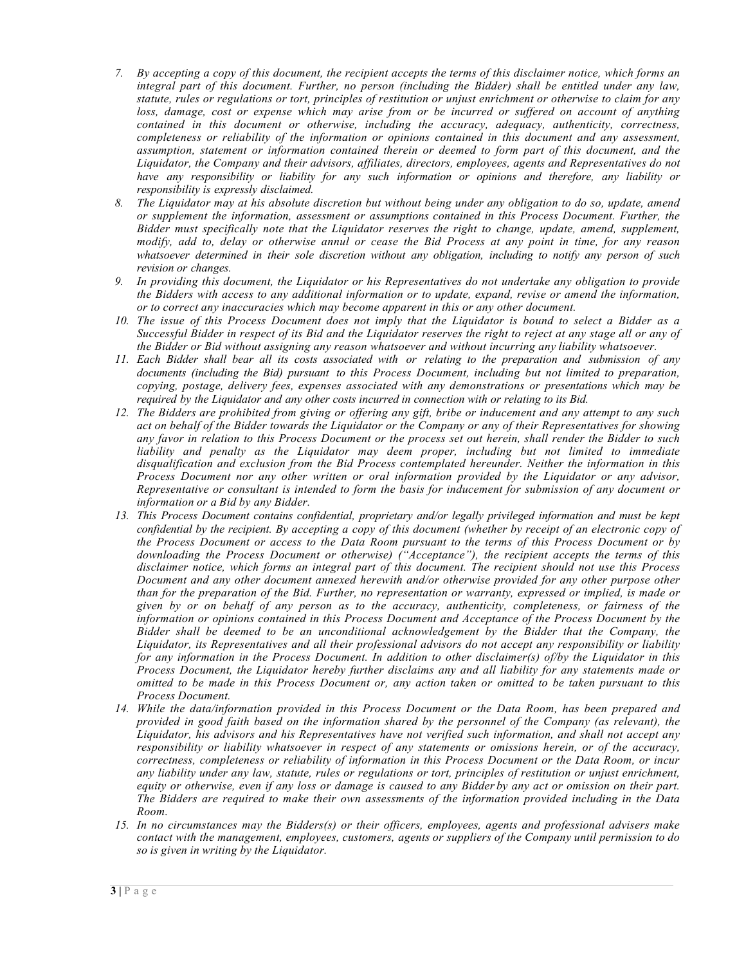- *7. By accepting a copy of this document, the recipient accepts the terms of this disclaimer notice, which forms an integral part of this document. Further, no person (including the Bidder) shall be entitled under any law, statute, rules or regulations or tort, principles of restitution or unjust enrichment or otherwise to claim for any loss, damage, cost or expense which may arise from or be incurred or suffered on account of anything contained in this document or otherwise, including the accuracy, adequacy, authenticity, correctness, completeness or reliability of the information or opinions contained in this document and any assessment, assumption, statement or information contained therein or deemed to form part of this document, and the Liquidator, the Company and their advisors, affiliates, directors, employees, agents and Representatives do not have any responsibility or liability for any such information or opinions and therefore, any liability or responsibility is expressly disclaimed.*
- *8. The Liquidator may at his absolute discretion but without being under any obligation to do so, update, amend or supplement the information, assessment or assumptions contained in this Process Document. Further, the Bidder must specifically note that the Liquidator reserves the right to change, update, amend, supplement, modify, add to, delay or otherwise annul or cease the Bid Process at any point in time, for any reason whatsoever determined in their sole discretion without any obligation, including to notify any person of such revision or changes.*
- *9. In providing this document, the Liquidator or his Representatives do not undertake any obligation to provide the Bidders with access to any additional information or to update, expand, revise or amend the information, or to correct any inaccuracies which may become apparent in this or any other document.*
- 10. The issue of this Process Document does not imply that the Liquidator is bound to select a Bidder as a *Successful Bidder in respect of its Bid and the Liquidator reserves the right to reject at any stage all or any of the Bidder or Bid without assigning any reason whatsoever and without incurring any liability whatsoever.*
- *11. Each Bidder shall bear all its costs associated with or relating to the preparation and submission of any documents (including the Bid) pursuant to this Process Document, including but not limited to preparation, copying, postage, delivery fees, expenses associated with any demonstrations or presentations which may be required by the Liquidator and any other costs incurred in connection with or relating to its Bid.*
- 12. The Bidders are prohibited from giving or offering any gift, bribe or inducement and any attempt to any such *act on behalf of the Bidder towards the Liquidator or the Company or any of their Representatives for showing any favor in relation to this Process Document or the process set out herein, shall render the Bidder to such liability and penalty as the Liquidator may deem proper, including but not limited to immediate disqualification and exclusion from the Bid Process contemplated hereunder. Neither the information in this Process Document nor any other written or oral information provided by the Liquidator or any advisor, Representative or consultant is intended to form the basis for inducement for submission of any document or information or a Bid by any Bidder.*
- *13. This Process Document contains confidential, proprietary and/or legally privileged information and must be kept confidential by the recipient. By accepting a copy of this document (whether by receipt of an electronic copy of the Process Document or access to the Data Room pursuant to the terms of this Process Document or by downloading the Process Document or otherwise) ("Acceptance"), the recipient accepts the terms of this disclaimer notice, which forms an integral part of this document. The recipient should not use this Process Document and any other document annexed herewith and/or otherwise provided for any other purpose other than for the preparation of the Bid. Further, no representation or warranty, expressed or implied, is made or given by or on behalf of any person as to the accuracy, authenticity, completeness, or fairness of the information or opinions contained in this Process Document and Acceptance of the Process Document by the Bidder shall be deemed to be an unconditional acknowledgement by the Bidder that the Company, the Liquidator, its Representatives and all their professional advisors do not accept any responsibility or liability for any information in the Process Document. In addition to other disclaimer(s) of/by the Liquidator in this Process Document, the Liquidator hereby further disclaims any and all liability for any statements made or omitted to be made in this Process Document or, any action taken or omitted to be taken pursuant to this Process Document.*
- *14. While the data/information provided in this Process Document or the Data Room, has been prepared and provided in good faith based on the information shared by the personnel of the Company (as relevant), the Liquidator, his advisors and his Representatives have not verified such information, and shall not accept any responsibility or liability whatsoever in respect of any statements or omissions herein, or of the accuracy, correctness, completeness or reliability of information in this Process Document or the Data Room, or incur any liability under any law, statute, rules or regulations or tort, principles of restitution or unjust enrichment, equity or otherwise, even if any loss or damage is caused to any Bidder by any act or omission on their part. The Bidders are required to make their own assessments of the information provided including in the Data Room.*
- *15. In no circumstances may the Bidders(s) or their officers, employees, agents and professional advisers make contact with the management, employees, customers, agents or suppliers of the Company until permission to do so is given in writing by the Liquidator.*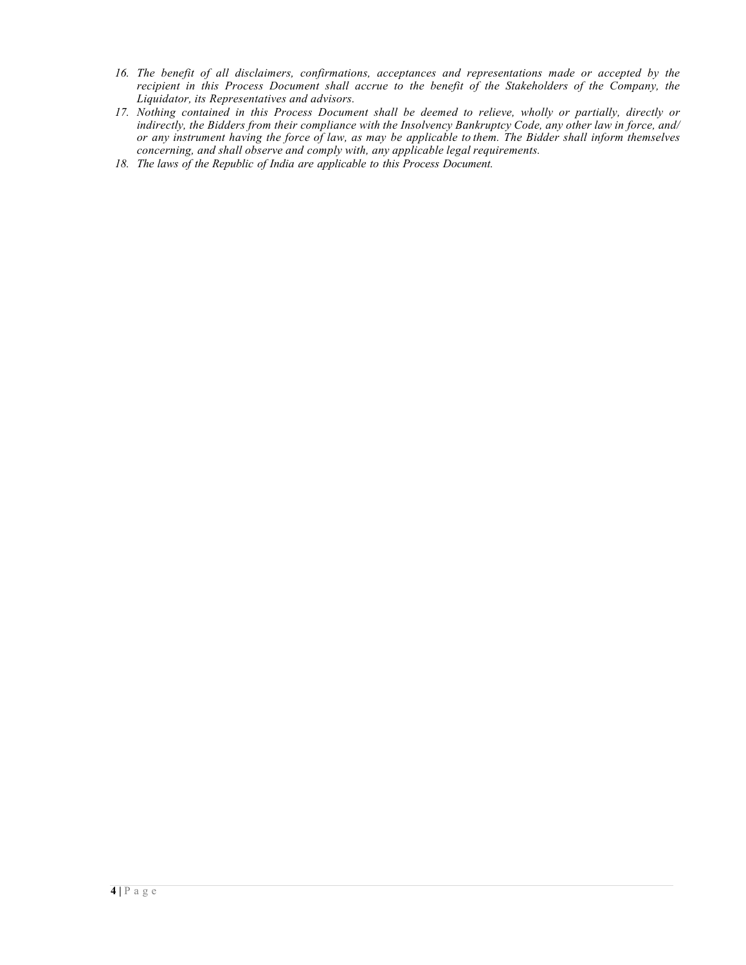- *16. The benefit of all disclaimers, confirmations, acceptances and representations made or accepted by the recipient in this Process Document shall accrue to the benefit of the Stakeholders of the Company, the Liquidator, its Representatives and advisors.*
- *17. Nothing contained in this Process Document shall be deemed to relieve, wholly or partially, directly or indirectly, the Bidders from their compliance with the Insolvency Bankruptcy Code, any other law in force, and/ or any instrument having the force of law, as may be applicable to them. The Bidder shall inform themselves concerning, and shall observe and comply with, any applicable legal requirements.*
- *18. The laws of the Republic of India are applicable to this Process Document.*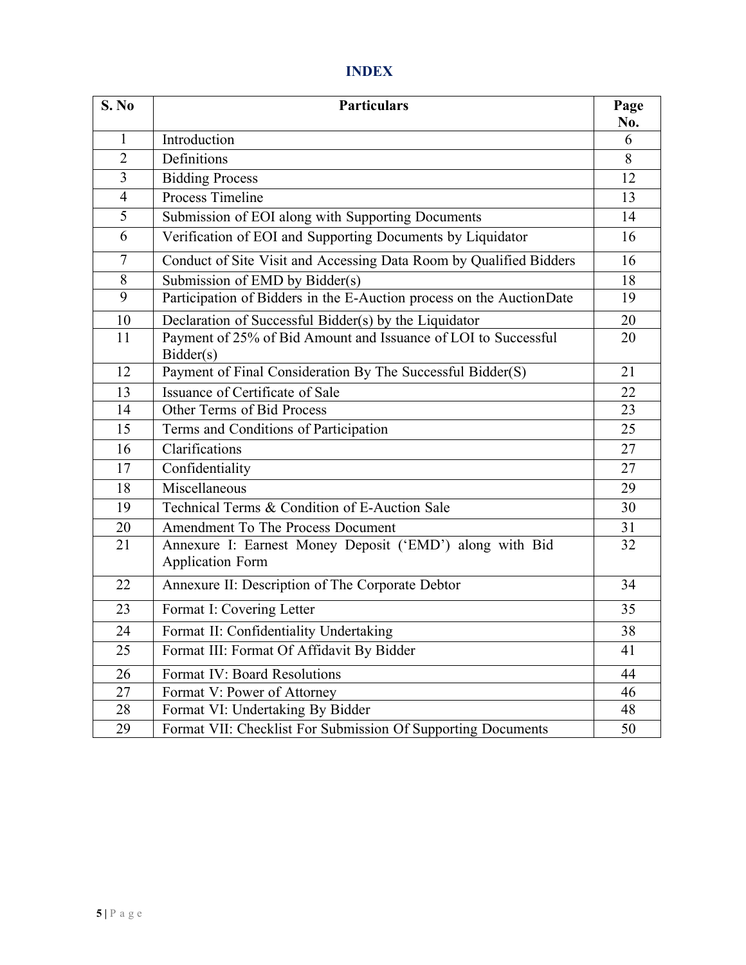# **INDEX**

| S. No          | <b>Particulars</b>                                                                  | Page<br>No. |
|----------------|-------------------------------------------------------------------------------------|-------------|
| $\mathbf{1}$   | Introduction                                                                        | 6           |
| $\overline{2}$ | Definitions                                                                         | 8           |
| $\overline{3}$ | <b>Bidding Process</b>                                                              | 12          |
| $\overline{4}$ | Process Timeline                                                                    | 13          |
| $\overline{5}$ | Submission of EOI along with Supporting Documents                                   | 14          |
| 6              | Verification of EOI and Supporting Documents by Liquidator                          | 16          |
| $\overline{7}$ | Conduct of Site Visit and Accessing Data Room by Qualified Bidders                  | 16          |
| 8              | Submission of EMD by Bidder(s)                                                      | 18          |
| $\overline{9}$ | Participation of Bidders in the E-Auction process on the AuctionDate                | 19          |
| 10             | Declaration of Successful Bidder(s) by the Liquidator                               | 20          |
| 11             | Payment of 25% of Bid Amount and Issuance of LOI to Successful<br>Bidder(s)         | 20          |
| 12             | Payment of Final Consideration By The Successful Bidder(S)                          | 21          |
| 13             | Issuance of Certificate of Sale                                                     | 22          |
| 14             | Other Terms of Bid Process                                                          | 23          |
| 15             | Terms and Conditions of Participation                                               | 25          |
| 16             | Clarifications                                                                      | 27          |
| 17             | Confidentiality                                                                     | 27          |
| 18             | Miscellaneous                                                                       | 29          |
| 19             | Technical Terms & Condition of E-Auction Sale                                       | 30          |
| 20             | Amendment To The Process Document                                                   | 31          |
| 21             | Annexure I: Earnest Money Deposit ('EMD') along with Bid<br><b>Application Form</b> | 32          |
| 22             | Annexure II: Description of The Corporate Debtor                                    | 34          |
| 23             | Format I: Covering Letter                                                           | 35          |
| 24             | Format II: Confidentiality Undertaking                                              | 38          |
| 25             | Format III: Format Of Affidavit By Bidder                                           | 41          |
| 26             | Format IV: Board Resolutions                                                        | 44          |
| 27             | Format V: Power of Attorney                                                         | 46          |
| 28             | Format VI: Undertaking By Bidder                                                    | 48          |
| 29             | Format VII: Checklist For Submission Of Supporting Documents                        | 50          |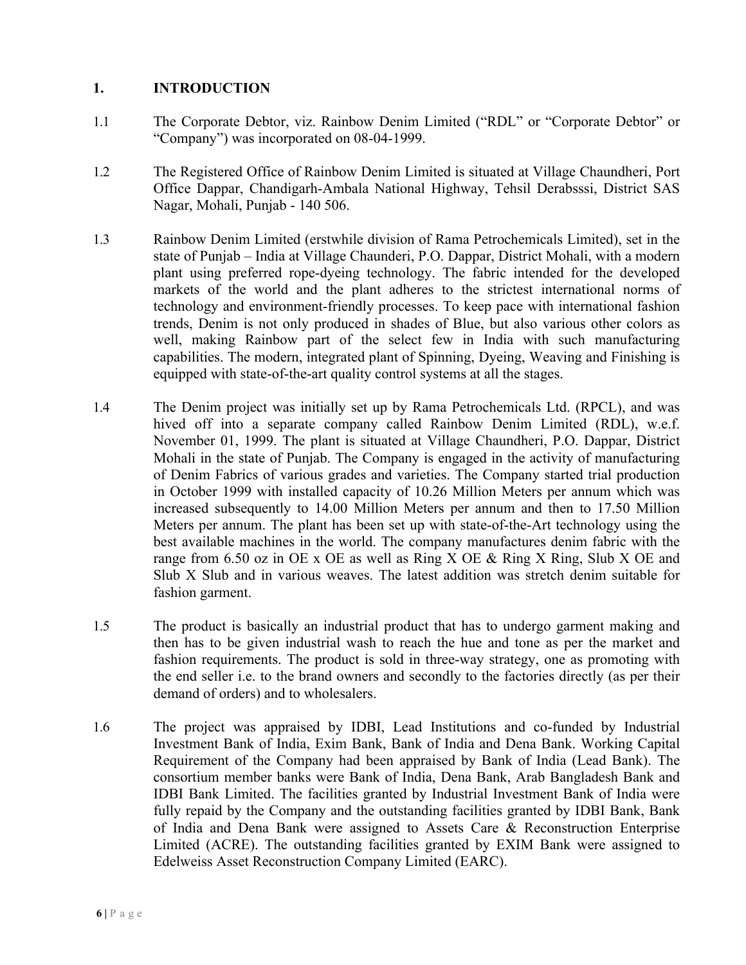#### **1. INTRODUCTION**

- 1.1 The Corporate Debtor, viz. Rainbow Denim Limited ("RDL" or "Corporate Debtor" or "Company") was incorporated on 08-04-1999.
- 1.2 The Registered Office of Rainbow Denim Limited is situated at Village Chaundheri, Port Office Dappar, Chandigarh-Ambala National Highway, Tehsil Derabsssi, District SAS Nagar, Mohali, Punjab - 140 506.
- 1.3 Rainbow Denim Limited (erstwhile division of Rama Petrochemicals Limited), set in the state of Punjab – India at Village Chaunderi, P.O. Dappar, District Mohali, with a modern plant using preferred rope-dyeing technology. The fabric intended for the developed markets of the world and the plant adheres to the strictest international norms of technology and environment-friendly processes. To keep pace with international fashion trends, Denim is not only produced in shades of Blue, but also various other colors as well, making Rainbow part of the select few in India with such manufacturing capabilities. The modern, integrated plant of Spinning, Dyeing, Weaving and Finishing is equipped with state-of-the-art quality control systems at all the stages.
- 1.4 The Denim project was initially set up by Rama Petrochemicals Ltd. (RPCL), and was hived off into a separate company called Rainbow Denim Limited (RDL), w.e.f. November 01, 1999. The plant is situated at Village Chaundheri, P.O. Dappar, District Mohali in the state of Punjab. The Company is engaged in the activity of manufacturing of Denim Fabrics of various grades and varieties. The Company started trial production in October 1999 with installed capacity of 10.26 Million Meters per annum which was increased subsequently to 14.00 Million Meters per annum and then to 17.50 Million Meters per annum. The plant has been set up with state-of-the-Art technology using the best available machines in the world. The company manufactures denim fabric with the range from 6.50 oz in OE x OE as well as Ring X OE & Ring X Ring, Slub X OE and Slub X Slub and in various weaves. The latest addition was stretch denim suitable for fashion garment.
- 1.5 The product is basically an industrial product that has to undergo garment making and then has to be given industrial wash to reach the hue and tone as per the market and fashion requirements. The product is sold in three-way strategy, one as promoting with the end seller i.e. to the brand owners and secondly to the factories directly (as per their demand of orders) and to wholesalers.
- 1.6 The project was appraised by IDBI, Lead Institutions and co-funded by Industrial Investment Bank of India, Exim Bank, Bank of India and Dena Bank. Working Capital Requirement of the Company had been appraised by Bank of India (Lead Bank). The consortium member banks were Bank of India, Dena Bank, Arab Bangladesh Bank and IDBI Bank Limited. The facilities granted by Industrial Investment Bank of India were fully repaid by the Company and the outstanding facilities granted by IDBI Bank, Bank of India and Dena Bank were assigned to Assets Care & Reconstruction Enterprise Limited (ACRE). The outstanding facilities granted by EXIM Bank were assigned to Edelweiss Asset Reconstruction Company Limited (EARC).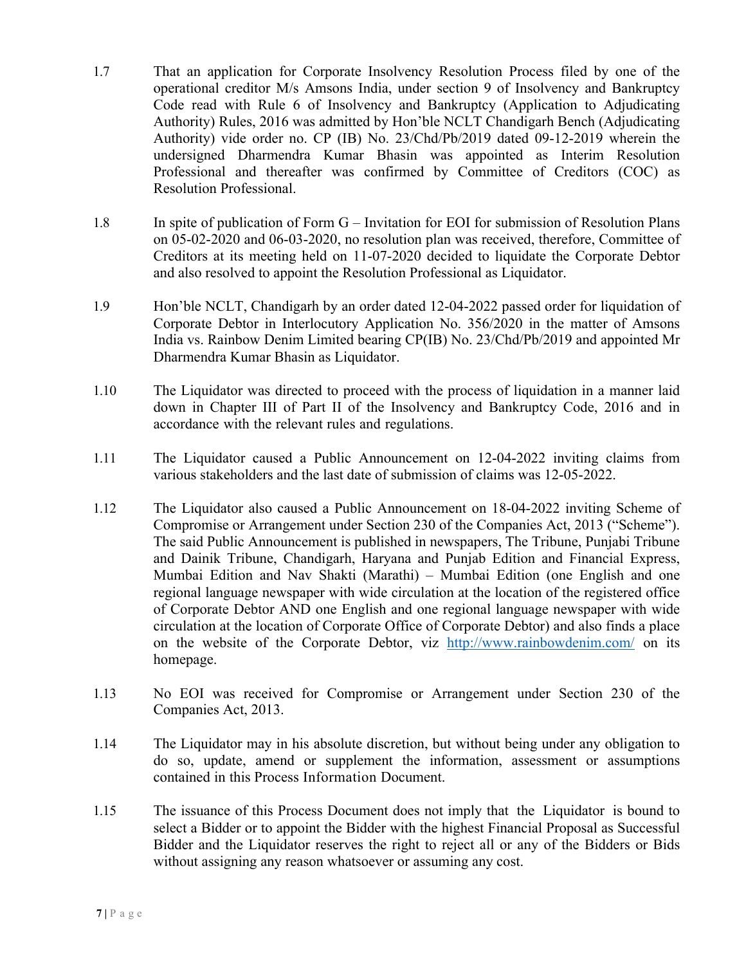- 1.7 That an application for Corporate Insolvency Resolution Process filed by one of the operational creditor M/s Amsons India, under section 9 of Insolvency and Bankruptcy Code read with Rule 6 of Insolvency and Bankruptcy (Application to Adjudicating Authority) Rules, 2016 was admitted by Hon'ble NCLT Chandigarh Bench (Adjudicating Authority) vide order no. CP (IB) No. 23/Chd/Pb/2019 dated 09-12-2019 wherein the undersigned Dharmendra Kumar Bhasin was appointed as Interim Resolution Professional and thereafter was confirmed by Committee of Creditors (COC) as Resolution Professional.
- 1.8 In spite of publication of Form G Invitation for EOI for submission of Resolution Plans on 05-02-2020 and 06-03-2020, no resolution plan was received, therefore, Committee of Creditors at its meeting held on 11-07-2020 decided to liquidate the Corporate Debtor and also resolved to appoint the Resolution Professional as Liquidator.
- 1.9 Hon'ble NCLT, Chandigarh by an order dated 12-04-2022 passed order for liquidation of Corporate Debtor in Interlocutory Application No. 356/2020 in the matter of Amsons India vs. Rainbow Denim Limited bearing CP(IB) No. 23/Chd/Pb/2019 and appointed Mr Dharmendra Kumar Bhasin as Liquidator.
- 1.10 The Liquidator was directed to proceed with the process of liquidation in a manner laid down in Chapter III of Part II of the Insolvency and Bankruptcy Code, 2016 and in accordance with the relevant rules and regulations.
- 1.11 The Liquidator caused a Public Announcement on 12-04-2022 inviting claims from various stakeholders and the last date of submission of claims was 12-05-2022.
- 1.12 The Liquidator also caused a Public Announcement on 18-04-2022 inviting Scheme of Compromise or Arrangement under Section 230 of the Companies Act, 2013 ("Scheme"). The said Public Announcement is published in newspapers, The Tribune, Punjabi Tribune and Dainik Tribune, Chandigarh, Haryana and Punjab Edition and Financial Express, Mumbai Edition and Nav Shakti (Marathi) – Mumbai Edition (one English and one regional language newspaper with wide circulation at the location of the registered office of Corporate Debtor AND one English and one regional language newspaper with wide circulation at the location of Corporate Office of Corporate Debtor) and also finds a place on the website of the Corporate Debtor, viz http://www.rainbowdenim.com/ on its homepage.
- 1.13 No EOI was received for Compromise or Arrangement under Section 230 of the Companies Act, 2013.
- 1.14 The Liquidator may in his absolute discretion, but without being under any obligation to do so, update, amend or supplement the information, assessment or assumptions contained in this Process Information Document.
- 1.15 The issuance of this Process Document does not imply that the Liquidator is bound to select a Bidder or to appoint the Bidder with the highest Financial Proposal as Successful Bidder and the Liquidator reserves the right to reject all or any of the Bidders or Bids without assigning any reason whatsoever or assuming any cost.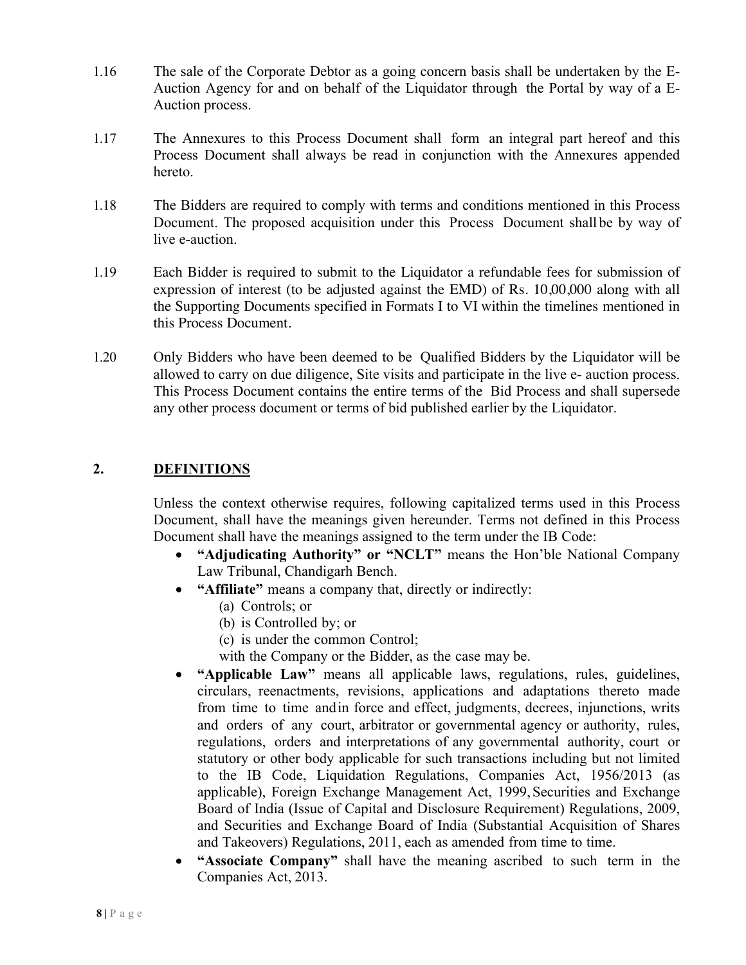- 1.16 The sale of the Corporate Debtor as a going concern basis shall be undertaken by the E-Auction Agency for and on behalf of the Liquidator through the Portal by way of a E-Auction process.
- 1.17 The Annexures to this Process Document shall form an integral part hereof and this Process Document shall always be read in conjunction with the Annexures appended hereto.
- 1.18 The Bidders are required to comply with terms and conditions mentioned in this Process Document. The proposed acquisition under this Process Document shall be by way of live e-auction.
- 1.19 Each Bidder is required to submit to the Liquidator a refundable fees for submission of expression of interest (to be adjusted against the EMD) of Rs. 10,00,000 along with all the Supporting Documents specified in Formats I to VI within the timelines mentioned in this Process Document.
- 1.20 Only Bidders who have been deemed to be Qualified Bidders by the Liquidator will be allowed to carry on due diligence, Site visits and participate in the live e- auction process. This Process Document contains the entire terms of the Bid Process and shall supersede any other process document or terms of bid published earlier by the Liquidator.

# **2. DEFINITIONS**

Unless the context otherwise requires, following capitalized terms used in this Process Document, shall have the meanings given hereunder. Terms not defined in this Process Document shall have the meanings assigned to the term under the IB Code:

- **"Adjudicating Authority" or "NCLT"** means the Hon'ble National Company Law Tribunal, Chandigarh Bench.
- **"Affiliate"** means a company that, directly or indirectly:
	- (a) Controls; or
	- (b) is Controlled by; or
	- (c) is under the common Control;

with the Company or the Bidder, as the case may be.

- **"Applicable Law"** means all applicable laws, regulations, rules, guidelines, circulars, reenactments, revisions, applications and adaptations thereto made from time to time andin force and effect, judgments, decrees, injunctions, writs and orders of any court, arbitrator or governmental agency or authority, rules, regulations, orders and interpretations of any governmental authority, court or statutory or other body applicable for such transactions including but not limited to the IB Code, Liquidation Regulations, Companies Act, 1956/2013 (as applicable), Foreign Exchange Management Act, 1999, Securities and Exchange Board of India (Issue of Capital and Disclosure Requirement) Regulations, 2009, and Securities and Exchange Board of India (Substantial Acquisition of Shares and Takeovers) Regulations, 2011, each as amended from time to time.
- **"Associate Company"** shall have the meaning ascribed to such term in the Companies Act, 2013.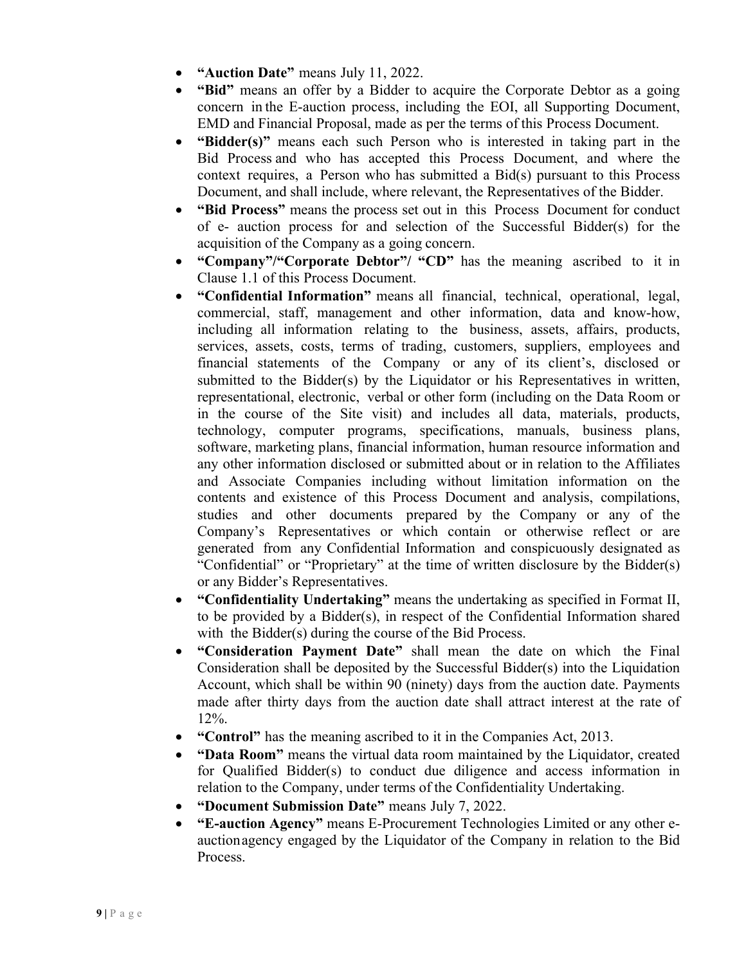- **"Auction Date"** means July 11, 2022.
- **"Bid"** means an offer by a Bidder to acquire the Corporate Debtor as a going concern in the E-auction process, including the EOI, all Supporting Document, EMD and Financial Proposal, made as per the terms of this Process Document.
- **"Bidder(s)"** means each such Person who is interested in taking part in the Bid Process and who has accepted this Process Document, and where the context requires, a Person who has submitted a Bid(s) pursuant to this Process Document, and shall include, where relevant, the Representatives of the Bidder.
- **"Bid Process"** means the process set out in this Process Document for conduct of e- auction process for and selection of the Successful Bidder(s) for the acquisition of the Company as a going concern.
- **"Company"/"Corporate Debtor"/ "CD"** has the meaning ascribed to it in Clause 1.1 of this Process Document.
- **"Confidential Information"** means all financial, technical, operational, legal, commercial, staff, management and other information, data and know-how, including all information relating to the business, assets, affairs, products, services, assets, costs, terms of trading, customers, suppliers, employees and financial statements of the Company or any of its client's, disclosed or submitted to the Bidder(s) by the Liquidator or his Representatives in written, representational, electronic, verbal or other form (including on the Data Room or in the course of the Site visit) and includes all data, materials, products, technology, computer programs, specifications, manuals, business plans, software, marketing plans, financial information, human resource information and any other information disclosed or submitted about or in relation to the Affiliates and Associate Companies including without limitation information on the contents and existence of this Process Document and analysis, compilations, studies and other documents prepared by the Company or any of the Company's Representatives or which contain or otherwise reflect or are generated from any Confidential Information and conspicuously designated as "Confidential" or "Proprietary" at the time of written disclosure by the Bidder(s) or any Bidder's Representatives.
- **"Confidentiality Undertaking"** means the undertaking as specified in Format II, to be provided by a Bidder(s), in respect of the Confidential Information shared with the Bidder(s) during the course of the Bid Process.
- **"Consideration Payment Date"** shall mean the date on which the Final Consideration shall be deposited by the Successful Bidder(s) into the Liquidation Account, which shall be within 90 (ninety) days from the auction date. Payments made after thirty days from the auction date shall attract interest at the rate of 12%.
- **"Control"** has the meaning ascribed to it in the Companies Act, 2013.
- **"Data Room"** means the virtual data room maintained by the Liquidator, created for Qualified Bidder(s) to conduct due diligence and access information in relation to the Company, under terms of the Confidentiality Undertaking.
- **"Document Submission Date"** means July 7, 2022.
- **"E-auction Agency"** means E-Procurement Technologies Limited or any other eauctionagency engaged by the Liquidator of the Company in relation to the Bid Process.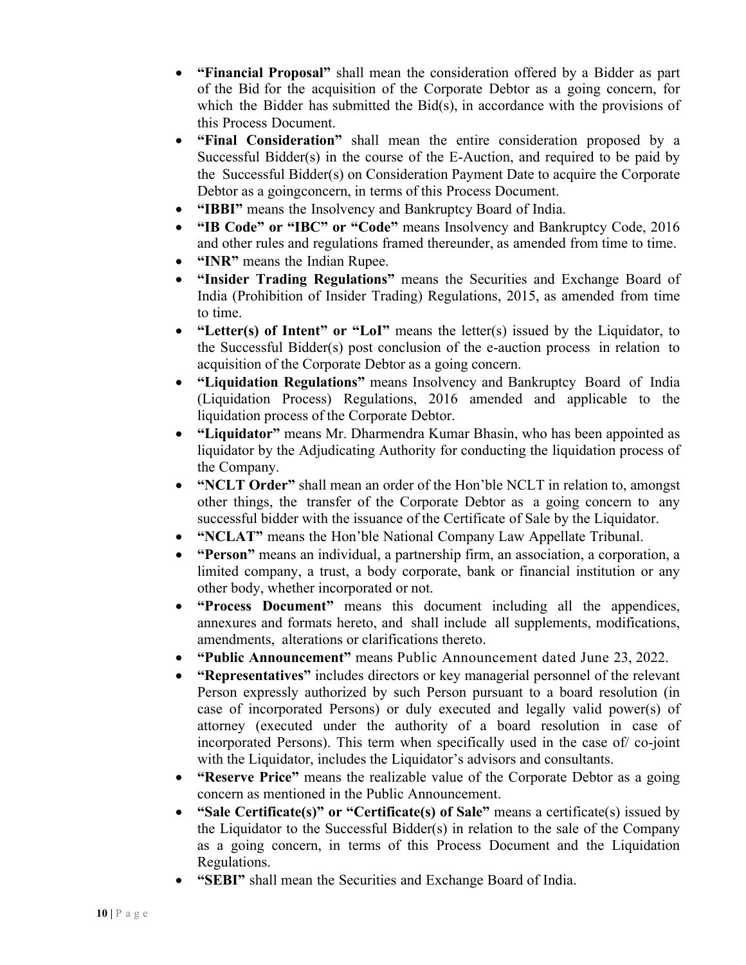- **"Financial Proposal"** shall mean the consideration offered by a Bidder as part of the Bid for the acquisition of the Corporate Debtor as a going concern, for which the Bidder has submitted the Bid(s), in accordance with the provisions of this Process Document.
- **"Final Consideration"** shall mean the entire consideration proposed by a Successful Bidder(s) in the course of the E-Auction, and required to be paid by the Successful Bidder(s) on Consideration Payment Date to acquire the Corporate Debtor as a goingconcern, in terms of this Process Document.
- **"IBBI"** means the Insolvency and Bankruptcy Board of India.
- **"IB Code" or "IBC" or "Code"** means Insolvency and Bankruptcy Code, 2016 and other rules and regulations framed thereunder, as amended from time to time.
- **"INR"** means the Indian Rupee.
- **"Insider Trading Regulations"** means the Securities and Exchange Board of India (Prohibition of Insider Trading) Regulations, 2015, as amended from time to time.
- **"Letter(s) of Intent" or "LoI"** means the letter(s) issued by the Liquidator, to the Successful Bidder(s) post conclusion of the e-auction process in relation to acquisition of the Corporate Debtor as a going concern.
- **"Liquidation Regulations"** means Insolvency and Bankruptcy Board of India (Liquidation Process) Regulations, 2016 amended and applicable to the liquidation process of the Corporate Debtor.
- **"Liquidator"** means Mr. Dharmendra Kumar Bhasin, who has been appointed as liquidator by the Adjudicating Authority for conducting the liquidation process of the Company.
- **"NCLT Order"** shall mean an order of the Hon'ble NCLT in relation to, amongst other things, the transfer of the Corporate Debtor as a going concern to any successful bidder with the issuance of the Certificate of Sale by the Liquidator.
- **"NCLAT"** means the Hon'ble National Company Law Appellate Tribunal.
- **"Person"** means an individual, a partnership firm, an association, a corporation, a limited company, a trust, a body corporate, bank or financial institution or any other body, whether incorporated or not.
- **"Process Document"** means this document including all the appendices, annexures and formats hereto, and shall include all supplements, modifications, amendments, alterations or clarifications thereto.
- **"Public Announcement"** means Public Announcement dated June 23, 2022.
- **"Representatives"** includes directors or key managerial personnel of the relevant Person expressly authorized by such Person pursuant to a board resolution (in case of incorporated Persons) or duly executed and legally valid power(s) of attorney (executed under the authority of a board resolution in case of incorporated Persons). This term when specifically used in the case of/ co-joint with the Liquidator, includes the Liquidator's advisors and consultants.
- **"Reserve Price"** means the realizable value of the Corporate Debtor as a going concern as mentioned in the Public Announcement.
- **"Sale Certificate(s)" or "Certificate(s) of Sale"** means a certificate(s) issued by the Liquidator to the Successful Bidder(s) in relation to the sale of the Company as a going concern, in terms of this Process Document and the Liquidation Regulations.
- **"SEBI"** shall mean the Securities and Exchange Board of India.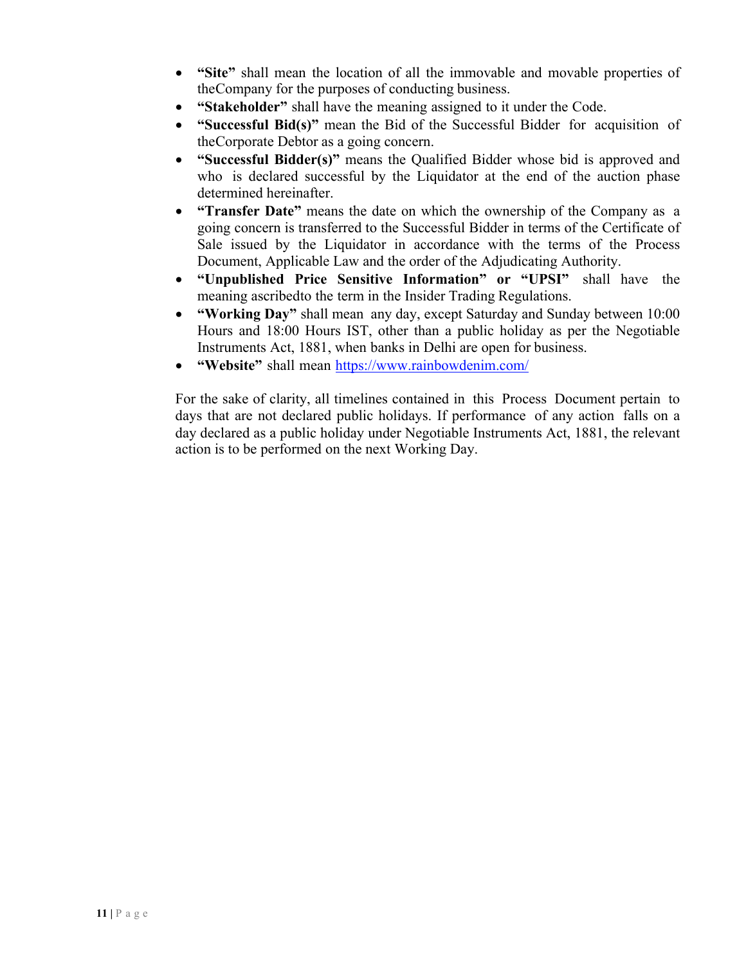- "Site" shall mean the location of all the immovable and movable properties of theCompany for the purposes of conducting business.
- **"Stakeholder"** shall have the meaning assigned to it under the Code.
- **"Successful Bid(s)"** mean the Bid of the Successful Bidder for acquisition of theCorporate Debtor as a going concern.
- **"Successful Bidder(s)"** means the Qualified Bidder whose bid is approved and who is declared successful by the Liquidator at the end of the auction phase determined hereinafter.
- **"Transfer Date"** means the date on which the ownership of the Company as a going concern is transferred to the Successful Bidder in terms of the Certificate of Sale issued by the Liquidator in accordance with the terms of the Process Document, Applicable Law and the order of the Adjudicating Authority.
- **"Unpublished Price Sensitive Information" or "UPSI"** shall have the meaning ascribedto the term in the Insider Trading Regulations.
- **"Working Day"** shall mean any day, except Saturday and Sunday between 10:00 Hours and 18:00 Hours IST, other than a public holiday as per the Negotiable Instruments Act, 1881, when banks in Delhi are open for business.
- **"Website"** shall mean https://www.rainbowdenim.com/

For the sake of clarity, all timelines contained in this Process Document pertain to days that are not declared public holidays. If performance of any action falls on a day declared as a public holiday under Negotiable Instruments Act, 1881, the relevant action is to be performed on the next Working Day.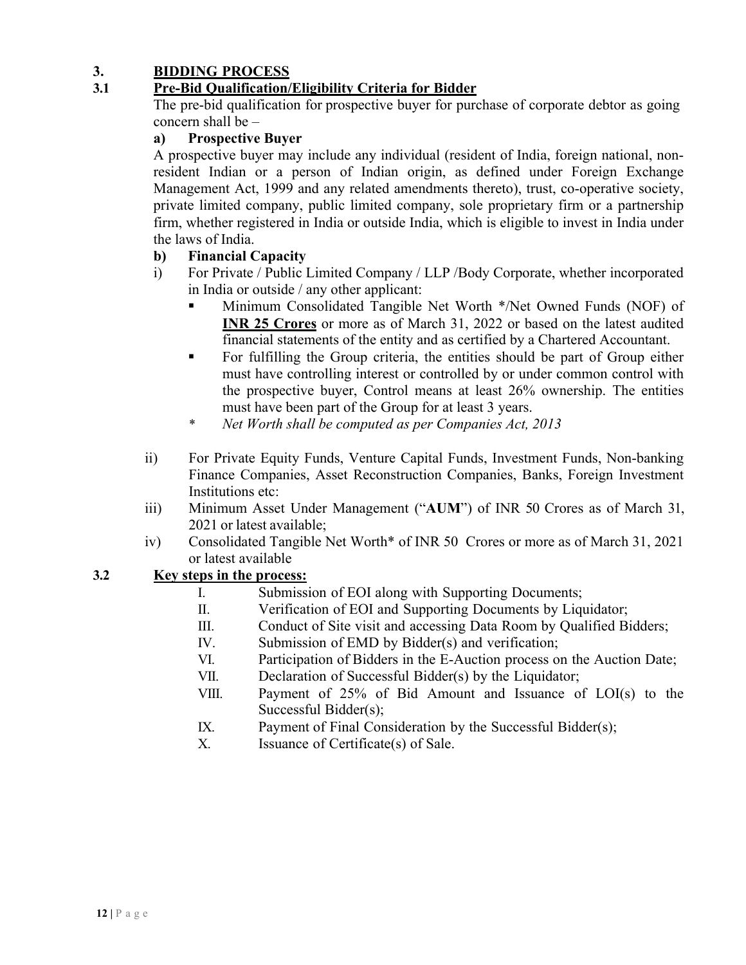## **3. BIDDING PROCESS**

## **3.1 Pre-Bid Qualification/Eligibility Criteria for Bidder**

The pre-bid qualification for prospective buyer for purchase of corporate debtor as going concern shall be –

## **a) Prospective Buyer**

A prospective buyer may include any individual (resident of India, foreign national, nonresident Indian or a person of Indian origin, as defined under Foreign Exchange Management Act, 1999 and any related amendments thereto), trust, co-operative society, private limited company, public limited company, sole proprietary firm or a partnership firm, whether registered in India or outside India, which is eligible to invest in India under the laws of India.

## **b) Financial Capacity**

- i) For Private / Public Limited Company / LLP /Body Corporate, whether incorporated in India or outside / any other applicant:
	- § Minimum Consolidated Tangible Net Worth \*/Net Owned Funds (NOF) of **INR 25 Crores** or more as of March 31, 2022 or based on the latest audited financial statements of the entity and as certified by a Chartered Accountant.
	- § For fulfilling the Group criteria, the entities should be part of Group either must have controlling interest or controlled by or under common control with the prospective buyer, Control means at least 26% ownership. The entities must have been part of the Group for at least 3 years.
	- *\* Net Worth shall be computed as per Companies Act, 2013*
- ii) For Private Equity Funds, Venture Capital Funds, Investment Funds, Non-banking Finance Companies, Asset Reconstruction Companies, Banks, Foreign Investment Institutions etc:
- iii) Minimum Asset Under Management ("**AUM**") of INR 50 Crores as of March 31, 2021 or latest available;
- iv) Consolidated Tangible Net Worth\* of INR 50 Crores or more as of March 31, 2021 or latest available

## **3.2 Key steps in the process:**

- I. Submission of EOI along with Supporting Documents;
- II. Verification of EOI and Supporting Documents by Liquidator;
- III. Conduct of Site visit and accessing Data Room by Qualified Bidders;
- IV. Submission of EMD by Bidder(s) and verification;
- VI. Participation of Bidders in the E-Auction process on the Auction Date;
- VII. Declaration of Successful Bidder(s) by the Liquidator;
- VIII. Payment of 25% of Bid Amount and Issuance of LOI(s) to the Successful Bidder(s);
- IX. Payment of Final Consideration by the Successful Bidder(s);
- X. Issuance of Certificate(s) of Sale.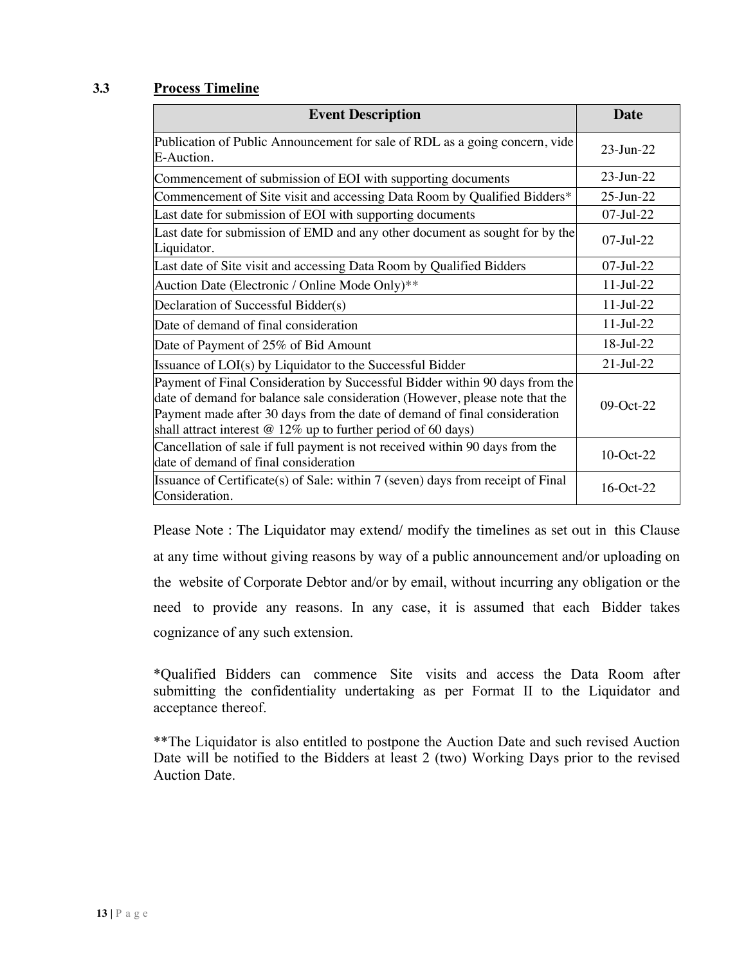#### **3.3 Process Timeline**

| <b>Event Description</b>                                                                                                                                                                                                                                                                                     | <b>Date</b>      |
|--------------------------------------------------------------------------------------------------------------------------------------------------------------------------------------------------------------------------------------------------------------------------------------------------------------|------------------|
| Publication of Public Announcement for sale of RDL as a going concern, vide<br>E-Auction.                                                                                                                                                                                                                    | $23$ -Jun- $22$  |
| Commencement of submission of EOI with supporting documents                                                                                                                                                                                                                                                  | $23$ -Jun- $22$  |
| Commencement of Site visit and accessing Data Room by Qualified Bidders*                                                                                                                                                                                                                                     | $25$ -Jun- $22$  |
| Last date for submission of EOI with supporting documents                                                                                                                                                                                                                                                    | 07-Jul-22        |
| Last date for submission of EMD and any other document as sought for by the<br>Liquidator.                                                                                                                                                                                                                   | $07 - I$ ul-22   |
| Last date of Site visit and accessing Data Room by Qualified Bidders                                                                                                                                                                                                                                         | $07$ -Jul-22     |
| Auction Date (Electronic / Online Mode Only)**                                                                                                                                                                                                                                                               | $11-Jul-22$      |
| Declaration of Successful Bidder(s)                                                                                                                                                                                                                                                                          | $11-Jul-22$      |
| Date of demand of final consideration                                                                                                                                                                                                                                                                        | $11$ -Jul-22     |
| Date of Payment of 25% of Bid Amount                                                                                                                                                                                                                                                                         | 18-Jul-22        |
| Issuance of LOI(s) by Liquidator to the Successful Bidder                                                                                                                                                                                                                                                    | $21 -$ Jul $-22$ |
| Payment of Final Consideration by Successful Bidder within 90 days from the<br>date of demand for balance sale consideration (However, please note that the<br>Payment made after 30 days from the date of demand of final consideration<br>shall attract interest $@ 12\%$ up to further period of 60 days) | 09-Oct-22        |
| Cancellation of sale if full payment is not received within 90 days from the<br>date of demand of final consideration                                                                                                                                                                                        | 10-Oct-22        |
| Issuance of Certificate(s) of Sale: within 7 (seven) days from receipt of Final<br>Consideration.                                                                                                                                                                                                            | 16-Oct-22        |

Please Note : The Liquidator may extend/ modify the timelines as set out in this Clause at any time without giving reasons by way of a public announcement and/or uploading on the website of Corporate Debtor and/or by email, without incurring any obligation or the need to provide any reasons. In any case, it is assumed that each Bidder takes cognizance of any such extension.

\*Qualified Bidders can commence Site visits and access the Data Room after submitting the confidentiality undertaking as per Format II to the Liquidator and acceptance thereof.

\*\*The Liquidator is also entitled to postpone the Auction Date and such revised Auction Date will be notified to the Bidders at least 2 (two) Working Days prior to the revised Auction Date.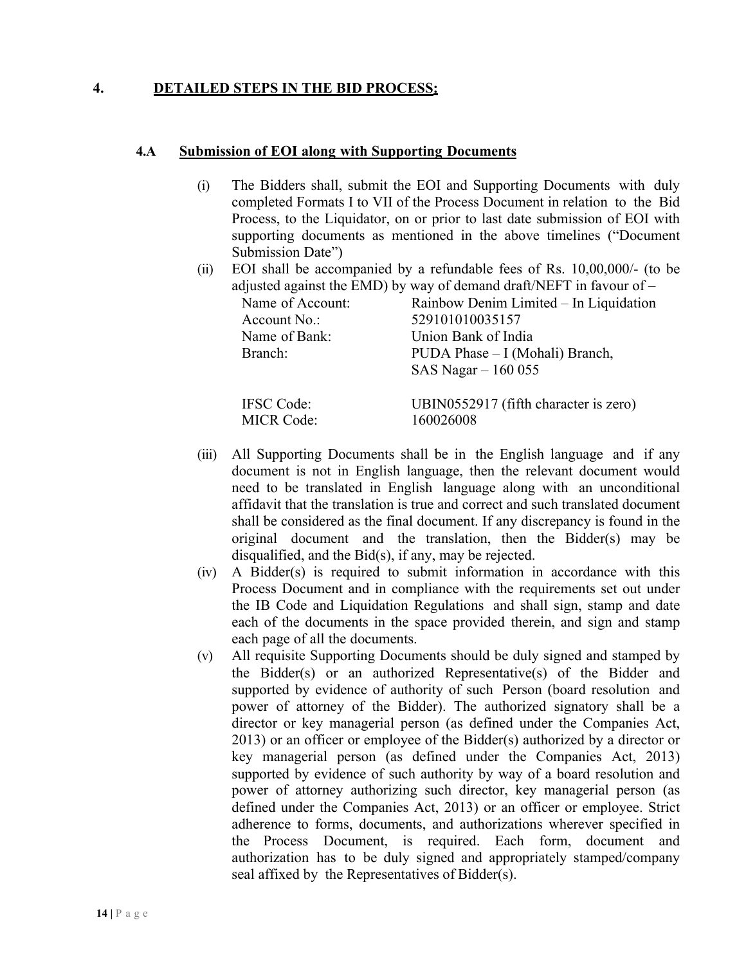## **4. DETAILED STEPS IN THE BID PROCESS:**

#### **4.A Submission of EOI along with Supporting Documents**

MICR Code: 160026008

- (i) The Bidders shall, submit the EOI and Supporting Documents with duly completed Formats I to VII of the Process Document in relation to the Bid Process, to the Liquidator, on or prior to last date submission of EOI with supporting documents as mentioned in the above timelines ("Document Submission Date")
- (ii) EOI shall be accompanied by a refundable fees of Rs. 10,00,000/- (to be adjusted against the EMD) by way of demand draft/NEFT in favour of  $-$

| Name of Account:  | Rainbow Denim Limited – In Liquidation |
|-------------------|----------------------------------------|
| Account No.:      | 529101010035157                        |
| Name of Bank:     | Union Bank of India                    |
| Branch:           | PUDA Phase – I (Mohali) Branch,        |
|                   | SAS Nagar $-160055$                    |
| <b>IFSC</b> Code: | UBIN0552917 (fifth character is zero)  |

- (iii) All Supporting Documents shall be in the English language and if any document is not in English language, then the relevant document would need to be translated in English language along with an unconditional affidavit that the translation is true and correct and such translated document shall be considered as the final document. If any discrepancy is found in the original document and the translation, then the Bidder(s) may be disqualified, and the Bid(s), if any, may be rejected.
- (iv) A Bidder(s) is required to submit information in accordance with this Process Document and in compliance with the requirements set out under the IB Code and Liquidation Regulations and shall sign, stamp and date each of the documents in the space provided therein, and sign and stamp each page of all the documents.
- (v) All requisite Supporting Documents should be duly signed and stamped by the Bidder(s) or an authorized Representative(s) of the Bidder and supported by evidence of authority of such Person (board resolution and power of attorney of the Bidder). The authorized signatory shall be a director or key managerial person (as defined under the Companies Act, 2013) or an officer or employee of the Bidder(s) authorized by a director or key managerial person (as defined under the Companies Act, 2013) supported by evidence of such authority by way of a board resolution and power of attorney authorizing such director, key managerial person (as defined under the Companies Act, 2013) or an officer or employee. Strict adherence to forms, documents, and authorizations wherever specified in the Process Document, is required. Each form, document and authorization has to be duly signed and appropriately stamped/company seal affixed by the Representatives of Bidder(s).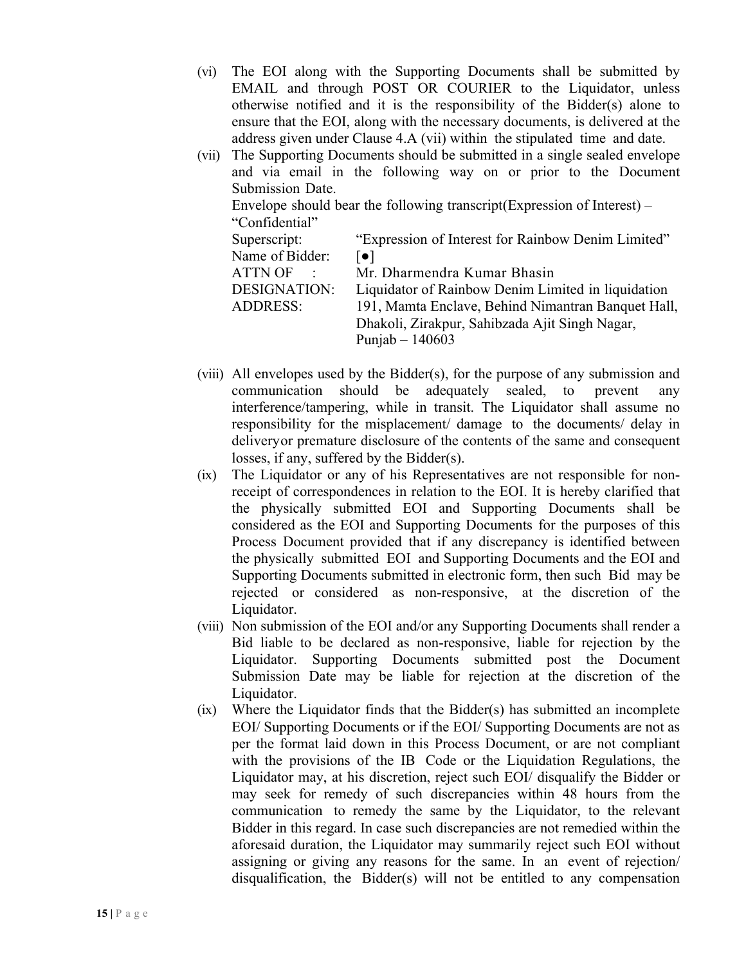- (vi) The EOI along with the Supporting Documents shall be submitted by EMAIL and through POST OR COURIER to the Liquidator, unless otherwise notified and it is the responsibility of the Bidder(s) alone to ensure that the EOI, along with the necessary documents, is delivered at the address given under Clause 4.A (vii) within the stipulated time and date.
- (vii) The Supporting Documents should be submitted in a single sealed envelope and via email in the following way on or prior to the Document Submission Date. Envelope should bear the following transcript(Expression of Interest) – "Confidential" Superscript: "Expression of Interest for Rainbow Denim Limited" Name of Bidder:  $\lceil \bullet \rceil$ ATTN OF : Mr. Dharmendra Kumar Bhasin DESIGNATION: Liquidator of Rainbow Denim Limited in liquidation ADDRESS: 191, Mamta Enclave, Behind Nimantran Banquet Hall, Dhakoli, Zirakpur, Sahibzada Ajit Singh Nagar, Punjab – 140603
- (viii) All envelopes used by the Bidder(s), for the purpose of any submission and communication should be adequately sealed, to prevent any interference/tampering, while in transit. The Liquidator shall assume no responsibility for the misplacement/ damage to the documents/ delay in deliveryor premature disclosure of the contents of the same and consequent losses, if any, suffered by the Bidder(s).
- (ix) The Liquidator or any of his Representatives are not responsible for nonreceipt of correspondences in relation to the EOI. It is hereby clarified that the physically submitted EOI and Supporting Documents shall be considered as the EOI and Supporting Documents for the purposes of this Process Document provided that if any discrepancy is identified between the physically submitted EOI and Supporting Documents and the EOI and Supporting Documents submitted in electronic form, then such Bid may be rejected or considered as non-responsive, at the discretion of the Liquidator.
- (viii) Non submission of the EOI and/or any Supporting Documents shall render a Bid liable to be declared as non-responsive, liable for rejection by the Liquidator. Supporting Documents submitted post the Document Submission Date may be liable for rejection at the discretion of the Liquidator.
- (ix) Where the Liquidator finds that the Bidder(s) has submitted an incomplete EOI/ Supporting Documents or if the EOI/ Supporting Documents are not as per the format laid down in this Process Document, or are not compliant with the provisions of the IB Code or the Liquidation Regulations, the Liquidator may, at his discretion, reject such EOI/ disqualify the Bidder or may seek for remedy of such discrepancies within 48 hours from the communication to remedy the same by the Liquidator, to the relevant Bidder in this regard. In case such discrepancies are not remedied within the aforesaid duration, the Liquidator may summarily reject such EOI without assigning or giving any reasons for the same. In an event of rejection/ disqualification, the Bidder(s) will not be entitled to any compensation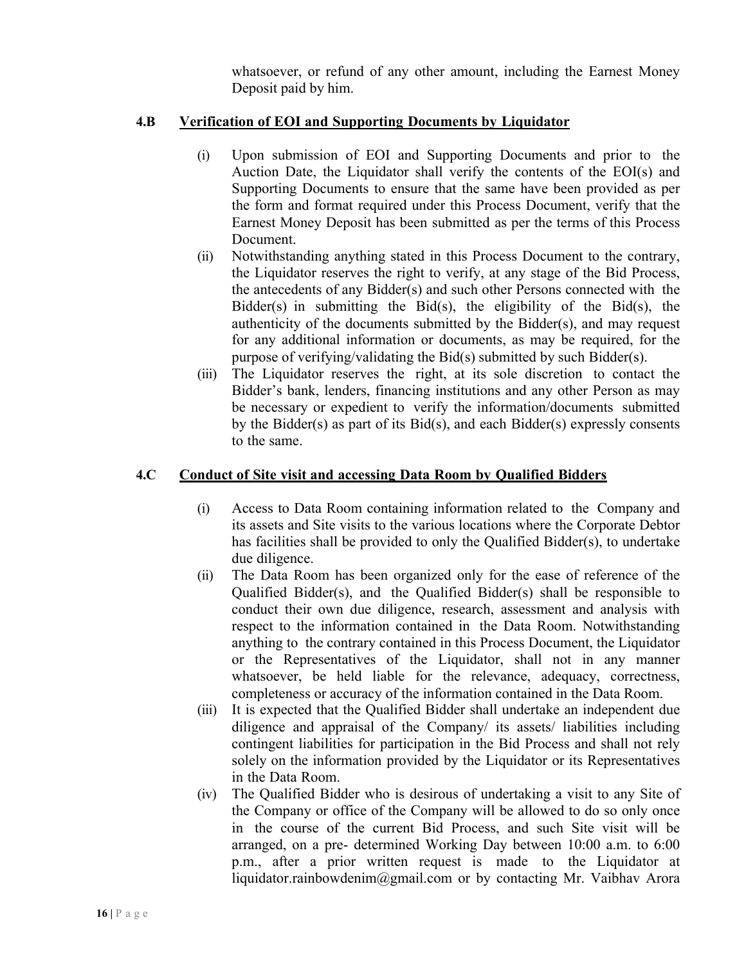whatsoever, or refund of any other amount, including the Earnest Money Deposit paid by him.

#### **4.B Verification of EOI and Supporting Documents by Liquidator**

- (i) Upon submission of EOI and Supporting Documents and prior to the Auction Date, the Liquidator shall verify the contents of the EOI(s) and Supporting Documents to ensure that the same have been provided as per the form and format required under this Process Document, verify that the Earnest Money Deposit has been submitted as per the terms of this Process Document.
- (ii) Notwithstanding anything stated in this Process Document to the contrary, the Liquidator reserves the right to verify, at any stage of the Bid Process, the antecedents of any Bidder(s) and such other Persons connected with the Bidder(s) in submitting the Bid(s), the eligibility of the Bid(s), the authenticity of the documents submitted by the Bidder(s), and may request for any additional information or documents, as may be required, for the purpose of verifying/validating the Bid(s) submitted by such Bidder(s).
- (iii) The Liquidator reserves the right, at its sole discretion to contact the Bidder's bank, lenders, financing institutions and any other Person as may be necessary or expedient to verify the information/documents submitted by the Bidder(s) as part of its Bid(s), and each Bidder(s) expressly consents to the same.

#### **4.C Conduct of Site visit and accessing Data Room by Qualified Bidders**

- (i) Access to Data Room containing information related to the Company and its assets and Site visits to the various locations where the Corporate Debtor has facilities shall be provided to only the Qualified Bidder(s), to undertake due diligence.
- (ii) The Data Room has been organized only for the ease of reference of the Qualified Bidder(s), and the Qualified Bidder(s) shall be responsible to conduct their own due diligence, research, assessment and analysis with respect to the information contained in the Data Room. Notwithstanding anything to the contrary contained in this Process Document, the Liquidator or the Representatives of the Liquidator, shall not in any manner whatsoever, be held liable for the relevance, adequacy, correctness, completeness or accuracy of the information contained in the Data Room.
- (iii) It is expected that the Qualified Bidder shall undertake an independent due diligence and appraisal of the Company/ its assets/ liabilities including contingent liabilities for participation in the Bid Process and shall not rely solely on the information provided by the Liquidator or its Representatives in the Data Room.
- (iv) The Qualified Bidder who is desirous of undertaking a visit to any Site of the Company or office of the Company will be allowed to do so only once in the course of the current Bid Process, and such Site visit will be arranged, on a pre- determined Working Day between 10:00 a.m. to 6:00 p.m., after a prior written request is made to the Liquidator at liquidator.rainbowdenim@gmail.com or by contacting Mr. Vaibhav Arora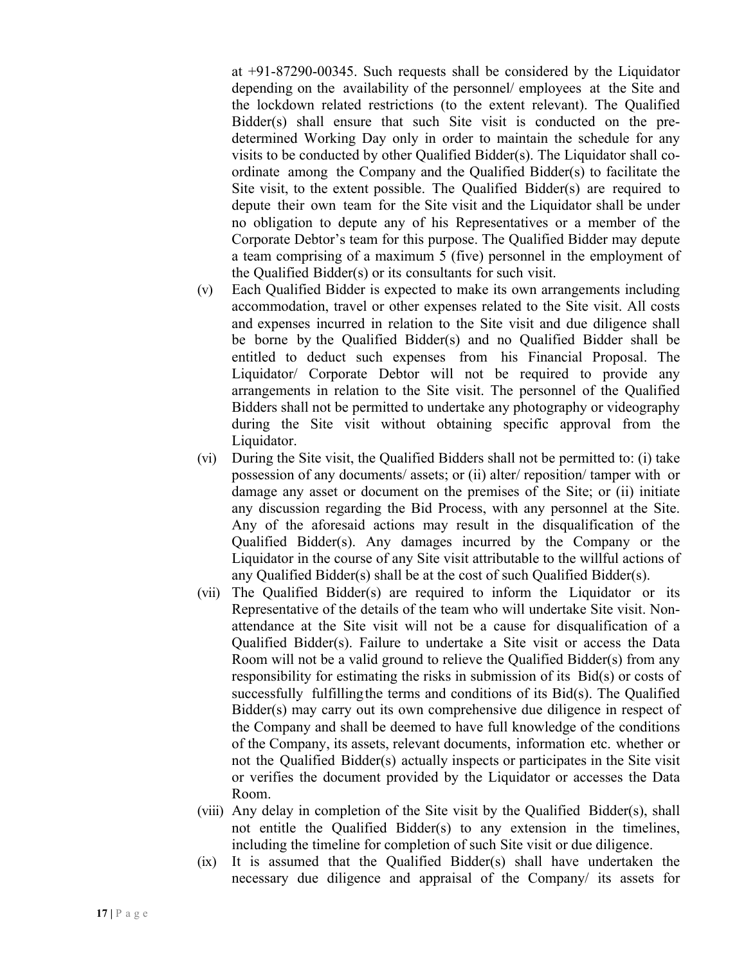at +91-87290-00345. Such requests shall be considered by the Liquidator depending on the availability of the personnel/ employees at the Site and the lockdown related restrictions (to the extent relevant). The Qualified Bidder(s) shall ensure that such Site visit is conducted on the predetermined Working Day only in order to maintain the schedule for any visits to be conducted by other Qualified Bidder(s). The Liquidator shall coordinate among the Company and the Qualified Bidder(s) to facilitate the Site visit, to the extent possible. The Qualified Bidder(s) are required to depute their own team for the Site visit and the Liquidator shall be under no obligation to depute any of his Representatives or a member of the Corporate Debtor's team for this purpose. The Qualified Bidder may depute a team comprising of a maximum 5 (five) personnel in the employment of the Qualified Bidder(s) or its consultants for such visit.

- (v) Each Qualified Bidder is expected to make its own arrangements including accommodation, travel or other expenses related to the Site visit. All costs and expenses incurred in relation to the Site visit and due diligence shall be borne by the Qualified Bidder(s) and no Qualified Bidder shall be entitled to deduct such expenses from his Financial Proposal. The Liquidator/ Corporate Debtor will not be required to provide any arrangements in relation to the Site visit. The personnel of the Qualified Bidders shall not be permitted to undertake any photography or videography during the Site visit without obtaining specific approval from the Liquidator.
- (vi) During the Site visit, the Qualified Bidders shall not be permitted to: (i) take possession of any documents/ assets; or (ii) alter/ reposition/ tamper with or damage any asset or document on the premises of the Site; or (ii) initiate any discussion regarding the Bid Process, with any personnel at the Site. Any of the aforesaid actions may result in the disqualification of the Qualified Bidder(s). Any damages incurred by the Company or the Liquidator in the course of any Site visit attributable to the willful actions of any Qualified Bidder(s) shall be at the cost of such Qualified Bidder(s).
- (vii) The Qualified Bidder(s) are required to inform the Liquidator or its Representative of the details of the team who will undertake Site visit. Nonattendance at the Site visit will not be a cause for disqualification of a Qualified Bidder(s). Failure to undertake a Site visit or access the Data Room will not be a valid ground to relieve the Qualified Bidder(s) from any responsibility for estimating the risks in submission of its Bid(s) or costs of successfully fulfillingthe terms and conditions of its Bid(s). The Qualified Bidder(s) may carry out its own comprehensive due diligence in respect of the Company and shall be deemed to have full knowledge of the conditions of the Company, its assets, relevant documents, information etc. whether or not the Qualified Bidder(s) actually inspects or participates in the Site visit or verifies the document provided by the Liquidator or accesses the Data Room.
- (viii) Any delay in completion of the Site visit by the Qualified Bidder(s), shall not entitle the Qualified Bidder(s) to any extension in the timelines, including the timeline for completion of such Site visit or due diligence.
- (ix) It is assumed that the Qualified Bidder(s) shall have undertaken the necessary due diligence and appraisal of the Company/ its assets for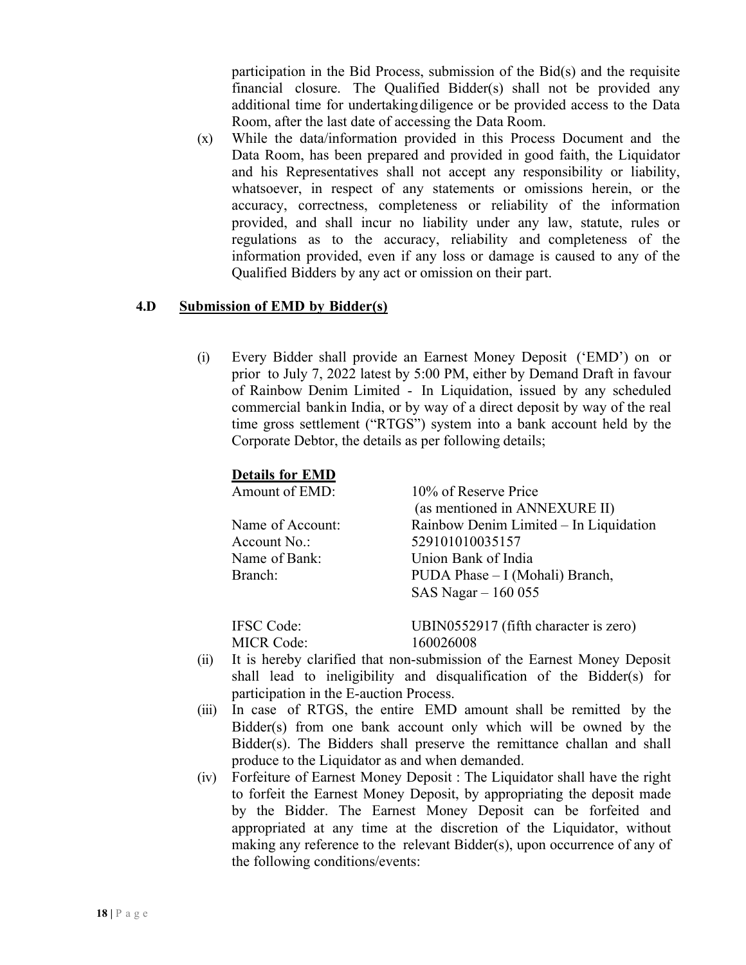participation in the Bid Process, submission of the Bid(s) and the requisite financial closure. The Qualified Bidder(s) shall not be provided any additional time for undertakingdiligence or be provided access to the Data Room, after the last date of accessing the Data Room.

(x) While the data/information provided in this Process Document and the Data Room, has been prepared and provided in good faith, the Liquidator and his Representatives shall not accept any responsibility or liability, whatsoever, in respect of any statements or omissions herein, or the accuracy, correctness, completeness or reliability of the information provided, and shall incur no liability under any law, statute, rules or regulations as to the accuracy, reliability and completeness of the information provided, even if any loss or damage is caused to any of the Qualified Bidders by any act or omission on their part.

#### **4.D Submission of EMD by Bidder(s)**

(i) Every Bidder shall provide an Earnest Money Deposit ('EMD') on or prior to July 7, 2022 latest by 5:00 PM, either by Demand Draft in favour of Rainbow Denim Limited - In Liquidation, issued by any scheduled commercial bankin India, or by way of a direct deposit by way of the real time gross settlement ("RTGS") system into a bank account held by the Corporate Debtor, the details as per following details;

#### **Details for EMD**

| Amount of EMD:    | 10% of Reserve Price                   |
|-------------------|----------------------------------------|
|                   | (as mentioned in ANNEXURE II)          |
| Name of Account:  | Rainbow Denim Limited - In Liquidation |
| Account No.:      | 529101010035157                        |
| Name of Bank:     | Union Bank of India                    |
| Branch:           | PUDA Phase – I (Mohali) Branch,        |
|                   | SAS Nagar - 160 055                    |
| <b>IFSC</b> Code: | UBIN0552917 (fifth character is zero)  |
| <b>MICR Code:</b> | 160026008                              |

- (ii) It is hereby clarified that non-submission of the Earnest Money Deposit shall lead to ineligibility and disqualification of the Bidder(s) for participation in the E-auction Process.
- (iii) In case of RTGS, the entire EMD amount shall be remitted by the Bidder(s) from one bank account only which will be owned by the Bidder(s). The Bidders shall preserve the remittance challan and shall produce to the Liquidator as and when demanded.
- (iv) Forfeiture of Earnest Money Deposit : The Liquidator shall have the right to forfeit the Earnest Money Deposit, by appropriating the deposit made by the Bidder. The Earnest Money Deposit can be forfeited and appropriated at any time at the discretion of the Liquidator, without making any reference to the relevant Bidder(s), upon occurrence of any of the following conditions/events: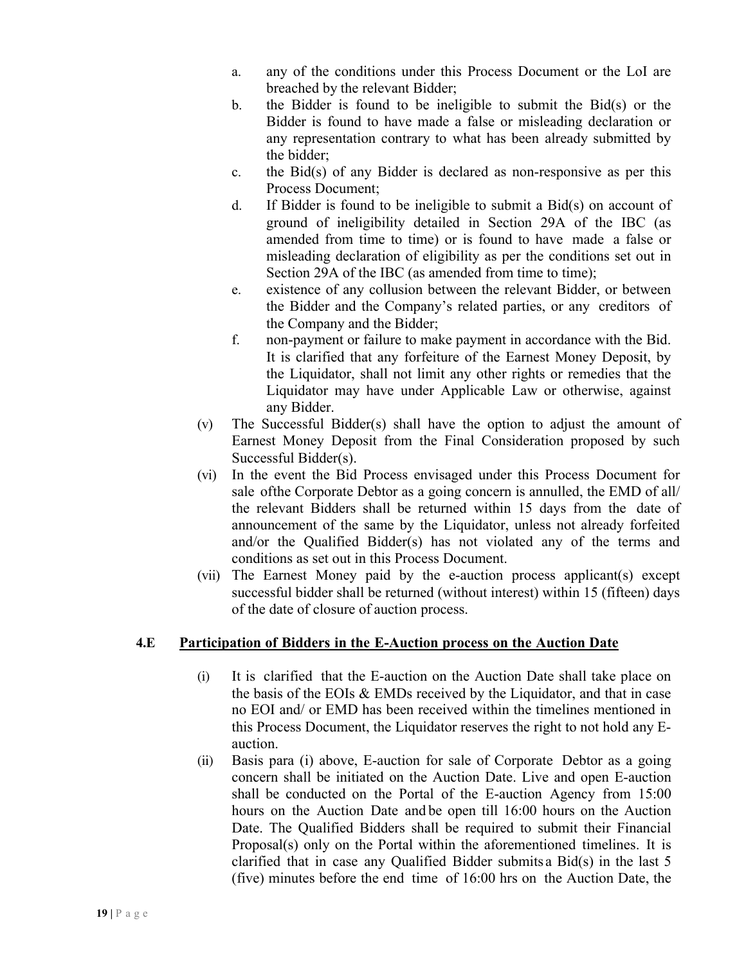- a. any of the conditions under this Process Document or the LoI are breached by the relevant Bidder;
- b. the Bidder is found to be ineligible to submit the Bid(s) or the Bidder is found to have made a false or misleading declaration or any representation contrary to what has been already submitted by the bidder;
- c. the Bid(s) of any Bidder is declared as non-responsive as per this Process Document;
- d. If Bidder is found to be ineligible to submit a Bid(s) on account of ground of ineligibility detailed in Section 29A of the IBC (as amended from time to time) or is found to have made a false or misleading declaration of eligibility as per the conditions set out in Section 29A of the IBC (as amended from time to time);
- e. existence of any collusion between the relevant Bidder, or between the Bidder and the Company's related parties, or any creditors of the Company and the Bidder;
- f. non-payment or failure to make payment in accordance with the Bid. It is clarified that any forfeiture of the Earnest Money Deposit, by the Liquidator, shall not limit any other rights or remedies that the Liquidator may have under Applicable Law or otherwise, against any Bidder.
- (v) The Successful Bidder(s) shall have the option to adjust the amount of Earnest Money Deposit from the Final Consideration proposed by such Successful Bidder(s).
- (vi) In the event the Bid Process envisaged under this Process Document for sale ofthe Corporate Debtor as a going concern is annulled, the EMD of all/ the relevant Bidders shall be returned within 15 days from the date of announcement of the same by the Liquidator, unless not already forfeited and/or the Qualified Bidder(s) has not violated any of the terms and conditions as set out in this Process Document.
- (vii) The Earnest Money paid by the e-auction process applicant(s) except successful bidder shall be returned (without interest) within 15 (fifteen) days of the date of closure of auction process.

## **4.E Participation of Bidders in the E-Auction process on the Auction Date**

- (i) It is clarified that the E-auction on the Auction Date shall take place on the basis of the EOIs & EMDs received by the Liquidator, and that in case no EOI and/ or EMD has been received within the timelines mentioned in this Process Document, the Liquidator reserves the right to not hold any Eauction.
- (ii) Basis para (i) above, E-auction for sale of Corporate Debtor as a going concern shall be initiated on the Auction Date. Live and open E-auction shall be conducted on the Portal of the E-auction Agency from 15:00 hours on the Auction Date and be open till 16:00 hours on the Auction Date. The Qualified Bidders shall be required to submit their Financial Proposal(s) only on the Portal within the aforementioned timelines. It is clarified that in case any Qualified Bidder submits a Bid(s) in the last 5 (five) minutes before the end time of 16:00 hrs on the Auction Date, the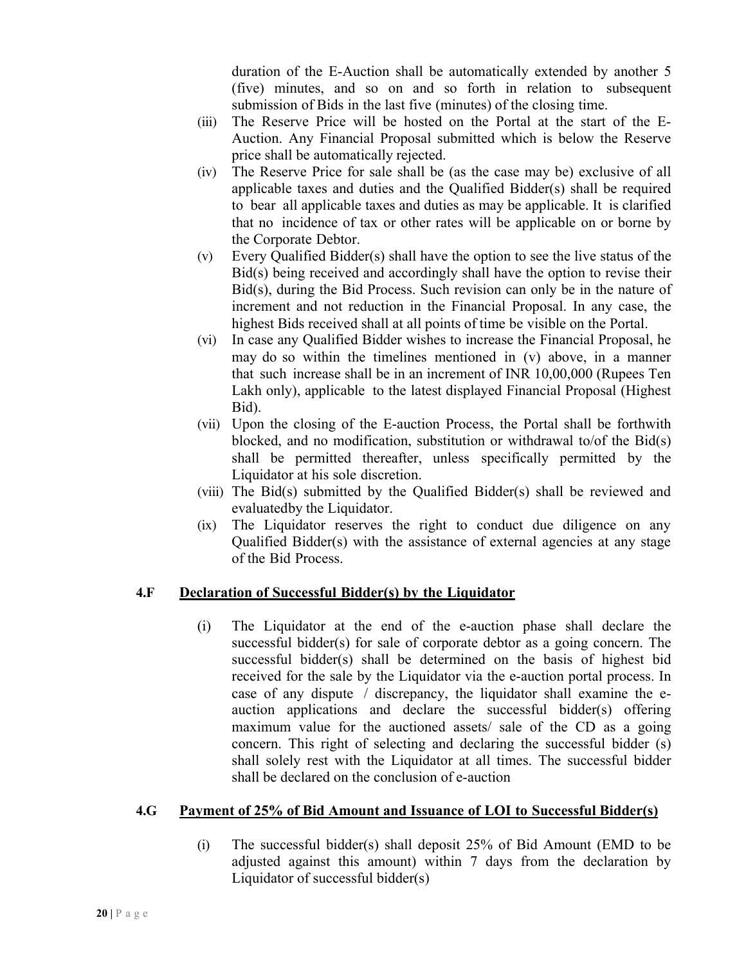duration of the E-Auction shall be automatically extended by another 5 (five) minutes, and so on and so forth in relation to subsequent submission of Bids in the last five (minutes) of the closing time.

- (iii) The Reserve Price will be hosted on the Portal at the start of the E-Auction. Any Financial Proposal submitted which is below the Reserve price shall be automatically rejected.
- (iv) The Reserve Price for sale shall be (as the case may be) exclusive of all applicable taxes and duties and the Qualified Bidder(s) shall be required to bear all applicable taxes and duties as may be applicable. It is clarified that no incidence of tax or other rates will be applicable on or borne by the Corporate Debtor.
- (v) Every Qualified Bidder(s) shall have the option to see the live status of the Bid(s) being received and accordingly shall have the option to revise their Bid(s), during the Bid Process. Such revision can only be in the nature of increment and not reduction in the Financial Proposal. In any case, the highest Bids received shall at all points of time be visible on the Portal.
- (vi) In case any Qualified Bidder wishes to increase the Financial Proposal, he may do so within the timelines mentioned in (v) above, in a manner that such increase shall be in an increment of INR 10,00,000 (Rupees Ten Lakh only), applicable to the latest displayed Financial Proposal (Highest Bid).
- (vii) Upon the closing of the E-auction Process, the Portal shall be forthwith blocked, and no modification, substitution or withdrawal to/of the Bid(s) shall be permitted thereafter, unless specifically permitted by the Liquidator at his sole discretion.
- (viii) The Bid(s) submitted by the Qualified Bidder(s) shall be reviewed and evaluatedby the Liquidator.
- (ix) The Liquidator reserves the right to conduct due diligence on any Qualified Bidder(s) with the assistance of external agencies at any stage of the Bid Process.

## **4.F Declaration of Successful Bidder(s) by the Liquidator**

(i) The Liquidator at the end of the e-auction phase shall declare the successful bidder(s) for sale of corporate debtor as a going concern. The successful bidder(s) shall be determined on the basis of highest bid received for the sale by the Liquidator via the e-auction portal process. In case of any dispute / discrepancy, the liquidator shall examine the eauction applications and declare the successful bidder(s) offering maximum value for the auctioned assets/ sale of the CD as a going concern. This right of selecting and declaring the successful bidder (s) shall solely rest with the Liquidator at all times. The successful bidder shall be declared on the conclusion of e-auction

## **4.G Payment of 25% of Bid Amount and Issuance of LOI to Successful Bidder(s)**

(i) The successful bidder(s) shall deposit 25% of Bid Amount (EMD to be adjusted against this amount) within 7 days from the declaration by Liquidator of successful bidder(s)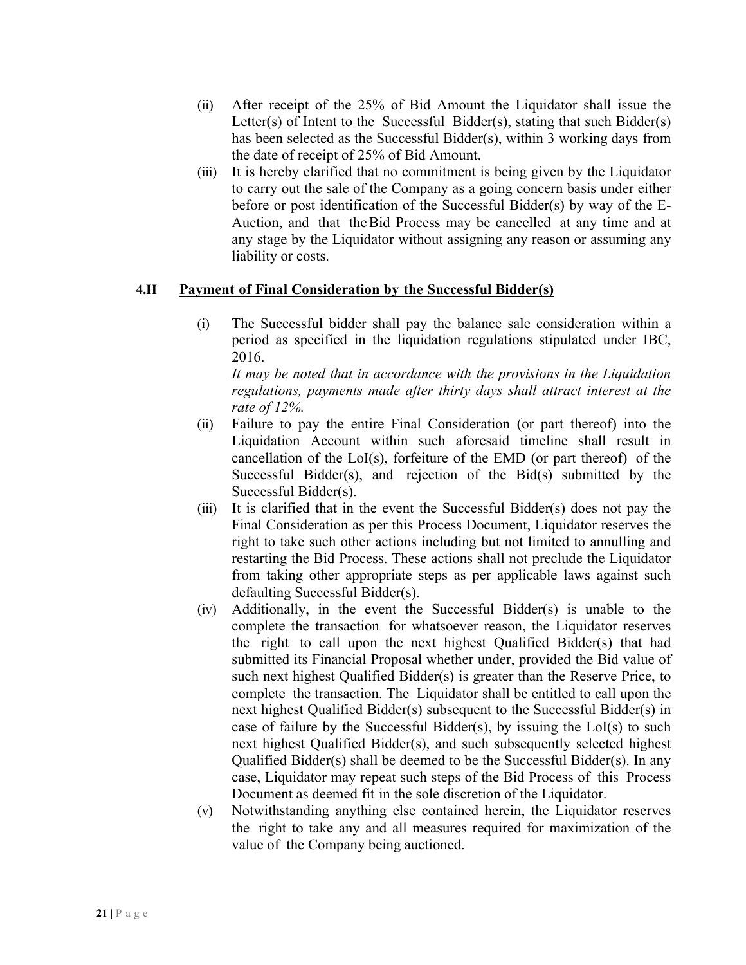- (ii) After receipt of the 25% of Bid Amount the Liquidator shall issue the Letter(s) of Intent to the Successful Bidder(s), stating that such Bidder(s) has been selected as the Successful Bidder(s), within 3 working days from the date of receipt of 25% of Bid Amount.
- (iii) It is hereby clarified that no commitment is being given by the Liquidator to carry out the sale of the Company as a going concern basis under either before or post identification of the Successful Bidder(s) by way of the E-Auction, and that theBid Process may be cancelled at any time and at any stage by the Liquidator without assigning any reason or assuming any liability or costs.

#### **4.H Payment of Final Consideration by the Successful Bidder(s)**

(i) The Successful bidder shall pay the balance sale consideration within a period as specified in the liquidation regulations stipulated under IBC, 2016.

*It may be noted that in accordance with the provisions in the Liquidation regulations, payments made after thirty days shall attract interest at the rate of 12%.*

- (ii) Failure to pay the entire Final Consideration (or part thereof) into the Liquidation Account within such aforesaid timeline shall result in cancellation of the LoI(s), forfeiture of the EMD (or part thereof) of the Successful Bidder(s), and rejection of the Bid(s) submitted by the Successful Bidder(s).
- (iii) It is clarified that in the event the Successful Bidder(s) does not pay the Final Consideration as per this Process Document, Liquidator reserves the right to take such other actions including but not limited to annulling and restarting the Bid Process. These actions shall not preclude the Liquidator from taking other appropriate steps as per applicable laws against such defaulting Successful Bidder(s).
- (iv) Additionally, in the event the Successful Bidder(s) is unable to the complete the transaction for whatsoever reason, the Liquidator reserves the right to call upon the next highest Qualified Bidder(s) that had submitted its Financial Proposal whether under, provided the Bid value of such next highest Qualified Bidder(s) is greater than the Reserve Price, to complete the transaction. The Liquidator shall be entitled to call upon the next highest Qualified Bidder(s) subsequent to the Successful Bidder(s) in case of failure by the Successful Bidder(s), by issuing the  $LoI(s)$  to such next highest Qualified Bidder(s), and such subsequently selected highest Qualified Bidder(s) shall be deemed to be the Successful Bidder(s). In any case, Liquidator may repeat such steps of the Bid Process of this Process Document as deemed fit in the sole discretion of the Liquidator.
- (v) Notwithstanding anything else contained herein, the Liquidator reserves the right to take any and all measures required for maximization of the value of the Company being auctioned.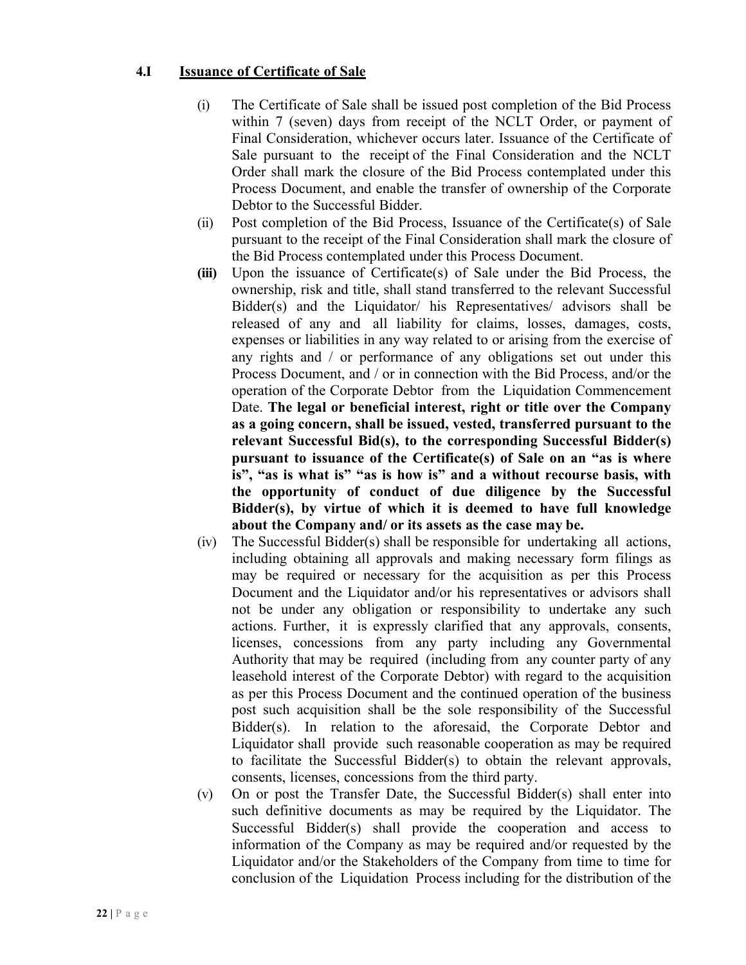#### **4.I Issuance of Certificate of Sale**

- (i) The Certificate of Sale shall be issued post completion of the Bid Process within 7 (seven) days from receipt of the NCLT Order, or payment of Final Consideration, whichever occurs later. Issuance of the Certificate of Sale pursuant to the receipt of the Final Consideration and the NCLT Order shall mark the closure of the Bid Process contemplated under this Process Document, and enable the transfer of ownership of the Corporate Debtor to the Successful Bidder.
- (ii) Post completion of the Bid Process, Issuance of the Certificate(s) of Sale pursuant to the receipt of the Final Consideration shall mark the closure of the Bid Process contemplated under this Process Document.
- **(iii)** Upon the issuance of Certificate(s) of Sale under the Bid Process, the ownership, risk and title, shall stand transferred to the relevant Successful Bidder(s) and the Liquidator/ his Representatives/ advisors shall be released of any and all liability for claims, losses, damages, costs, expenses or liabilities in any way related to or arising from the exercise of any rights and / or performance of any obligations set out under this Process Document, and / or in connection with the Bid Process, and/or the operation of the Corporate Debtor from the Liquidation Commencement Date. **The legal or beneficial interest, right or title over the Company as a going concern, shall be issued, vested, transferred pursuant to the relevant Successful Bid(s), to the corresponding Successful Bidder(s) pursuant to issuance of the Certificate(s) of Sale on an "as is where is", "as is what is" "as is how is" and a without recourse basis, with the opportunity of conduct of due diligence by the Successful Bidder(s), by virtue of which it is deemed to have full knowledge about the Company and/ or its assets as the case may be.**
- (iv) The Successful Bidder(s) shall be responsible for undertaking all actions, including obtaining all approvals and making necessary form filings as may be required or necessary for the acquisition as per this Process Document and the Liquidator and/or his representatives or advisors shall not be under any obligation or responsibility to undertake any such actions. Further, it is expressly clarified that any approvals, consents, licenses, concessions from any party including any Governmental Authority that may be required (including from any counter party of any leasehold interest of the Corporate Debtor) with regard to the acquisition as per this Process Document and the continued operation of the business post such acquisition shall be the sole responsibility of the Successful Bidder(s). In relation to the aforesaid, the Corporate Debtor and Liquidator shall provide such reasonable cooperation as may be required to facilitate the Successful Bidder(s) to obtain the relevant approvals, consents, licenses, concessions from the third party.
- (v) On or post the Transfer Date, the Successful Bidder(s) shall enter into such definitive documents as may be required by the Liquidator. The Successful Bidder(s) shall provide the cooperation and access to information of the Company as may be required and/or requested by the Liquidator and/or the Stakeholders of the Company from time to time for conclusion of the Liquidation Process including for the distribution of the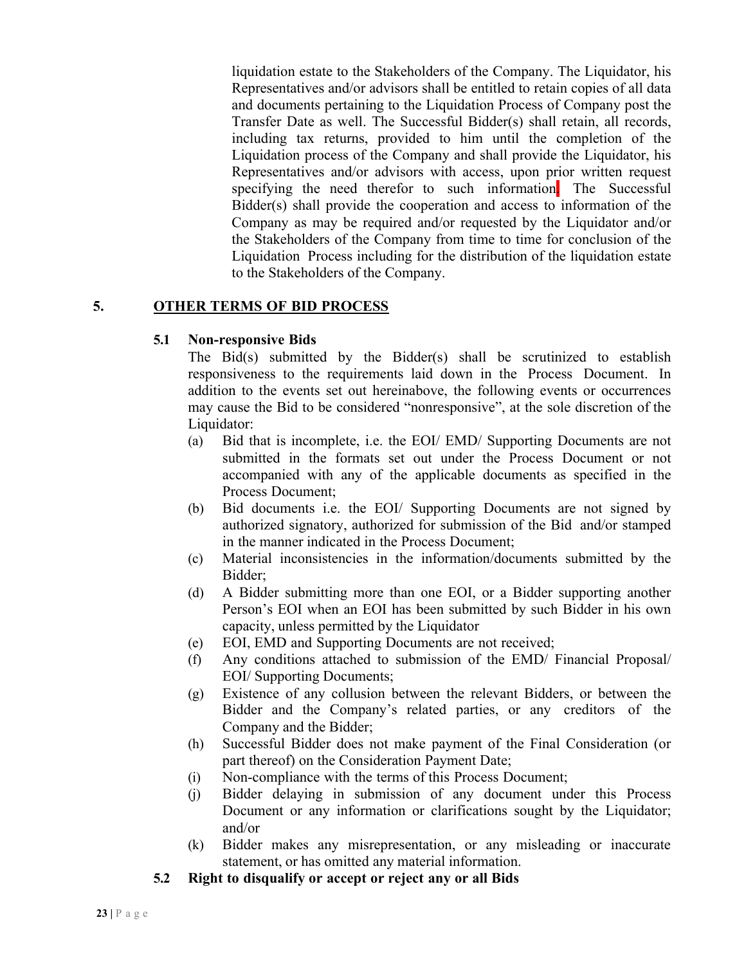liquidation estate to the Stakeholders of the Company. The Liquidator, his Representatives and/or advisors shall be entitled to retain copies of all data and documents pertaining to the Liquidation Process of Company post the Transfer Date as well. The Successful Bidder(s) shall retain, all records, including tax returns, provided to him until the completion of the Liquidation process of the Company and shall provide the Liquidator, his Representatives and/or advisors with access, upon prior written request specifying the need therefor to such information. The Successful Bidder(s) shall provide the cooperation and access to information of the Company as may be required and/or requested by the Liquidator and/or the Stakeholders of the Company from time to time for conclusion of the Liquidation Process including for the distribution of the liquidation estate to the Stakeholders of the Company.

# **5. OTHER TERMS OF BID PROCESS**

#### **5.1 Non-responsive Bids**

The Bid(s) submitted by the Bidder(s) shall be scrutinized to establish responsiveness to the requirements laid down in the Process Document. In addition to the events set out hereinabove, the following events or occurrences may cause the Bid to be considered "nonresponsive", at the sole discretion of the Liquidator:

- (a) Bid that is incomplete, i.e. the EOI/ EMD/ Supporting Documents are not submitted in the formats set out under the Process Document or not accompanied with any of the applicable documents as specified in the Process Document;
- (b) Bid documents i.e. the EOI/ Supporting Documents are not signed by authorized signatory, authorized for submission of the Bid and/or stamped in the manner indicated in the Process Document;
- (c) Material inconsistencies in the information/documents submitted by the Bidder;
- (d) A Bidder submitting more than one EOI, or a Bidder supporting another Person's EOI when an EOI has been submitted by such Bidder in his own capacity, unless permitted by the Liquidator
- (e) EOI, EMD and Supporting Documents are not received;
- (f) Any conditions attached to submission of the EMD/ Financial Proposal/ EOI/ Supporting Documents;
- (g) Existence of any collusion between the relevant Bidders, or between the Bidder and the Company's related parties, or any creditors of the Company and the Bidder;
- (h) Successful Bidder does not make payment of the Final Consideration (or part thereof) on the Consideration Payment Date;
- (i) Non-compliance with the terms of this Process Document;
- (j) Bidder delaying in submission of any document under this Process Document or any information or clarifications sought by the Liquidator; and/or
- (k) Bidder makes any misrepresentation, or any misleading or inaccurate statement, or has omitted any material information.
- **5.2 Right to disqualify or accept or reject any or all Bids**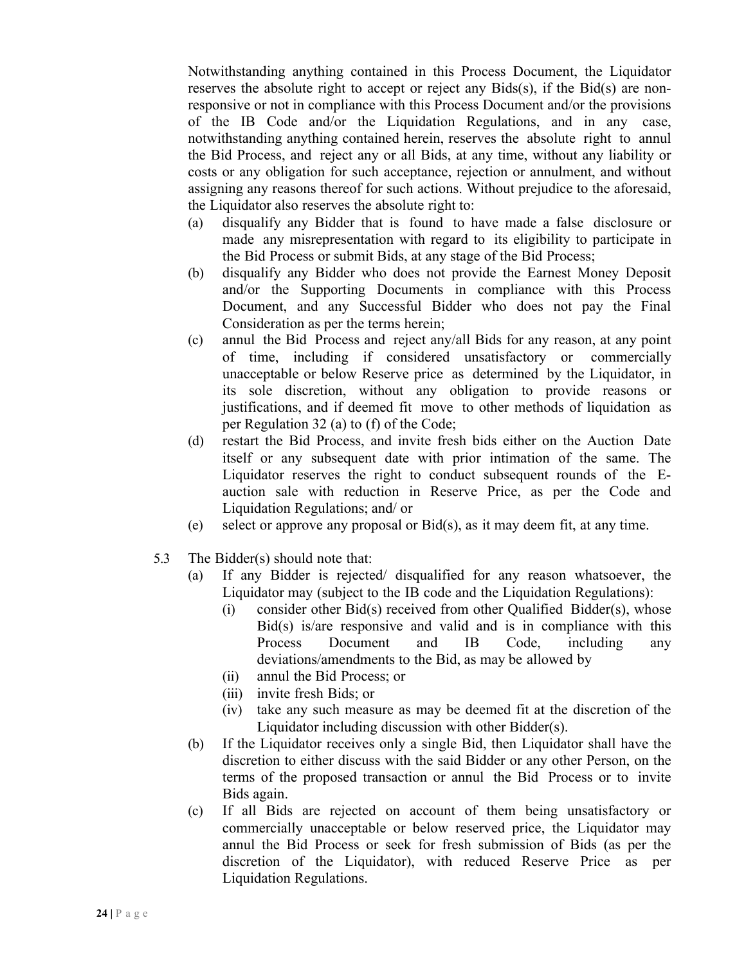Notwithstanding anything contained in this Process Document, the Liquidator reserves the absolute right to accept or reject any  $Bids(s)$ , if the  $Bid(s)$  are nonresponsive or not in compliance with this Process Document and/or the provisions of the IB Code and/or the Liquidation Regulations, and in any case, notwithstanding anything contained herein, reserves the absolute right to annul the Bid Process, and reject any or all Bids, at any time, without any liability or costs or any obligation for such acceptance, rejection or annulment, and without assigning any reasons thereof for such actions. Without prejudice to the aforesaid, the Liquidator also reserves the absolute right to:

- (a) disqualify any Bidder that is found to have made a false disclosure or made any misrepresentation with regard to its eligibility to participate in the Bid Process or submit Bids, at any stage of the Bid Process;
- (b) disqualify any Bidder who does not provide the Earnest Money Deposit and/or the Supporting Documents in compliance with this Process Document, and any Successful Bidder who does not pay the Final Consideration as per the terms herein;
- (c) annul the Bid Process and reject any/all Bids for any reason, at any point of time, including if considered unsatisfactory or commercially unacceptable or below Reserve price as determined by the Liquidator, in its sole discretion, without any obligation to provide reasons or justifications, and if deemed fit move to other methods of liquidation as per Regulation 32 (a) to (f) of the Code;
- (d) restart the Bid Process, and invite fresh bids either on the Auction Date itself or any subsequent date with prior intimation of the same. The Liquidator reserves the right to conduct subsequent rounds of the Eauction sale with reduction in Reserve Price, as per the Code and Liquidation Regulations; and/ or
- (e) select or approve any proposal or Bid(s), as it may deem fit, at any time.
- 5.3 The Bidder(s) should note that:
	- (a) If any Bidder is rejected/ disqualified for any reason whatsoever, the Liquidator may (subject to the IB code and the Liquidation Regulations):
		- (i) consider other Bid(s) received from other Qualified Bidder(s), whose Bid(s) is/are responsive and valid and is in compliance with this Process Document and IB Code, including any deviations/amendments to the Bid, as may be allowed by
		- (ii) annul the Bid Process; or
		- (iii) invite fresh Bids; or
		- (iv) take any such measure as may be deemed fit at the discretion of the Liquidator including discussion with other Bidder(s).
	- (b) If the Liquidator receives only a single Bid, then Liquidator shall have the discretion to either discuss with the said Bidder or any other Person, on the terms of the proposed transaction or annul the Bid Process or to invite Bids again.
	- (c) If all Bids are rejected on account of them being unsatisfactory or commercially unacceptable or below reserved price, the Liquidator may annul the Bid Process or seek for fresh submission of Bids (as per the discretion of the Liquidator), with reduced Reserve Price as per Liquidation Regulations.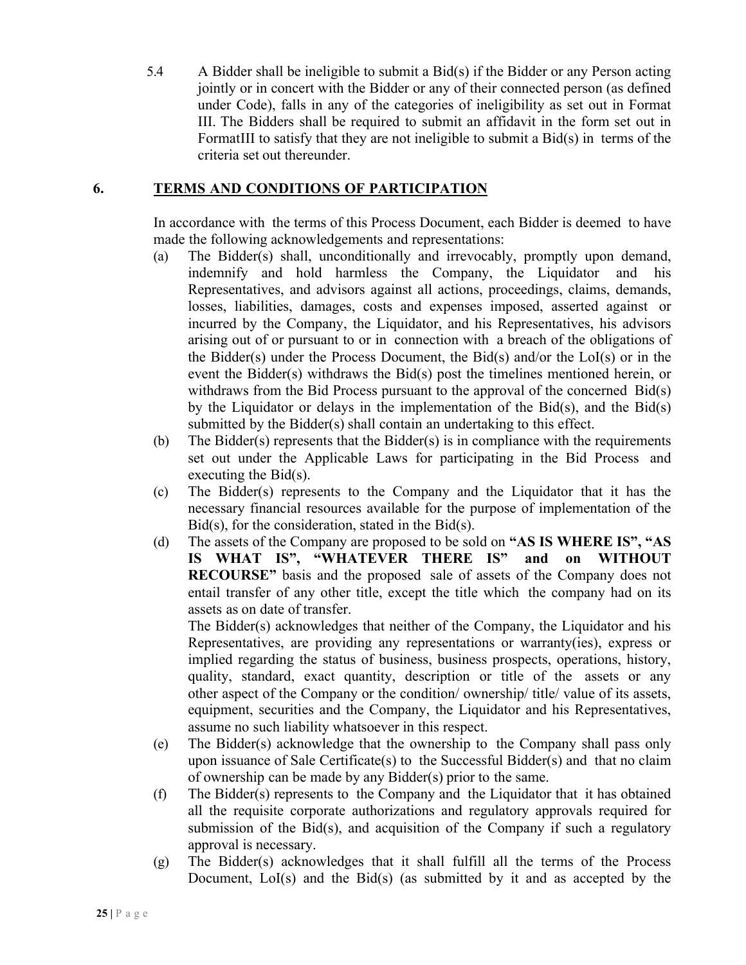5.4 A Bidder shall be ineligible to submit a Bid(s) if the Bidder or any Person acting jointly or in concert with the Bidder or any of their connected person (as defined under Code), falls in any of the categories of ineligibility as set out in Format III. The Bidders shall be required to submit an affidavit in the form set out in FormatIII to satisfy that they are not ineligible to submit a Bid(s) in terms of the criteria set out thereunder.

#### **6. TERMS AND CONDITIONS OF PARTICIPATION**

In accordance with the terms of this Process Document, each Bidder is deemed to have made the following acknowledgements and representations:

- (a) The Bidder(s) shall, unconditionally and irrevocably, promptly upon demand, indemnify and hold harmless the Company, the Liquidator and Representatives, and advisors against all actions, proceedings, claims, demands, losses, liabilities, damages, costs and expenses imposed, asserted against or incurred by the Company, the Liquidator, and his Representatives, his advisors arising out of or pursuant to or in connection with a breach of the obligations of the Bidder(s) under the Process Document, the Bid(s) and/or the LoI(s) or in the event the Bidder(s) withdraws the Bid(s) post the timelines mentioned herein, or withdraws from the Bid Process pursuant to the approval of the concerned Bid(s) by the Liquidator or delays in the implementation of the Bid(s), and the Bid(s) submitted by the Bidder(s) shall contain an undertaking to this effect.
- (b) The Bidder(s) represents that the Bidder(s) is in compliance with the requirements set out under the Applicable Laws for participating in the Bid Process and executing the Bid(s).
- (c) The Bidder(s) represents to the Company and the Liquidator that it has the necessary financial resources available for the purpose of implementation of the  $Bid(s)$ , for the consideration, stated in the  $Bid(s)$ .
- (d) The assets of the Company are proposed to be sold on **"AS IS WHERE IS", "AS IS WHAT IS", "WHATEVER THERE IS" and on WITHOUT RECOURSE"** basis and the proposed sale of assets of the Company does not entail transfer of any other title, except the title which the company had on its assets as on date of transfer.

The Bidder(s) acknowledges that neither of the Company, the Liquidator and his Representatives, are providing any representations or warranty(ies), express or implied regarding the status of business, business prospects, operations, history, quality, standard, exact quantity, description or title of the assets or any other aspect of the Company or the condition/ ownership/ title/ value of its assets, equipment, securities and the Company, the Liquidator and his Representatives, assume no such liability whatsoever in this respect.

- (e) The Bidder(s) acknowledge that the ownership to the Company shall pass only upon issuance of Sale Certificate(s) to the Successful Bidder(s) and that no claim of ownership can be made by any Bidder(s) prior to the same.
- (f) The Bidder(s) represents to the Company and the Liquidator that it has obtained all the requisite corporate authorizations and regulatory approvals required for submission of the Bid(s), and acquisition of the Company if such a regulatory approval is necessary.
- (g) The Bidder(s) acknowledges that it shall fulfill all the terms of the Process Document, LoI(s) and the Bid(s) (as submitted by it and as accepted by the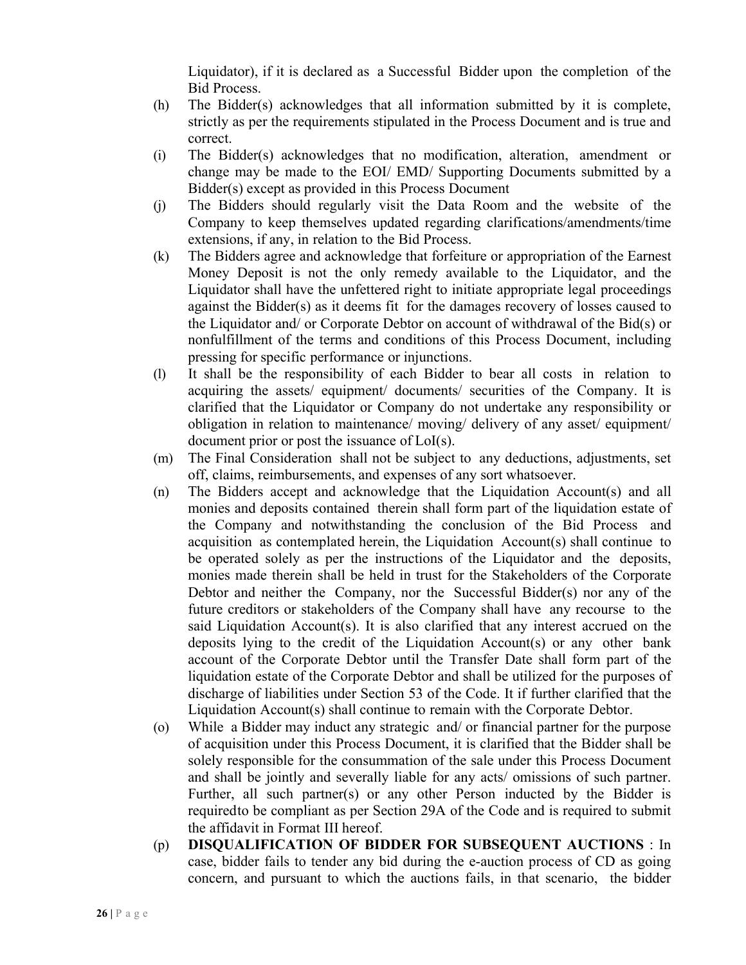Liquidator), if it is declared as a Successful Bidder upon the completion of the Bid Process.

- (h) The Bidder(s) acknowledges that all information submitted by it is complete, strictly as per the requirements stipulated in the Process Document and is true and correct.
- (i) The Bidder(s) acknowledges that no modification, alteration, amendment or change may be made to the EOI/ EMD/ Supporting Documents submitted by a Bidder(s) except as provided in this Process Document
- (j) The Bidders should regularly visit the Data Room and the website of the Company to keep themselves updated regarding clarifications/amendments/time extensions, if any, in relation to the Bid Process.
- (k) The Bidders agree and acknowledge that forfeiture or appropriation of the Earnest Money Deposit is not the only remedy available to the Liquidator, and the Liquidator shall have the unfettered right to initiate appropriate legal proceedings against the Bidder(s) as it deems fit for the damages recovery of losses caused to the Liquidator and/ or Corporate Debtor on account of withdrawal of the Bid(s) or nonfulfillment of the terms and conditions of this Process Document, including pressing for specific performance or injunctions.
- (l) It shall be the responsibility of each Bidder to bear all costs in relation to acquiring the assets/ equipment/ documents/ securities of the Company. It is clarified that the Liquidator or Company do not undertake any responsibility or obligation in relation to maintenance/ moving/ delivery of any asset/ equipment/ document prior or post the issuance of LoI(s).
- (m) The Final Consideration shall not be subject to any deductions, adjustments, set off, claims, reimbursements, and expenses of any sort whatsoever.
- (n) The Bidders accept and acknowledge that the Liquidation Account(s) and all monies and deposits contained therein shall form part of the liquidation estate of the Company and notwithstanding the conclusion of the Bid Process and acquisition as contemplated herein, the Liquidation Account(s) shall continue to be operated solely as per the instructions of the Liquidator and the deposits, monies made therein shall be held in trust for the Stakeholders of the Corporate Debtor and neither the Company, nor the Successful Bidder(s) nor any of the future creditors or stakeholders of the Company shall have any recourse to the said Liquidation Account(s). It is also clarified that any interest accrued on the deposits lying to the credit of the Liquidation Account(s) or any other bank account of the Corporate Debtor until the Transfer Date shall form part of the liquidation estate of the Corporate Debtor and shall be utilized for the purposes of discharge of liabilities under Section 53 of the Code. It if further clarified that the Liquidation Account(s) shall continue to remain with the Corporate Debtor.
- (o) While a Bidder may induct any strategic and/ or financial partner for the purpose of acquisition under this Process Document, it is clarified that the Bidder shall be solely responsible for the consummation of the sale under this Process Document and shall be jointly and severally liable for any acts/ omissions of such partner. Further, all such partner(s) or any other Person inducted by the Bidder is requiredto be compliant as per Section 29A of the Code and is required to submit the affidavit in Format III hereof.
- (p) **DISQUALIFICATION OF BIDDER FOR SUBSEQUENT AUCTIONS** : In case, bidder fails to tender any bid during the e-auction process of CD as going concern, and pursuant to which the auctions fails, in that scenario, the bidder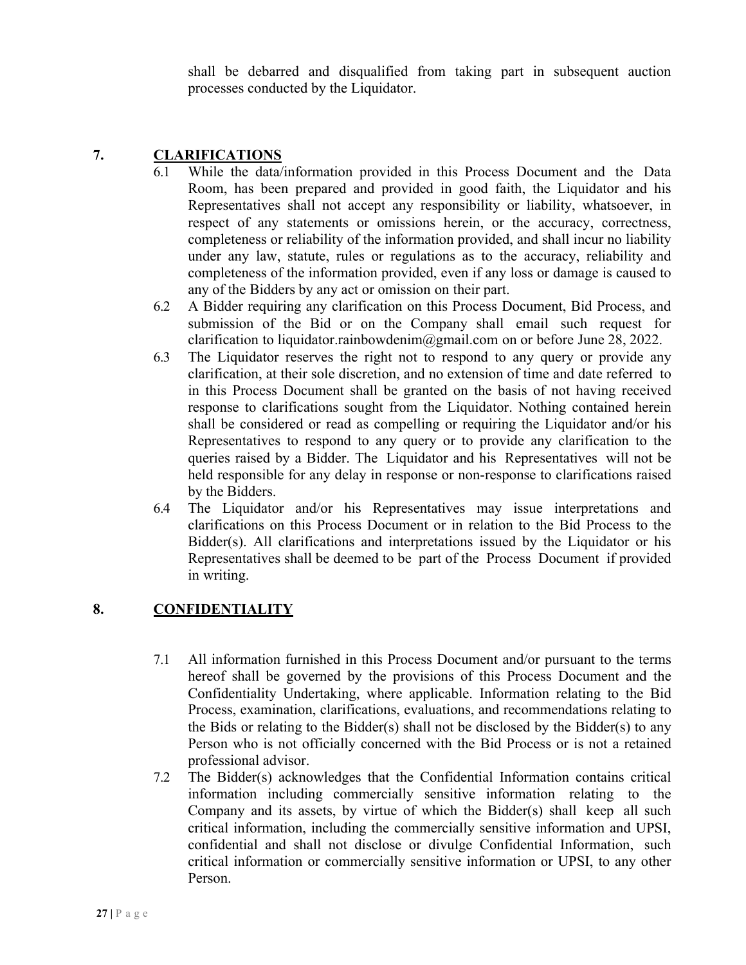shall be debarred and disqualified from taking part in subsequent auction processes conducted by the Liquidator.

#### **7. CLARIFICATIONS**

- 6.1 While the data/information provided in this Process Document and the Data Room, has been prepared and provided in good faith, the Liquidator and his Representatives shall not accept any responsibility or liability, whatsoever, in respect of any statements or omissions herein, or the accuracy, correctness, completeness or reliability of the information provided, and shall incur no liability under any law, statute, rules or regulations as to the accuracy, reliability and completeness of the information provided, even if any loss or damage is caused to any of the Bidders by any act or omission on their part.
- 6.2 A Bidder requiring any clarification on this Process Document, Bid Process, and submission of the Bid or on the Company shall email such request for clarification to liquidator.rainbowdenim@gmail.com on or before June 28, 2022.
- 6.3 The Liquidator reserves the right not to respond to any query or provide any clarification, at their sole discretion, and no extension of time and date referred to in this Process Document shall be granted on the basis of not having received response to clarifications sought from the Liquidator. Nothing contained herein shall be considered or read as compelling or requiring the Liquidator and/or his Representatives to respond to any query or to provide any clarification to the queries raised by a Bidder. The Liquidator and his Representatives will not be held responsible for any delay in response or non-response to clarifications raised by the Bidders.
- 6.4 The Liquidator and/or his Representatives may issue interpretations and clarifications on this Process Document or in relation to the Bid Process to the Bidder(s). All clarifications and interpretations issued by the Liquidator or his Representatives shall be deemed to be part of the Process Document if provided in writing.

## **8. CONFIDENTIALITY**

- 7.1 All information furnished in this Process Document and/or pursuant to the terms hereof shall be governed by the provisions of this Process Document and the Confidentiality Undertaking, where applicable. Information relating to the Bid Process, examination, clarifications, evaluations, and recommendations relating to the Bids or relating to the Bidder(s) shall not be disclosed by the Bidder(s) to any Person who is not officially concerned with the Bid Process or is not a retained professional advisor.
- 7.2 The Bidder(s) acknowledges that the Confidential Information contains critical information including commercially sensitive information relating to the Company and its assets, by virtue of which the Bidder(s) shall keep all such critical information, including the commercially sensitive information and UPSI, confidential and shall not disclose or divulge Confidential Information, such critical information or commercially sensitive information or UPSI, to any other Person.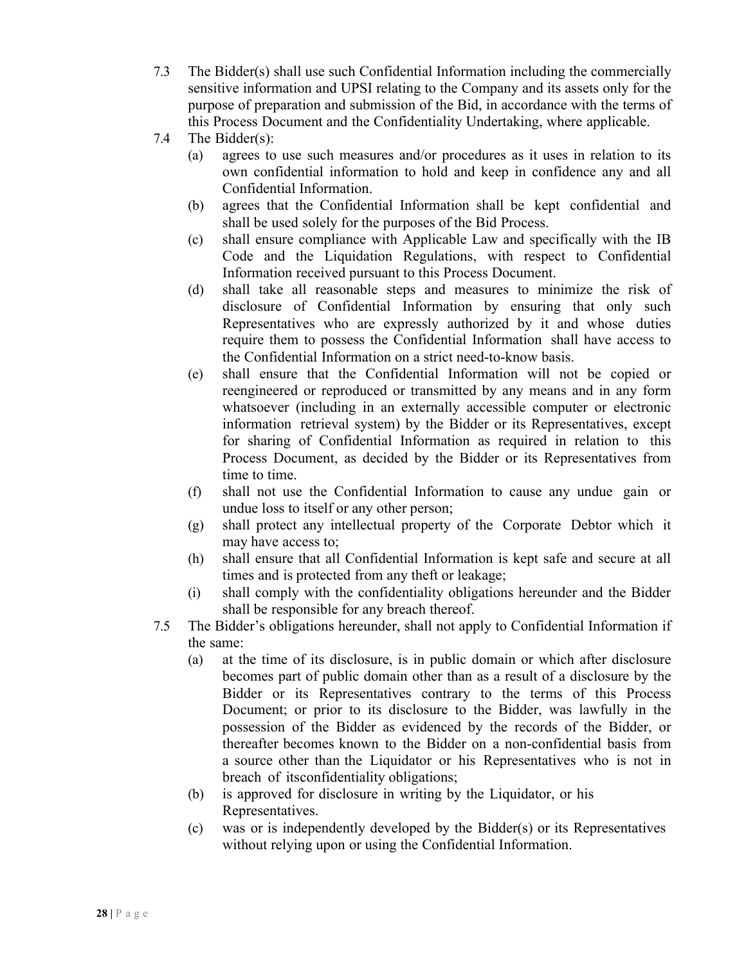- 7.3 The Bidder(s) shall use such Confidential Information including the commercially sensitive information and UPSI relating to the Company and its assets only for the purpose of preparation and submission of the Bid, in accordance with the terms of this Process Document and the Confidentiality Undertaking, where applicable.
- 7.4 The Bidder(s):
	- (a) agrees to use such measures and/or procedures as it uses in relation to its own confidential information to hold and keep in confidence any and all Confidential Information.
	- (b) agrees that the Confidential Information shall be kept confidential and shall be used solely for the purposes of the Bid Process.
	- (c) shall ensure compliance with Applicable Law and specifically with the IB Code and the Liquidation Regulations, with respect to Confidential Information received pursuant to this Process Document.
	- (d) shall take all reasonable steps and measures to minimize the risk of disclosure of Confidential Information by ensuring that only such Representatives who are expressly authorized by it and whose duties require them to possess the Confidential Information shall have access to the Confidential Information on a strict need-to-know basis.
	- (e) shall ensure that the Confidential Information will not be copied or reengineered or reproduced or transmitted by any means and in any form whatsoever (including in an externally accessible computer or electronic information retrieval system) by the Bidder or its Representatives, except for sharing of Confidential Information as required in relation to this Process Document, as decided by the Bidder or its Representatives from time to time.
	- (f) shall not use the Confidential Information to cause any undue gain or undue loss to itself or any other person;
	- (g) shall protect any intellectual property of the Corporate Debtor which it may have access to;
	- (h) shall ensure that all Confidential Information is kept safe and secure at all times and is protected from any theft or leakage;
	- (i) shall comply with the confidentiality obligations hereunder and the Bidder shall be responsible for any breach thereof.
- 7.5 The Bidder's obligations hereunder, shall not apply to Confidential Information if the same:
	- (a) at the time of its disclosure, is in public domain or which after disclosure becomes part of public domain other than as a result of a disclosure by the Bidder or its Representatives contrary to the terms of this Process Document; or prior to its disclosure to the Bidder, was lawfully in the possession of the Bidder as evidenced by the records of the Bidder, or thereafter becomes known to the Bidder on a non-confidential basis from a source other than the Liquidator or his Representatives who is not in breach of itsconfidentiality obligations;
	- (b) is approved for disclosure in writing by the Liquidator, or his Representatives.
	- (c) was or is independently developed by the Bidder(s) or its Representatives without relying upon or using the Confidential Information.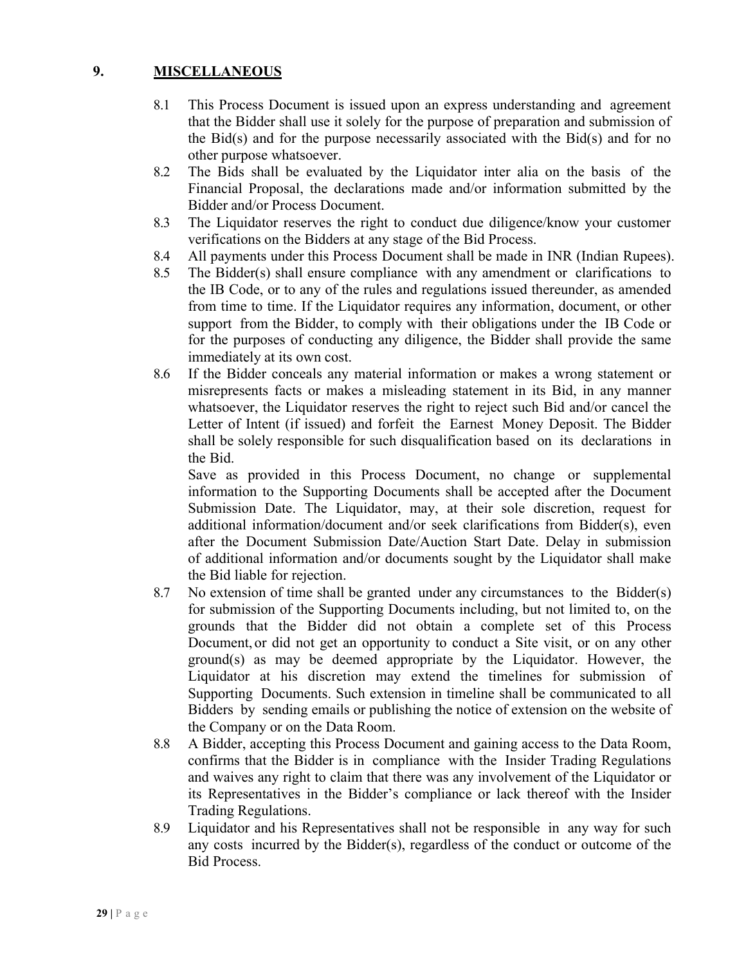## **9. MISCELLANEOUS**

- 8.1 This Process Document is issued upon an express understanding and agreement that the Bidder shall use it solely for the purpose of preparation and submission of the Bid(s) and for the purpose necessarily associated with the Bid(s) and for no other purpose whatsoever.
- 8.2 The Bids shall be evaluated by the Liquidator inter alia on the basis of the Financial Proposal, the declarations made and/or information submitted by the Bidder and/or Process Document.
- 8.3 The Liquidator reserves the right to conduct due diligence/know your customer verifications on the Bidders at any stage of the Bid Process.
- 8.4 All payments under this Process Document shall be made in INR (Indian Rupees).
- 8.5 The Bidder(s) shall ensure compliance with any amendment or clarifications to the IB Code, or to any of the rules and regulations issued thereunder, as amended from time to time. If the Liquidator requires any information, document, or other support from the Bidder, to comply with their obligations under the IB Code or for the purposes of conducting any diligence, the Bidder shall provide the same immediately at its own cost.
- 8.6 If the Bidder conceals any material information or makes a wrong statement or misrepresents facts or makes a misleading statement in its Bid, in any manner whatsoever, the Liquidator reserves the right to reject such Bid and/or cancel the Letter of Intent (if issued) and forfeit the Earnest Money Deposit. The Bidder shall be solely responsible for such disqualification based on its declarations in the Bid.

Save as provided in this Process Document, no change or supplemental information to the Supporting Documents shall be accepted after the Document Submission Date. The Liquidator, may, at their sole discretion, request for additional information/document and/or seek clarifications from Bidder(s), even after the Document Submission Date/Auction Start Date. Delay in submission of additional information and/or documents sought by the Liquidator shall make the Bid liable for rejection.

- 8.7 No extension of time shall be granted under any circumstances to the Bidder(s) for submission of the Supporting Documents including, but not limited to, on the grounds that the Bidder did not obtain a complete set of this Process Document, or did not get an opportunity to conduct a Site visit, or on any other ground(s) as may be deemed appropriate by the Liquidator. However, the Liquidator at his discretion may extend the timelines for submission of Supporting Documents. Such extension in timeline shall be communicated to all Bidders by sending emails or publishing the notice of extension on the website of the Company or on the Data Room.
- 8.8 A Bidder, accepting this Process Document and gaining access to the Data Room, confirms that the Bidder is in compliance with the Insider Trading Regulations and waives any right to claim that there was any involvement of the Liquidator or its Representatives in the Bidder's compliance or lack thereof with the Insider Trading Regulations.
- 8.9 Liquidator and his Representatives shall not be responsible in any way for such any costs incurred by the Bidder(s), regardless of the conduct or outcome of the Bid Process.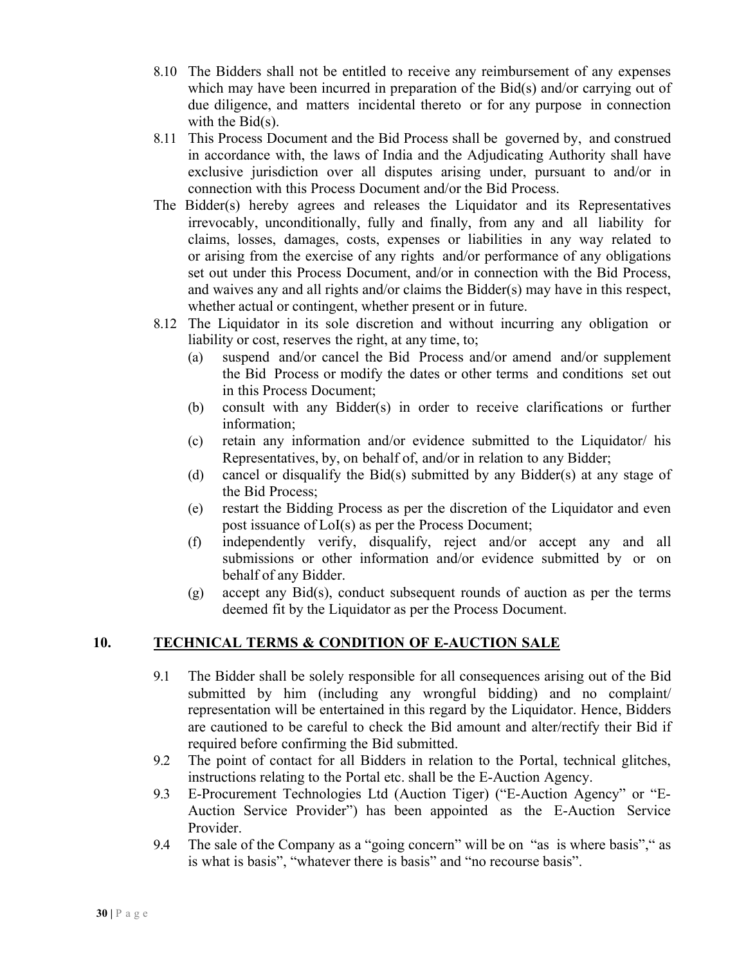- 8.10 The Bidders shall not be entitled to receive any reimbursement of any expenses which may have been incurred in preparation of the Bid(s) and/or carrying out of due diligence, and matters incidental thereto or for any purpose in connection with the Bid(s).
- 8.11 This Process Document and the Bid Process shall be governed by, and construed in accordance with, the laws of India and the Adjudicating Authority shall have exclusive jurisdiction over all disputes arising under, pursuant to and/or in connection with this Process Document and/or the Bid Process.
- The Bidder(s) hereby agrees and releases the Liquidator and its Representatives irrevocably, unconditionally, fully and finally, from any and all liability for claims, losses, damages, costs, expenses or liabilities in any way related to or arising from the exercise of any rights and/or performance of any obligations set out under this Process Document, and/or in connection with the Bid Process, and waives any and all rights and/or claims the Bidder(s) may have in this respect, whether actual or contingent, whether present or in future.
- 8.12 The Liquidator in its sole discretion and without incurring any obligation or liability or cost, reserves the right, at any time, to;
	- (a) suspend and/or cancel the Bid Process and/or amend and/or supplement the Bid Process or modify the dates or other terms and conditions set out in this Process Document;
	- (b) consult with any Bidder(s) in order to receive clarifications or further information;
	- (c) retain any information and/or evidence submitted to the Liquidator/ his Representatives, by, on behalf of, and/or in relation to any Bidder;
	- (d) cancel or disqualify the Bid(s) submitted by any Bidder(s) at any stage of the Bid Process;
	- (e) restart the Bidding Process as per the discretion of the Liquidator and even post issuance of LoI(s) as per the Process Document;
	- (f) independently verify, disqualify, reject and/or accept any and all submissions or other information and/or evidence submitted by or on behalf of any Bidder.
	- (g) accept any Bid(s), conduct subsequent rounds of auction as per the terms deemed fit by the Liquidator as per the Process Document.

## **10. TECHNICAL TERMS & CONDITION OF E-AUCTION SALE**

- 9.1 The Bidder shall be solely responsible for all consequences arising out of the Bid submitted by him (including any wrongful bidding) and no complaint/ representation will be entertained in this regard by the Liquidator. Hence, Bidders are cautioned to be careful to check the Bid amount and alter/rectify their Bid if required before confirming the Bid submitted.
- 9.2 The point of contact for all Bidders in relation to the Portal, technical glitches, instructions relating to the Portal etc. shall be the E-Auction Agency.
- 9.3 E-Procurement Technologies Ltd (Auction Tiger) ("E-Auction Agency" or "E-Auction Service Provider") has been appointed as the E-Auction Service Provider.
- 9.4 The sale of the Company as a "going concern" will be on "as is where basis"," as is what is basis", "whatever there is basis" and "no recourse basis".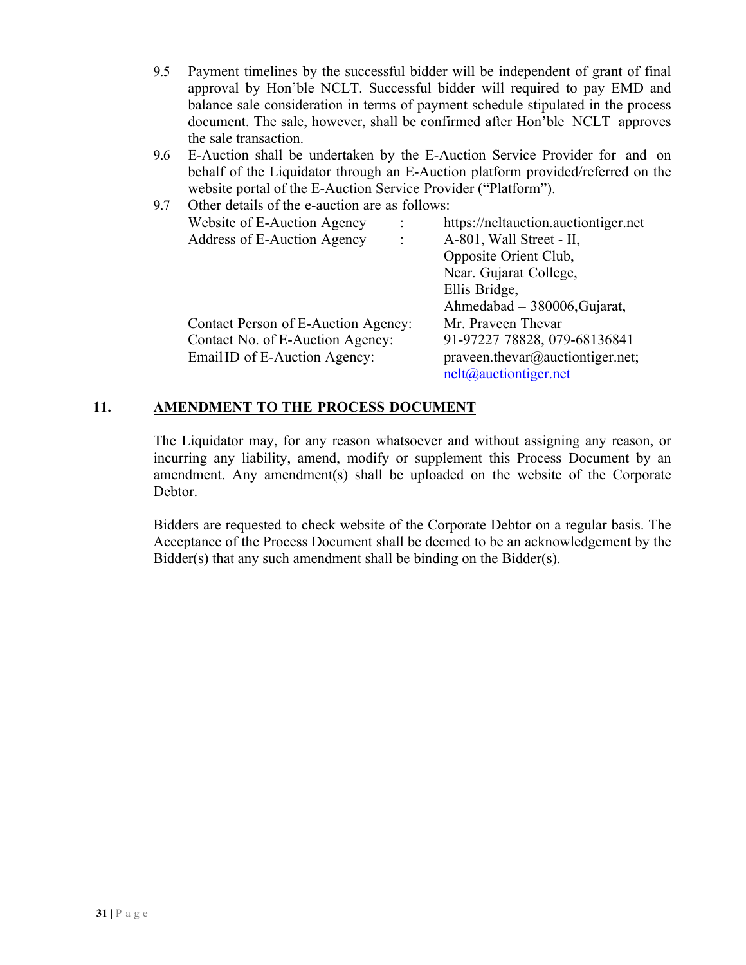- 9.5 Payment timelines by the successful bidder will be independent of grant of final approval by Hon'ble NCLT. Successful bidder will required to pay EMD and balance sale consideration in terms of payment schedule stipulated in the process document. The sale, however, shall be confirmed after Hon'ble NCLT approves the sale transaction.
- 9.6 E-Auction shall be undertaken by the E-Auction Service Provider for and on behalf of the Liquidator through an E-Auction platform provided/referred on the website portal of the E-Auction Service Provider ("Platform").

| 9.7 | Other details of the e-auction are as follows: |                                      |
|-----|------------------------------------------------|--------------------------------------|
|     | Website of E-Auction Agency                    | https://ncltauction.auctiontiger.net |
|     | Address of E-Auction Agency                    | A-801, Wall Street - II,             |
|     |                                                | Opposite Orient Club,                |
|     |                                                | Near. Gujarat College,               |
|     |                                                | Ellis Bridge,                        |
|     |                                                | Ahmedabad - 380006, Gujarat,         |
|     | Contact Person of E-Auction Agency:            | Mr. Praveen Thevar                   |
|     | Contact No. of E-Auction Agency:               | 91-97227 78828, 079-68136841         |
|     | Email ID of E-Auction Agency:                  | praveen.thevar@auctiontiger.net;     |
|     |                                                | $nclt$ (@auctiontiger.net            |

# **11. AMENDMENT TO THE PROCESS DOCUMENT**

The Liquidator may, for any reason whatsoever and without assigning any reason, or incurring any liability, amend, modify or supplement this Process Document by an amendment. Any amendment(s) shall be uploaded on the website of the Corporate Debtor.

Bidders are requested to check website of the Corporate Debtor on a regular basis. The Acceptance of the Process Document shall be deemed to be an acknowledgement by the Bidder(s) that any such amendment shall be binding on the Bidder(s).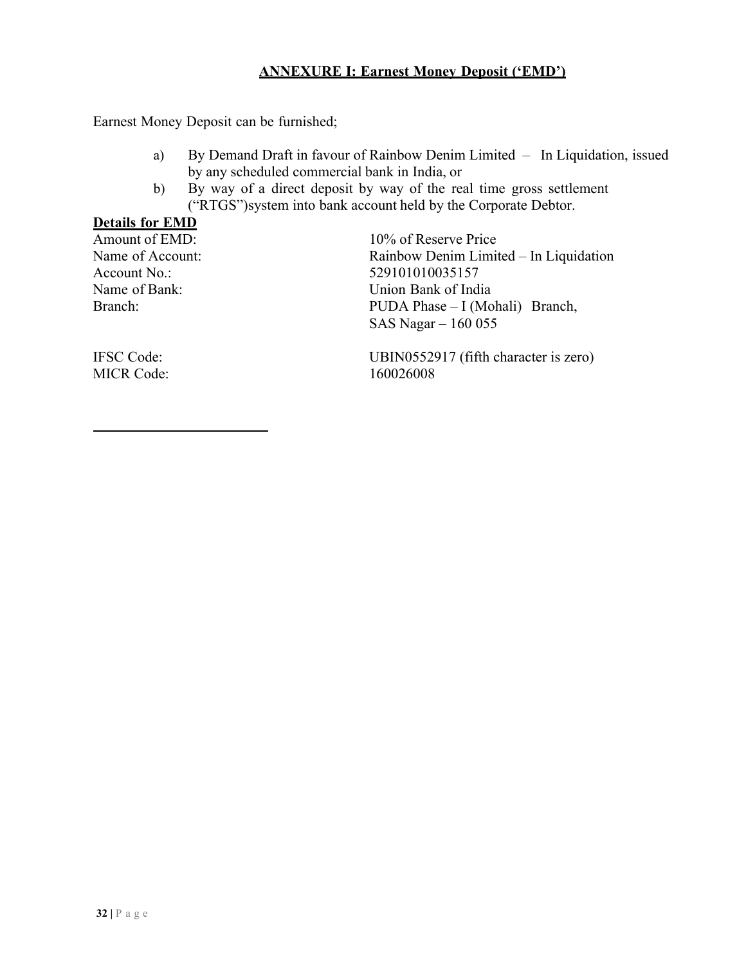#### **ANNEXURE I: Earnest Money Deposit ('EMD')**

Earnest Money Deposit can be furnished;

- a) By Demand Draft in favour of Rainbow Denim Limited In Liquidation, issued by any scheduled commercial bank in India, or
- b) By way of a direct deposit by way of the real time gross settlement ("RTGS")system into bank account held by the Corporate Debtor.

#### **Details for EMD**

Amount of EMD:  $10\%$  of Reserve Price Name of Account: Rainbow Denim Limited – In Liquidation Account No.: 529101010035157 Name of Bank: Union Bank of India Branch: PUDA Phase – I (Mohali) Branch, SAS Nagar – 160 055

MICR Code: 160026008

IFSC Code: UBIN0552917 (fifth character is zero)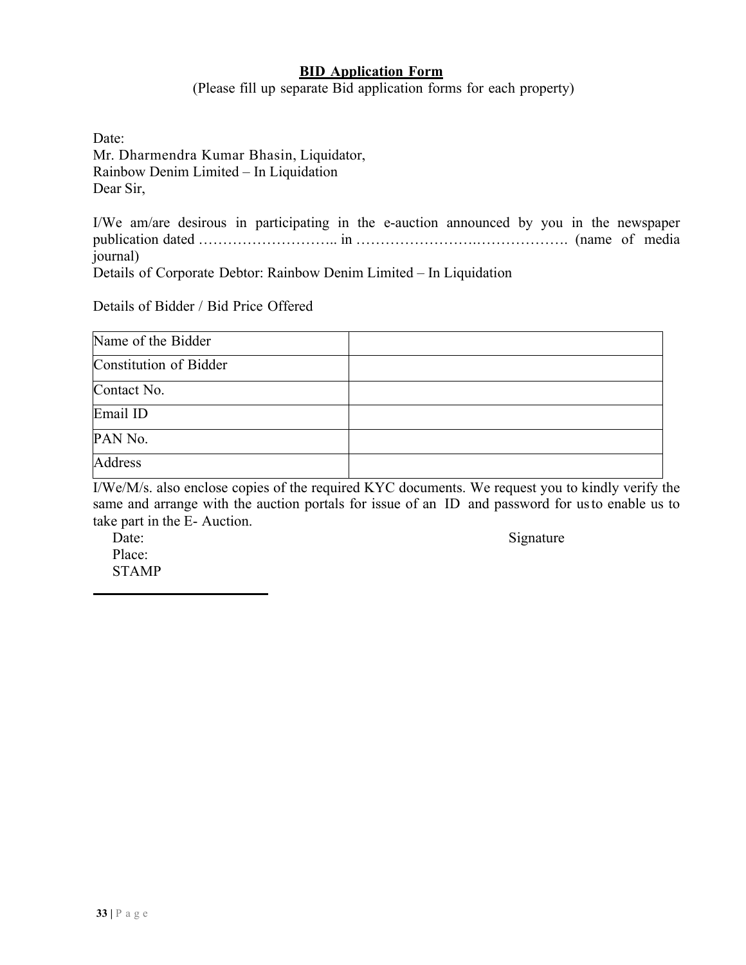#### **BID Application Form**

(Please fill up separate Bid application forms for each property)

| Date:                                    |
|------------------------------------------|
| Mr. Dharmendra Kumar Bhasin, Liquidator, |
| Rainbow Denim Limited – In Liquidation   |
| Dear Sir,                                |

I/We am/are desirous in participating in the e-auction announced by you in the newspaper publication dated ……………………….. in …………………….………………. (name of media journal)

Details of Corporate Debtor: Rainbow Denim Limited – In Liquidation

Details of Bidder / Bid Price Offered

| Name of the Bidder     |  |
|------------------------|--|
| Constitution of Bidder |  |
| Contact No.            |  |
| Email ID               |  |
| PAN No.                |  |
| Address                |  |

I/We/M/s. also enclose copies of the required KYC documents. We request you to kindly verify the same and arrange with the auction portals for issue of an ID and password for usto enable us to take part in the E- Auction.

Place: STAMP

Date: Signature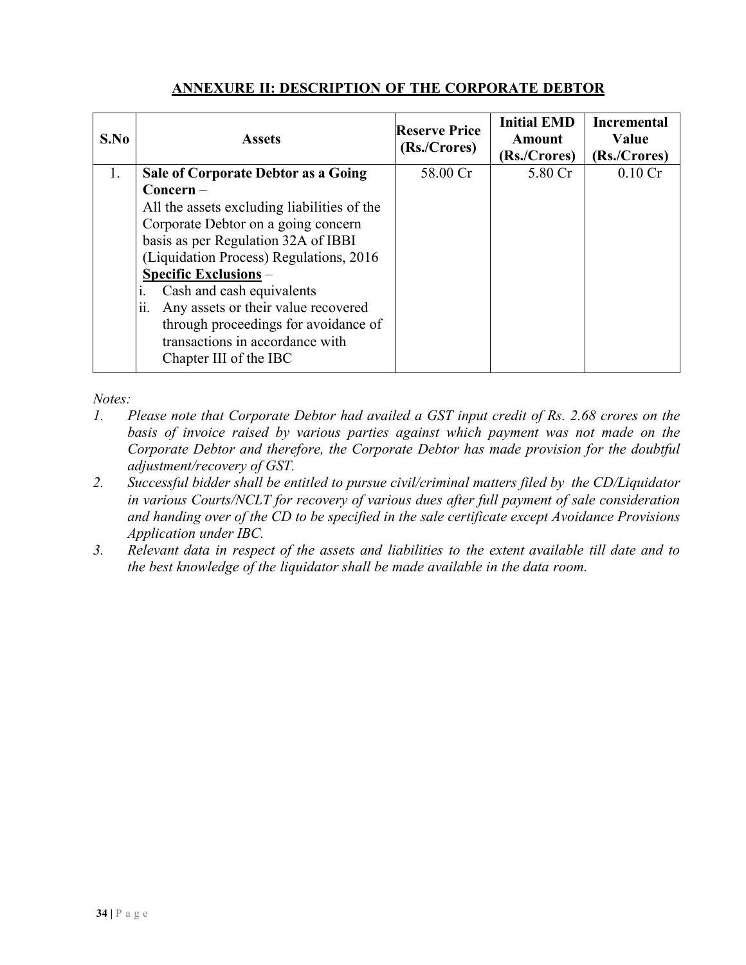## **ANNEXURE II: DESCRIPTION OF THE CORPORATE DEBTOR**

| S.No | <b>Assets</b>                               | <b>Reserve Price</b><br>(Rs./Crores) | <b>Initial EMD</b><br><b>Amount</b><br>(Rs./Crores) | <b>Incremental</b><br>Value<br>(Rs./Crores) |
|------|---------------------------------------------|--------------------------------------|-----------------------------------------------------|---------------------------------------------|
| 1.   | Sale of Corporate Debtor as a Going         | 58.00 Cr                             | 5.80 Cr                                             | $0.10 \mathrm{Cr}$                          |
|      | $Concern -$                                 |                                      |                                                     |                                             |
|      | All the assets excluding liabilities of the |                                      |                                                     |                                             |
|      | Corporate Debtor on a going concern         |                                      |                                                     |                                             |
|      | basis as per Regulation 32A of IBBI         |                                      |                                                     |                                             |
|      | (Liquidation Process) Regulations, 2016     |                                      |                                                     |                                             |
|      | <b>Specific Exclusions -</b>                |                                      |                                                     |                                             |
|      | Cash and cash equivalents                   |                                      |                                                     |                                             |
|      | Any assets or their value recovered<br>11.  |                                      |                                                     |                                             |
|      | through proceedings for avoidance of        |                                      |                                                     |                                             |
|      | transactions in accordance with             |                                      |                                                     |                                             |
|      | Chapter III of the IBC                      |                                      |                                                     |                                             |
|      |                                             |                                      |                                                     |                                             |

*Notes:*

- *1. Please note that Corporate Debtor had availed a GST input credit of Rs. 2.68 crores on the basis of invoice raised by various parties against which payment was not made on the Corporate Debtor and therefore, the Corporate Debtor has made provision for the doubtful adjustment/recovery of GST.*
- *2. Successful bidder shall be entitled to pursue civil/criminal matters filed by the CD/Liquidator in various Courts/NCLT for recovery of various dues after full payment of sale consideration and handing over of the CD to be specified in the sale certificate except Avoidance Provisions Application under IBC.*
- *3. Relevant data in respect of the assets and liabilities to the extent available till date and to the best knowledge of the liquidator shall be made available in the data room.*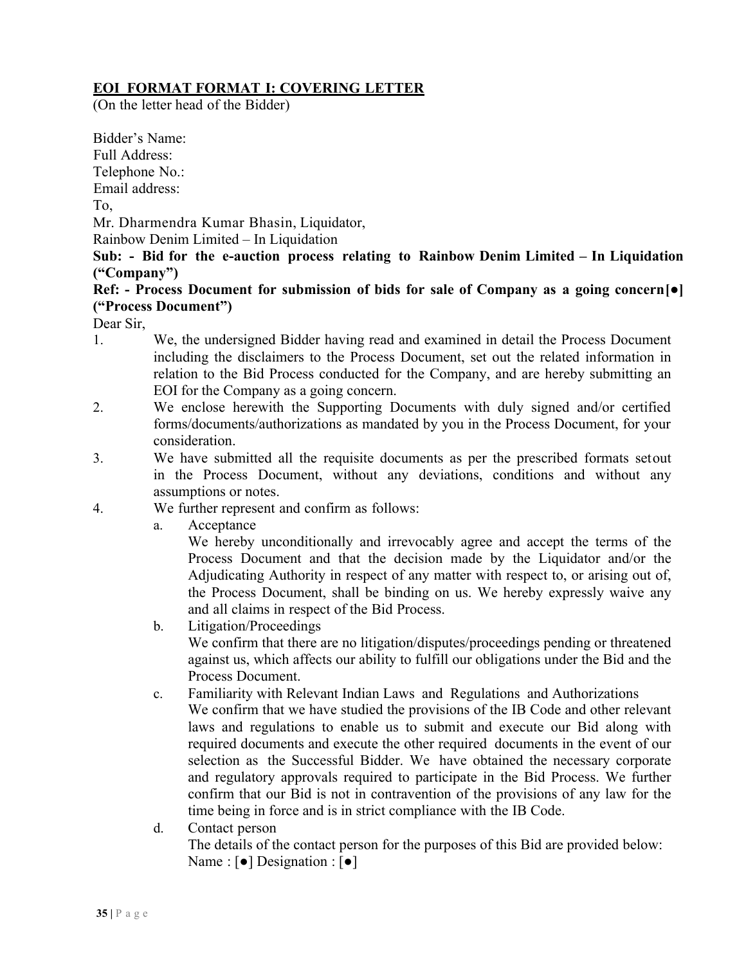# **EOI FORMAT FORMAT I: COVERING LETTER**

(On the letter head of the Bidder)

Bidder's Name:

Full Address:

Telephone No.:

Email address:

To,

Mr. Dharmendra Kumar Bhasin, Liquidator,

Rainbow Denim Limited – In Liquidation

**Sub: - Bid for the e-auction process relating to Rainbow Denim Limited – In Liquidation ("Company")**

## **Ref: - Process Document for submission of bids for sale of Company as a going concern[●] ("Process Document")**

Dear Sir,

- 1. We, the undersigned Bidder having read and examined in detail the Process Document including the disclaimers to the Process Document, set out the related information in relation to the Bid Process conducted for the Company, and are hereby submitting an EOI for the Company as a going concern.
- 2. We enclose herewith the Supporting Documents with duly signed and/or certified forms/documents/authorizations as mandated by you in the Process Document, for your consideration.
- 3. We have submitted all the requisite documents as per the prescribed formats setout in the Process Document, without any deviations, conditions and without any assumptions or notes.
- 4. We further represent and confirm as follows:
	- a. Acceptance

We hereby unconditionally and irrevocably agree and accept the terms of the Process Document and that the decision made by the Liquidator and/or the Adjudicating Authority in respect of any matter with respect to, or arising out of, the Process Document, shall be binding on us. We hereby expressly waive any and all claims in respect of the Bid Process.

- b. Litigation/Proceedings We confirm that there are no litigation/disputes/proceedings pending or threatened against us, which affects our ability to fulfill our obligations under the Bid and the Process Document.
- c. Familiarity with Relevant Indian Laws and Regulations and Authorizations We confirm that we have studied the provisions of the IB Code and other relevant laws and regulations to enable us to submit and execute our Bid along with required documents and execute the other required documents in the event of our selection as the Successful Bidder. We have obtained the necessary corporate and regulatory approvals required to participate in the Bid Process. We further confirm that our Bid is not in contravention of the provisions of any law for the time being in force and is in strict compliance with the IB Code.
- d. Contact person The details of the contact person for the purposes of this Bid are provided below: Name : [●] Designation : [●]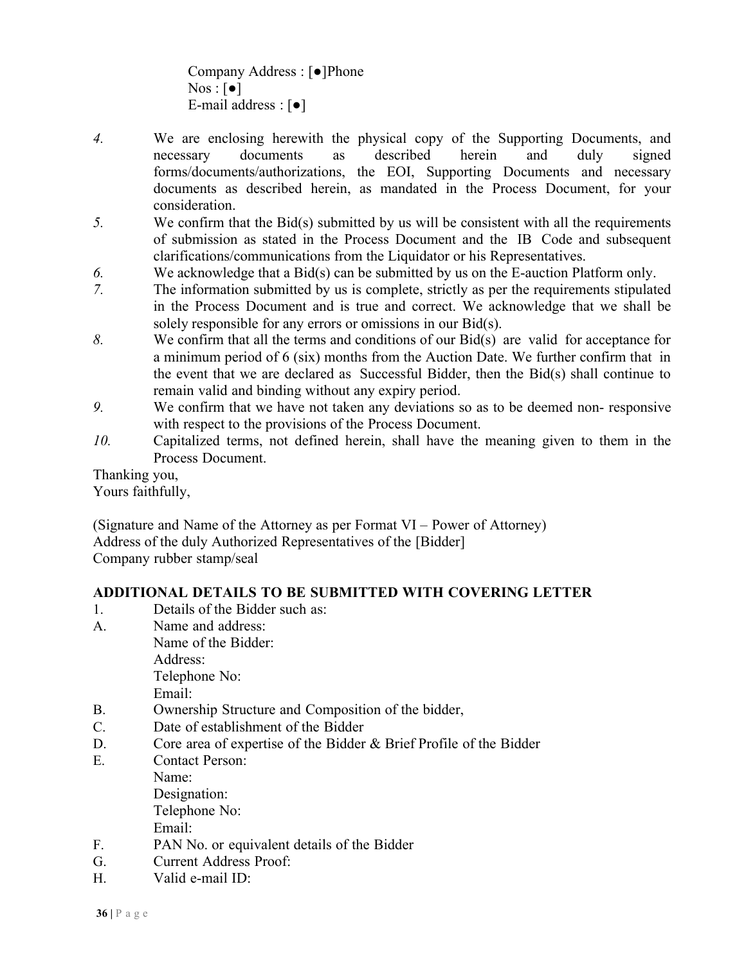Company Address : [●]Phone  $Nos : [\bullet]$ E-mail address : [●]

- *4.* We are enclosing herewith the physical copy of the Supporting Documents, and necessary documents as described herein and duly signed forms/documents/authorizations, the EOI, Supporting Documents and necessary documents as described herein, as mandated in the Process Document, for your consideration.
- *5.* We confirm that the Bid(s) submitted by us will be consistent with all the requirements of submission as stated in the Process Document and the IB Code and subsequent clarifications/communications from the Liquidator or his Representatives.
- *6.* We acknowledge that a Bid(s) can be submitted by us on the E-auction Platform only.
- *7.* The information submitted by us is complete, strictly as per the requirements stipulated in the Process Document and is true and correct. We acknowledge that we shall be solely responsible for any errors or omissions in our Bid(s).
- *8.* We confirm that all the terms and conditions of our Bid(s) are valid for acceptance for a minimum period of 6 (six) months from the Auction Date. We further confirm that in the event that we are declared as Successful Bidder, then the Bid(s) shall continue to remain valid and binding without any expiry period.
- *9.* We confirm that we have not taken any deviations so as to be deemed non- responsive with respect to the provisions of the Process Document.
- *10.* Capitalized terms, not defined herein, shall have the meaning given to them in the Process Document.

Thanking you,

Yours faithfully,

(Signature and Name of the Attorney as per Format VI – Power of Attorney) Address of the duly Authorized Representatives of the [Bidder] Company rubber stamp/seal

## **ADDITIONAL DETAILS TO BE SUBMITTED WITH COVERING LETTER**

- 1. Details of the Bidder such as:
- A. Name and address:

Name of the Bidder: Address: Telephone No:

Email:

- B. Ownership Structure and Composition of the bidder,
- C. Date of establishment of the Bidder
- D. Core area of expertise of the Bidder & Brief Profile of the Bidder
- E. Contact Person:
	- Name: Designation: Telephone No: Email:
- F. PAN No. or equivalent details of the Bidder
- G. Current Address Proof:
- H. Valid e-mail ID: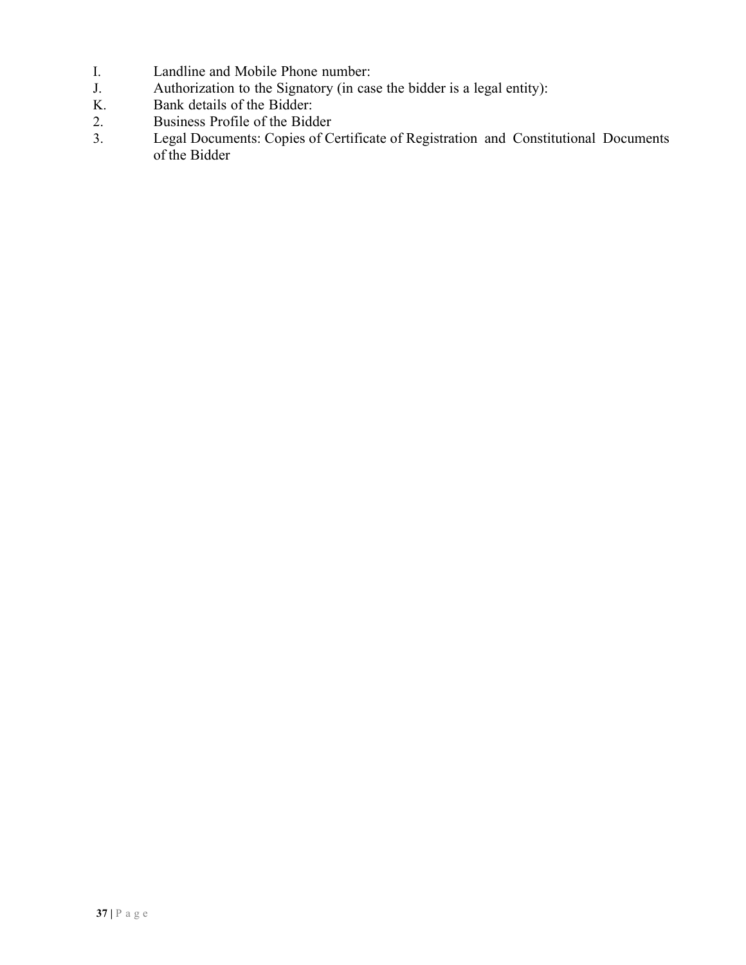- I. Landline and Mobile Phone number:<br>
J. Authorization to the Signatory (in cas
- J. Authorization to the Signatory (in case the bidder is a legal entity):<br>
K. Bank details of the Bidder:
- Bank details of the Bidder:
- 2. Business Profile of the Bidder<br>3. Legal Documents: Copies of Co
- Legal Documents: Copies of Certificate of Registration and Constitutional Documents of the Bidder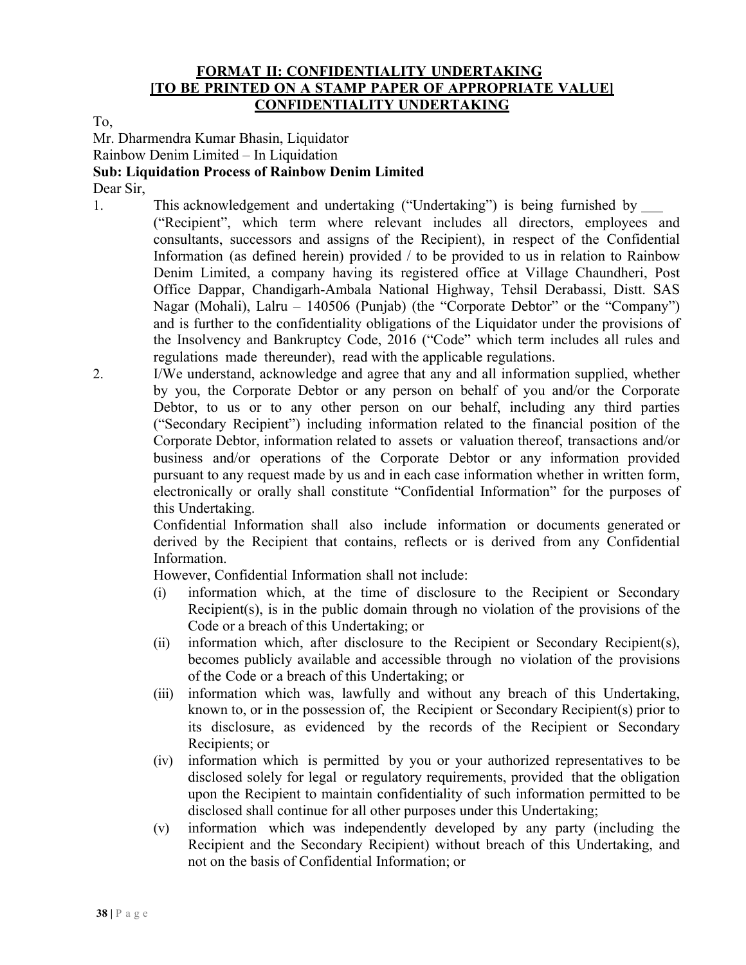#### **FORMAT II: CONFIDENTIALITY UNDERTAKING [TO BE PRINTED ON A STAMP PAPER OF APPROPRIATE VALUE] CONFIDENTIALITY UNDERTAKING**

To,

Mr. Dharmendra Kumar Bhasin, Liquidator

Rainbow Denim Limited – In Liquidation

#### **Sub: Liquidation Process of Rainbow Denim Limited**

Dear Sir,

1. This acknowledgement and undertaking ("Undertaking") is being furnished by

("Recipient", which term where relevant includes all directors, employees and consultants, successors and assigns of the Recipient), in respect of the Confidential Information (as defined herein) provided / to be provided to us in relation to Rainbow Denim Limited, a company having its registered office at Village Chaundheri, Post Office Dappar, Chandigarh-Ambala National Highway, Tehsil Derabassi, Distt. SAS Nagar (Mohali), Lalru – 140506 (Punjab) (the "Corporate Debtor" or the "Company") and is further to the confidentiality obligations of the Liquidator under the provisions of the Insolvency and Bankruptcy Code, 2016 ("Code" which term includes all rules and regulations made thereunder), read with the applicable regulations.

2. I/We understand, acknowledge and agree that any and all information supplied, whether by you, the Corporate Debtor or any person on behalf of you and/or the Corporate Debtor, to us or to any other person on our behalf, including any third parties ("Secondary Recipient") including information related to the financial position of the Corporate Debtor, information related to assets or valuation thereof, transactions and/or business and/or operations of the Corporate Debtor or any information provided pursuant to any request made by us and in each case information whether in written form, electronically or orally shall constitute "Confidential Information" for the purposes of this Undertaking.

> Confidential Information shall also include information or documents generated or derived by the Recipient that contains, reflects or is derived from any Confidential Information.

However, Confidential Information shall not include:

- (i) information which, at the time of disclosure to the Recipient or Secondary Recipient(s), is in the public domain through no violation of the provisions of the Code or a breach of this Undertaking; or
- (ii) information which, after disclosure to the Recipient or Secondary Recipient(s), becomes publicly available and accessible through no violation of the provisions of the Code or a breach of this Undertaking; or
- (iii) information which was, lawfully and without any breach of this Undertaking, known to, or in the possession of, the Recipient or Secondary Recipient(s) prior to its disclosure, as evidenced by the records of the Recipient or Secondary Recipients; or
- (iv) information which is permitted by you or your authorized representatives to be disclosed solely for legal or regulatory requirements, provided that the obligation upon the Recipient to maintain confidentiality of such information permitted to be disclosed shall continue for all other purposes under this Undertaking;
- (v) information which was independently developed by any party (including the Recipient and the Secondary Recipient) without breach of this Undertaking, and not on the basis of Confidential Information; or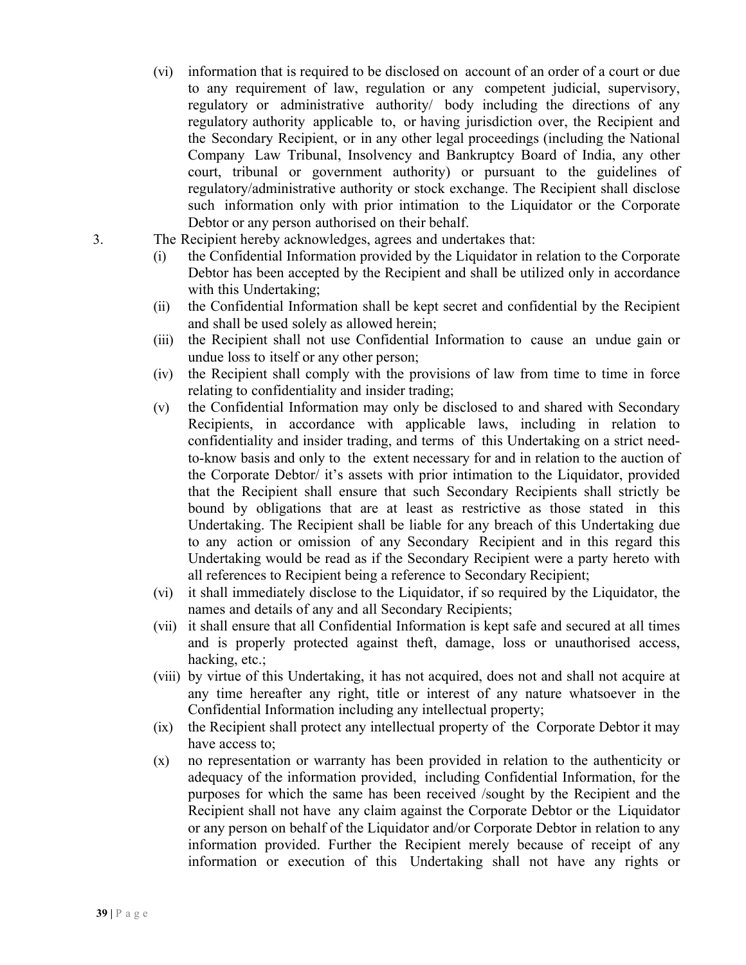- (vi) information that is required to be disclosed on account of an order of a court or due to any requirement of law, regulation or any competent judicial, supervisory, regulatory or administrative authority/ body including the directions of any regulatory authority applicable to, or having jurisdiction over, the Recipient and the Secondary Recipient, or in any other legal proceedings (including the National Company Law Tribunal, Insolvency and Bankruptcy Board of India, any other court, tribunal or government authority) or pursuant to the guidelines of regulatory/administrative authority or stock exchange. The Recipient shall disclose such information only with prior intimation to the Liquidator or the Corporate Debtor or any person authorised on their behalf.
- 3. The Recipient hereby acknowledges, agrees and undertakes that:
	- (i) the Confidential Information provided by the Liquidator in relation to the Corporate Debtor has been accepted by the Recipient and shall be utilized only in accordance with this Undertaking;
	- (ii) the Confidential Information shall be kept secret and confidential by the Recipient and shall be used solely as allowed herein;
	- (iii) the Recipient shall not use Confidential Information to cause an undue gain or undue loss to itself or any other person;
	- (iv) the Recipient shall comply with the provisions of law from time to time in force relating to confidentiality and insider trading;
	- (v) the Confidential Information may only be disclosed to and shared with Secondary Recipients, in accordance with applicable laws, including in relation to confidentiality and insider trading, and terms of this Undertaking on a strict needto-know basis and only to the extent necessary for and in relation to the auction of the Corporate Debtor/ it's assets with prior intimation to the Liquidator, provided that the Recipient shall ensure that such Secondary Recipients shall strictly be bound by obligations that are at least as restrictive as those stated in this Undertaking. The Recipient shall be liable for any breach of this Undertaking due to any action or omission of any Secondary Recipient and in this regard this Undertaking would be read as if the Secondary Recipient were a party hereto with all references to Recipient being a reference to Secondary Recipient;
	- (vi) it shall immediately disclose to the Liquidator, if so required by the Liquidator, the names and details of any and all Secondary Recipients;
	- (vii) it shall ensure that all Confidential Information is kept safe and secured at all times and is properly protected against theft, damage, loss or unauthorised access, hacking, etc.;
	- (viii) by virtue of this Undertaking, it has not acquired, does not and shall not acquire at any time hereafter any right, title or interest of any nature whatsoever in the Confidential Information including any intellectual property;
	- (ix) the Recipient shall protect any intellectual property of the Corporate Debtor it may have access to;
	- (x) no representation or warranty has been provided in relation to the authenticity or adequacy of the information provided, including Confidential Information, for the purposes for which the same has been received /sought by the Recipient and the Recipient shall not have any claim against the Corporate Debtor or the Liquidator or any person on behalf of the Liquidator and/or Corporate Debtor in relation to any information provided. Further the Recipient merely because of receipt of any information or execution of this Undertaking shall not have any rights or

**39 |** P a g e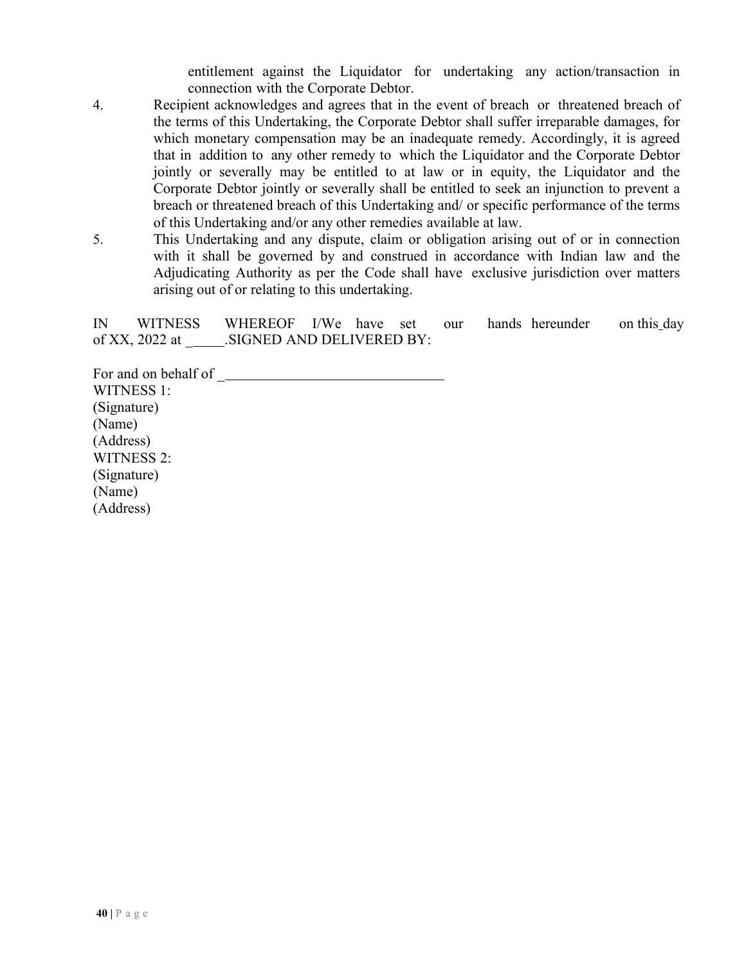entitlement against the Liquidator for undertaking any action/transaction in connection with the Corporate Debtor.

- 4. Recipient acknowledges and agrees that in the event of breach or threatened breach of the terms of this Undertaking, the Corporate Debtor shall suffer irreparable damages, for which monetary compensation may be an inadequate remedy. Accordingly, it is agreed that in addition to any other remedy to which the Liquidator and the Corporate Debtor jointly or severally may be entitled to at law or in equity, the Liquidator and the Corporate Debtor jointly or severally shall be entitled to seek an injunction to prevent a breach or threatened breach of this Undertaking and/ or specific performance of the terms of this Undertaking and/or any other remedies available at law.
- 5. This Undertaking and any dispute, claim or obligation arising out of or in connection with it shall be governed by and construed in accordance with Indian law and the Adjudicating Authority as per the Code shall have exclusive jurisdiction over matters arising out of or relating to this undertaking.

IN WITNESS WHEREOF I/We have set our hands hereunder on this day of XX, 2022 at .SIGNED AND DELIVERED BY:

For and on behalf of \_ WITNESS 1: (Signature) (Name) (Address) WITNESS 2: (Signature) (Name) (Address)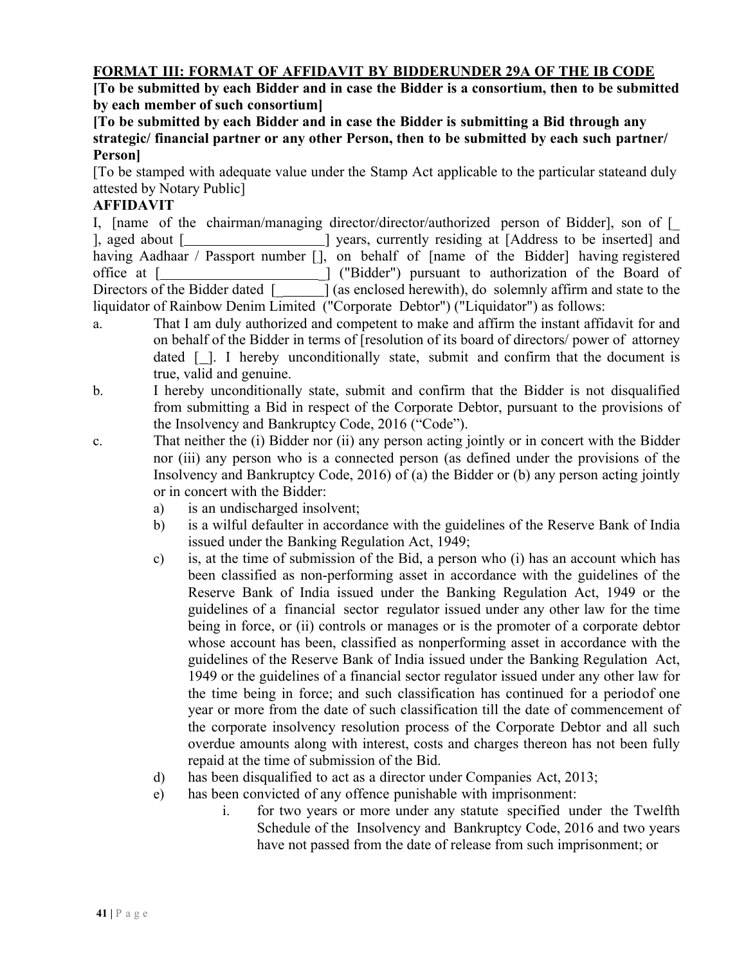#### **FORMAT III: FORMAT OF AFFIDAVIT BY BIDDERUNDER 29A OF THE IB CODE**

**[To be submitted by each Bidder and in case the Bidder is a consortium, then to be submitted by each member of such consortium]**

**[To be submitted by each Bidder and in case the Bidder is submitting a Bid through any strategic/ financial partner or any other Person, then to be submitted by each such partner/ Person]**

[To be stamped with adequate value under the Stamp Act applicable to the particular stateand duly attested by Notary Public]

#### **AFFIDAVIT**

I, [name of the chairman/managing director/director/authorized person of Bidder], son of [\_ ], aged about [\_\_\_\_\_\_\_\_\_\_\_\_\_\_\_\_\_\_\_\_\_] years, currently residing at [Address to be inserted] and having Aadhaar / Passport number [], on behalf of [name of the Bidder] having registered office at [**widter**] ("Bidder") pursuant to authorization of the Board of Directors of the Bidder dated [2004] (as enclosed herewith), do solemnly affirm and state to the liquidator of Rainbow Denim Limited ("Corporate Debtor") ("Liquidator") as follows:

- a. That I am duly authorized and competent to make and affirm the instant affidavit for and on behalf of the Bidder in terms of [resolution of its board of directors/ power of attorney dated  $\lceil \cdot \rceil$ . I hereby unconditionally state, submit and confirm that the document is true, valid and genuine.
- b. I hereby unconditionally state, submit and confirm that the Bidder is not disqualified from submitting a Bid in respect of the Corporate Debtor, pursuant to the provisions of the Insolvency and Bankruptcy Code, 2016 ("Code").
- c. That neither the (i) Bidder nor (ii) any person acting jointly or in concert with the Bidder nor (iii) any person who is a connected person (as defined under the provisions of the Insolvency and Bankruptcy Code, 2016) of (a) the Bidder or (b) any person acting jointly or in concert with the Bidder:
	- a) is an undischarged insolvent;
	- b) is a wilful defaulter in accordance with the guidelines of the Reserve Bank of India issued under the Banking Regulation Act, 1949;
	- c) is, at the time of submission of the Bid, a person who (i) has an account which has been classified as non-performing asset in accordance with the guidelines of the Reserve Bank of India issued under the Banking Regulation Act, 1949 or the guidelines of a financial sector regulator issued under any other law for the time being in force, or (ii) controls or manages or is the promoter of a corporate debtor whose account has been, classified as nonperforming asset in accordance with the guidelines of the Reserve Bank of India issued under the Banking Regulation Act, 1949 or the guidelines of a financial sector regulator issued under any other law for the time being in force; and such classification has continued for a periodof one year or more from the date of such classification till the date of commencement of the corporate insolvency resolution process of the Corporate Debtor and all such overdue amounts along with interest, costs and charges thereon has not been fully repaid at the time of submission of the Bid.
	- d) has been disqualified to act as a director under Companies Act, 2013;
	- e) has been convicted of any offence punishable with imprisonment:
		- i. for two years or more under any statute specified under the Twelfth Schedule of the Insolvency and Bankruptcy Code, 2016 and two years have not passed from the date of release from such imprisonment; or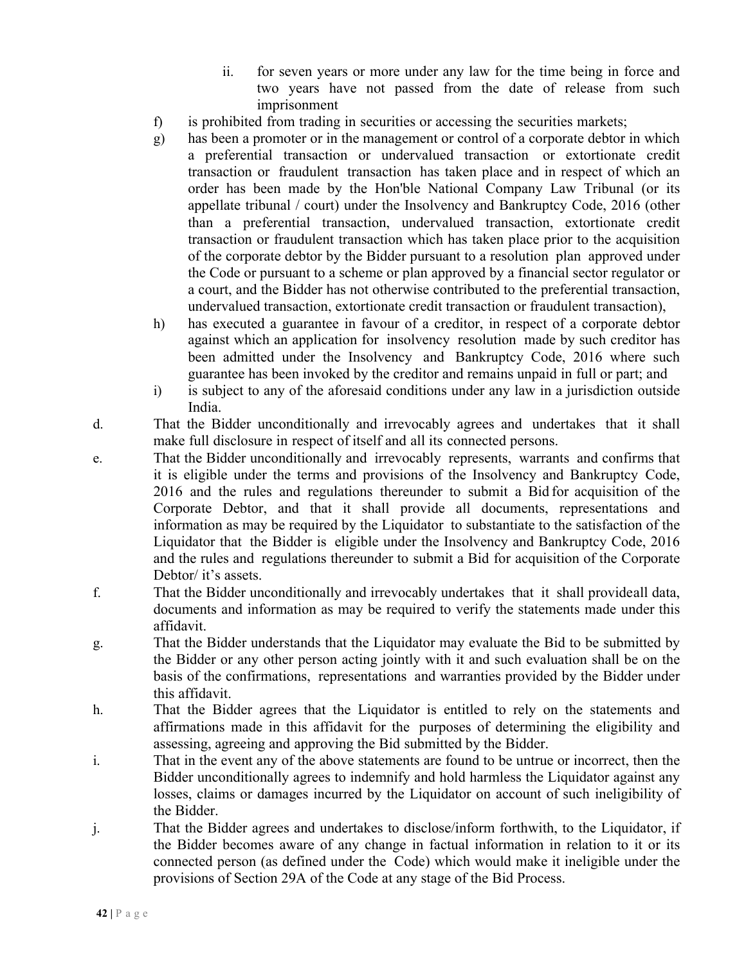- ii. for seven years or more under any law for the time being in force and two years have not passed from the date of release from such imprisonment
- f) is prohibited from trading in securities or accessing the securities markets;
- g) has been a promoter or in the management or control of a corporate debtor in which a preferential transaction or undervalued transaction or extortionate credit transaction or fraudulent transaction has taken place and in respect of which an order has been made by the Hon'ble National Company Law Tribunal (or its appellate tribunal / court) under the Insolvency and Bankruptcy Code, 2016 (other than a preferential transaction, undervalued transaction, extortionate credit transaction or fraudulent transaction which has taken place prior to the acquisition of the corporate debtor by the Bidder pursuant to a resolution plan approved under the Code or pursuant to a scheme or plan approved by a financial sector regulator or a court, and the Bidder has not otherwise contributed to the preferential transaction, undervalued transaction, extortionate credit transaction or fraudulent transaction),
- h) has executed a guarantee in favour of a creditor, in respect of a corporate debtor against which an application for insolvency resolution made by such creditor has been admitted under the Insolvency and Bankruptcy Code, 2016 where such guarantee has been invoked by the creditor and remains unpaid in full or part; and
- i) is subject to any of the aforesaid conditions under any law in a jurisdiction outside India.
- d. That the Bidder unconditionally and irrevocably agrees and undertakes that it shall make full disclosure in respect of itself and all its connected persons.
- e. That the Bidder unconditionally and irrevocably represents, warrants and confirms that it is eligible under the terms and provisions of the Insolvency and Bankruptcy Code, 2016 and the rules and regulations thereunder to submit a Bid for acquisition of the Corporate Debtor, and that it shall provide all documents, representations and information as may be required by the Liquidator to substantiate to the satisfaction of the Liquidator that the Bidder is eligible under the Insolvency and Bankruptcy Code, 2016 and the rules and regulations thereunder to submit a Bid for acquisition of the Corporate Debtor/ it's assets.
- f. That the Bidder unconditionally and irrevocably undertakes that it shall provideall data, documents and information as may be required to verify the statements made under this affidavit.
- g. That the Bidder understands that the Liquidator may evaluate the Bid to be submitted by the Bidder or any other person acting jointly with it and such evaluation shall be on the basis of the confirmations, representations and warranties provided by the Bidder under this affidavit.
- h. That the Bidder agrees that the Liquidator is entitled to rely on the statements and affirmations made in this affidavit for the purposes of determining the eligibility and assessing, agreeing and approving the Bid submitted by the Bidder.
- i. That in the event any of the above statements are found to be untrue or incorrect, then the Bidder unconditionally agrees to indemnify and hold harmless the Liquidator against any losses, claims or damages incurred by the Liquidator on account of such ineligibility of the Bidder.
- j. That the Bidder agrees and undertakes to disclose/inform forthwith, to the Liquidator, if the Bidder becomes aware of any change in factual information in relation to it or its connected person (as defined under the Code) which would make it ineligible under the provisions of Section 29A of the Code at any stage of the Bid Process.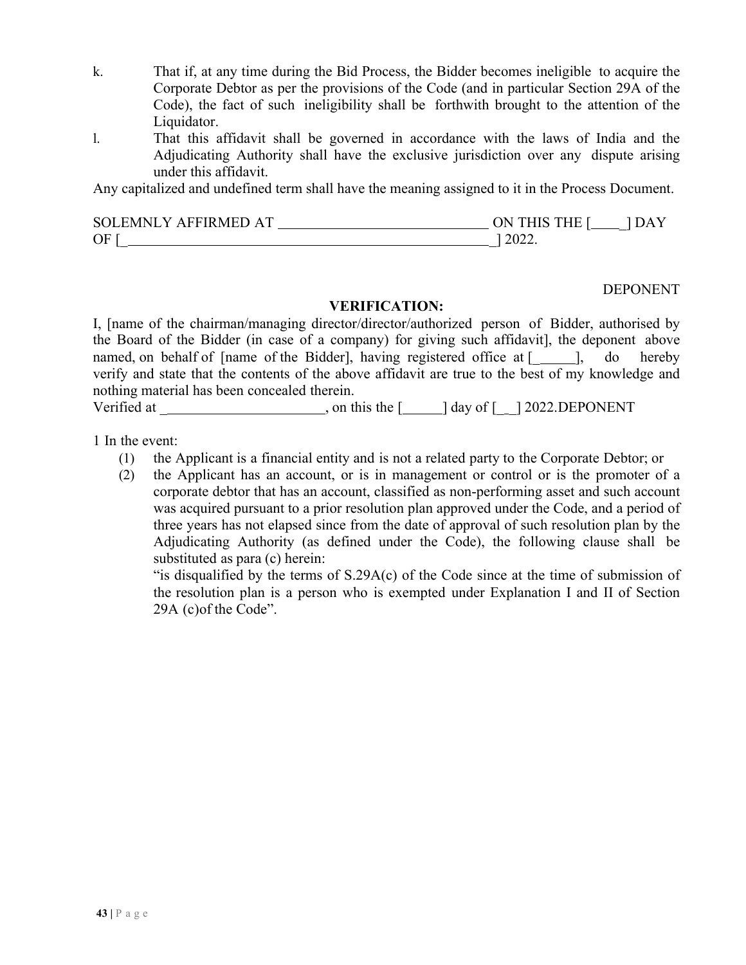- k. That if, at any time during the Bid Process, the Bidder becomes ineligible to acquire the Corporate Debtor as per the provisions of the Code (and in particular Section 29A of the Code), the fact of such ineligibility shall be forthwith brought to the attention of the Liquidator.
- l. That this affidavit shall be governed in accordance with the laws of India and the Adjudicating Authority shall have the exclusive jurisdiction over any dispute arising under this affidavit.

Any capitalized and undefined term shall have the meaning assigned to it in the Process Document.

| SOLEMNLY AFFIRMED AT | ON THIS THE I | DA) |
|----------------------|---------------|-----|
| OF                   | 2022.         |     |

#### DEPONENT

#### **VERIFICATION:**

I, [name of the chairman/managing director/director/authorized person of Bidder, authorised by the Board of the Bidder (in case of a company) for giving such affidavit], the deponent above named, on behalf of [name of the Bidder], having registered office at [ ], do hereby verify and state that the contents of the above affidavit are true to the best of my knowledge and nothing material has been concealed therein.

Verified at \_ , on this the [ ] day of [\_ \_] 2022.DEPONENT

1 In the event:

- (1) the Applicant is a financial entity and is not a related party to the Corporate Debtor; or
- (2) the Applicant has an account, or is in management or control or is the promoter of a corporate debtor that has an account, classified as non-performing asset and such account was acquired pursuant to a prior resolution plan approved under the Code, and a period of three years has not elapsed since from the date of approval of such resolution plan by the Adjudicating Authority (as defined under the Code), the following clause shall be substituted as para (c) herein:

"is disqualified by the terms of S.29A(c) of the Code since at the time of submission of the resolution plan is a person who is exempted under Explanation I and II of Section 29A (c)of the Code".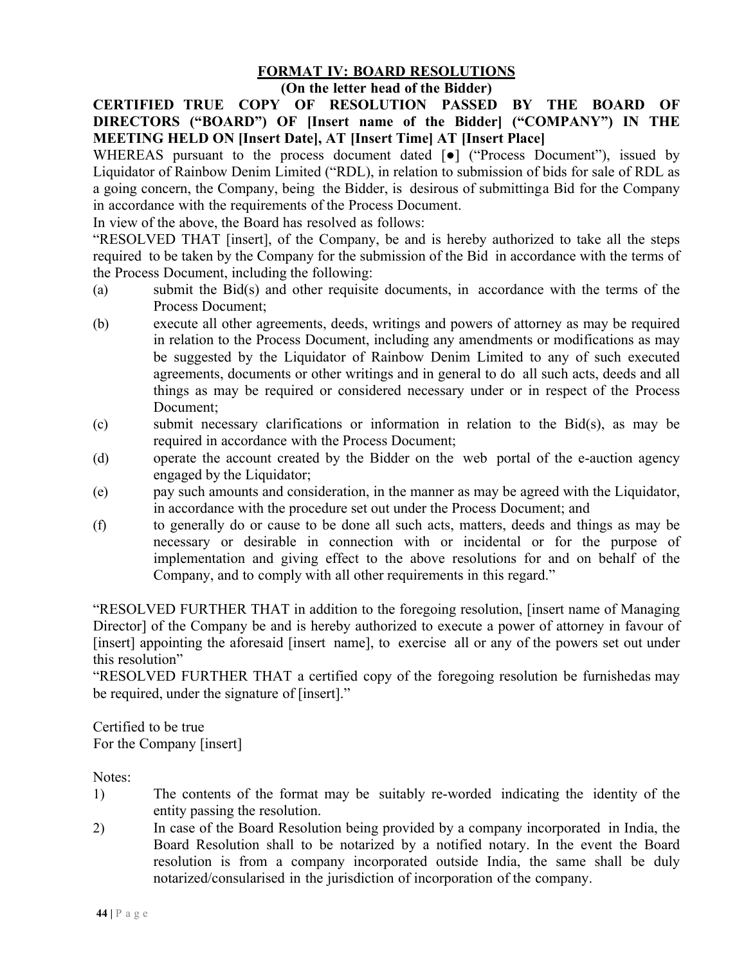## **FORMAT IV: BOARD RESOLUTIONS**

#### **(On the letter head of the Bidder)**

**CERTIFIED TRUE COPY OF RESOLUTION PASSED BY THE BOARD OF DIRECTORS ("BOARD") OF [Insert name of the Bidder] ("COMPANY") IN THE MEETING HELD ON [Insert Date], AT [Insert Time] AT [Insert Place]**

WHEREAS pursuant to the process document dated [ $\bullet$ ] ("Process Document"), issued by Liquidator of Rainbow Denim Limited ("RDL), in relation to submission of bids for sale of RDL as a going concern, the Company, being the Bidder, is desirous of submittinga Bid for the Company in accordance with the requirements of the Process Document.

In view of the above, the Board has resolved as follows:

"RESOLVED THAT [insert], of the Company, be and is hereby authorized to take all the steps required to be taken by the Company for the submission of the Bid in accordance with the terms of the Process Document, including the following:

- (a) submit the Bid(s) and other requisite documents, in accordance with the terms of the Process Document;
- (b) execute all other agreements, deeds, writings and powers of attorney as may be required in relation to the Process Document, including any amendments or modifications as may be suggested by the Liquidator of Rainbow Denim Limited to any of such executed agreements, documents or other writings and in general to do all such acts, deeds and all things as may be required or considered necessary under or in respect of the Process Document;
- (c) submit necessary clarifications or information in relation to the Bid(s), as may be required in accordance with the Process Document;
- (d) operate the account created by the Bidder on the web portal of the e-auction agency engaged by the Liquidator;
- (e) pay such amounts and consideration, in the manner as may be agreed with the Liquidator, in accordance with the procedure set out under the Process Document; and
- (f) to generally do or cause to be done all such acts, matters, deeds and things as may be necessary or desirable in connection with or incidental or for the purpose of implementation and giving effect to the above resolutions for and on behalf of the Company, and to comply with all other requirements in this regard."

"RESOLVED FURTHER THAT in addition to the foregoing resolution, [insert name of Managing Director] of the Company be and is hereby authorized to execute a power of attorney in favour of [insert] appointing the aforesaid [insert name], to exercise all or any of the powers set out under this resolution"

"RESOLVED FURTHER THAT a certified copy of the foregoing resolution be furnishedas may be required, under the signature of [insert]."

Certified to be true For the Company [insert]

Notes:

- 1) The contents of the format may be suitably re-worded indicating the identity of the entity passing the resolution.
- 2) In case of the Board Resolution being provided by a company incorporated in India, the Board Resolution shall to be notarized by a notified notary. In the event the Board resolution is from a company incorporated outside India, the same shall be duly notarized/consularised in the jurisdiction of incorporation of the company.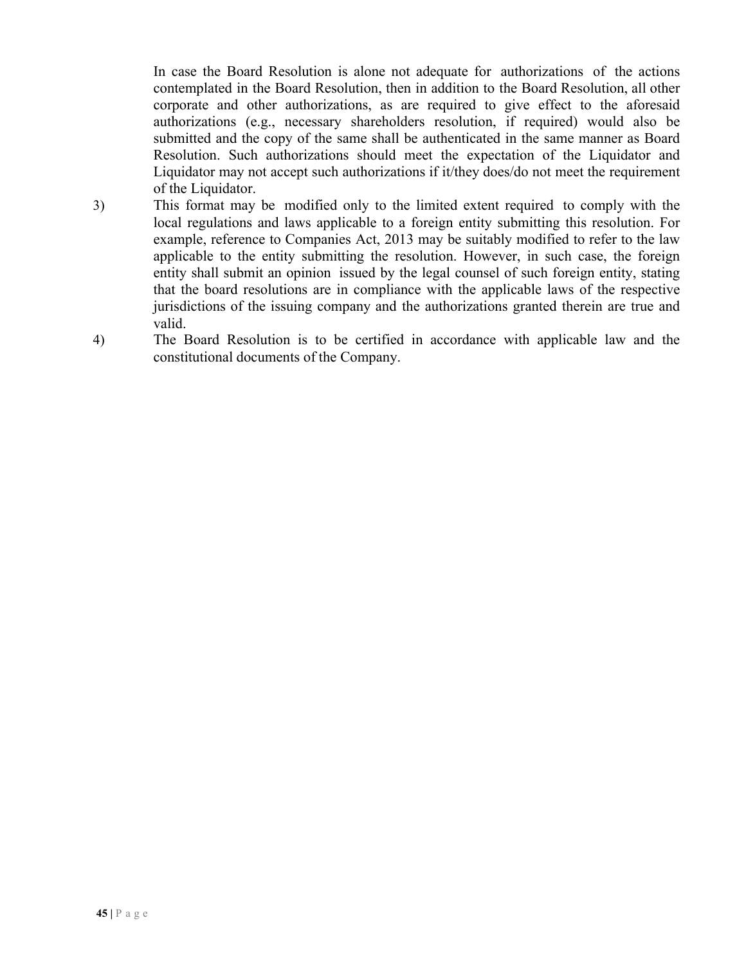In case the Board Resolution is alone not adequate for authorizations of the actions contemplated in the Board Resolution, then in addition to the Board Resolution, all other corporate and other authorizations, as are required to give effect to the aforesaid authorizations (e.g., necessary shareholders resolution, if required) would also be submitted and the copy of the same shall be authenticated in the same manner as Board Resolution. Such authorizations should meet the expectation of the Liquidator and Liquidator may not accept such authorizations if it/they does/do not meet the requirement of the Liquidator.

- 3) This format may be modified only to the limited extent required to comply with the local regulations and laws applicable to a foreign entity submitting this resolution. For example, reference to Companies Act, 2013 may be suitably modified to refer to the law applicable to the entity submitting the resolution. However, in such case, the foreign entity shall submit an opinion issued by the legal counsel of such foreign entity, stating that the board resolutions are in compliance with the applicable laws of the respective jurisdictions of the issuing company and the authorizations granted therein are true and valid.
- 4) The Board Resolution is to be certified in accordance with applicable law and the constitutional documents of the Company.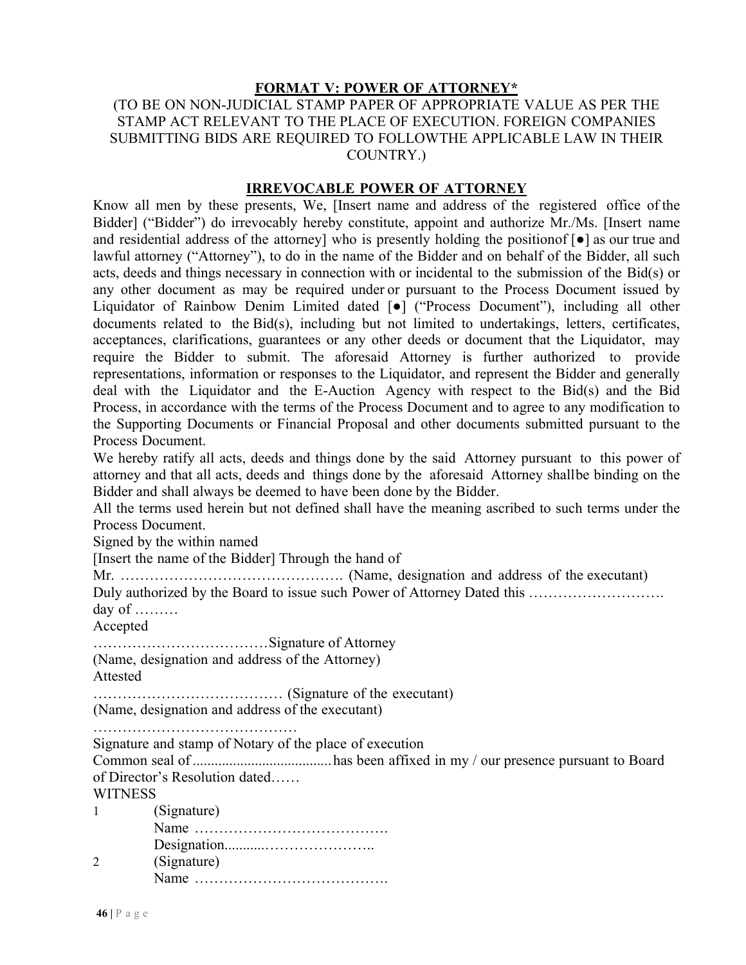#### **FORMAT V: POWER OF ATTORNEY\***

#### (TO BE ON NON-JUDICIAL STAMP PAPER OF APPROPRIATE VALUE AS PER THE STAMP ACT RELEVANT TO THE PLACE OF EXECUTION. FOREIGN COMPANIES SUBMITTING BIDS ARE REQUIRED TO FOLLOWTHE APPLICABLE LAW IN THEIR COUNTRY.)

#### **IRREVOCABLE POWER OF ATTORNEY**

Know all men by these presents, We, [Insert name and address of the registered office of the Bidder] ("Bidder") do irrevocably hereby constitute, appoint and authorize Mr./Ms. [Insert name and residential address of the attorney] who is presently holding the positionof [●] as our true and lawful attorney ("Attorney"), to do in the name of the Bidder and on behalf of the Bidder, all such acts, deeds and things necessary in connection with or incidental to the submission of the Bid(s) or any other document as may be required under or pursuant to the Process Document issued by Liquidator of Rainbow Denim Limited dated [●] ("Process Document"), including all other documents related to the Bid(s), including but not limited to undertakings, letters, certificates, acceptances, clarifications, guarantees or any other deeds or document that the Liquidator, may require the Bidder to submit. The aforesaid Attorney is further authorized to provide representations, information or responses to the Liquidator, and represent the Bidder and generally deal with the Liquidator and the E-Auction Agency with respect to the Bid(s) and the Bid Process, in accordance with the terms of the Process Document and to agree to any modification to the Supporting Documents or Financial Proposal and other documents submitted pursuant to the Process Document.

We hereby ratify all acts, deeds and things done by the said Attorney pursuant to this power of attorney and that all acts, deeds and things done by the aforesaid Attorney shallbe binding on the Bidder and shall always be deemed to have been done by the Bidder.

All the terms used herein but not defined shall have the meaning ascribed to such terms under the Process Document.

Signed by the within named

[Insert the name of the Bidder] Through the hand of

Mr. ………………………………………. (Name, designation and address of the executant)

Duly authorized by the Board to issue such Power of Attorney Dated this ……………………… day of ………

Accepted

………………………………Signature of Attorney

(Name, designation and address of the Attorney)

Attested

………………………………… (Signature of the executant)

(Name, designation and address of the executant)

……………………………………

Signature and stamp of Notary of the place of execution

Common seal of ......................................has been affixed in my / our presence pursuant to Board of Director's Resolution dated……

**WITNESS** 

1 (Signature) Name …………………………………. Designation...........………………….. 2 (Signature) Name ………………………………….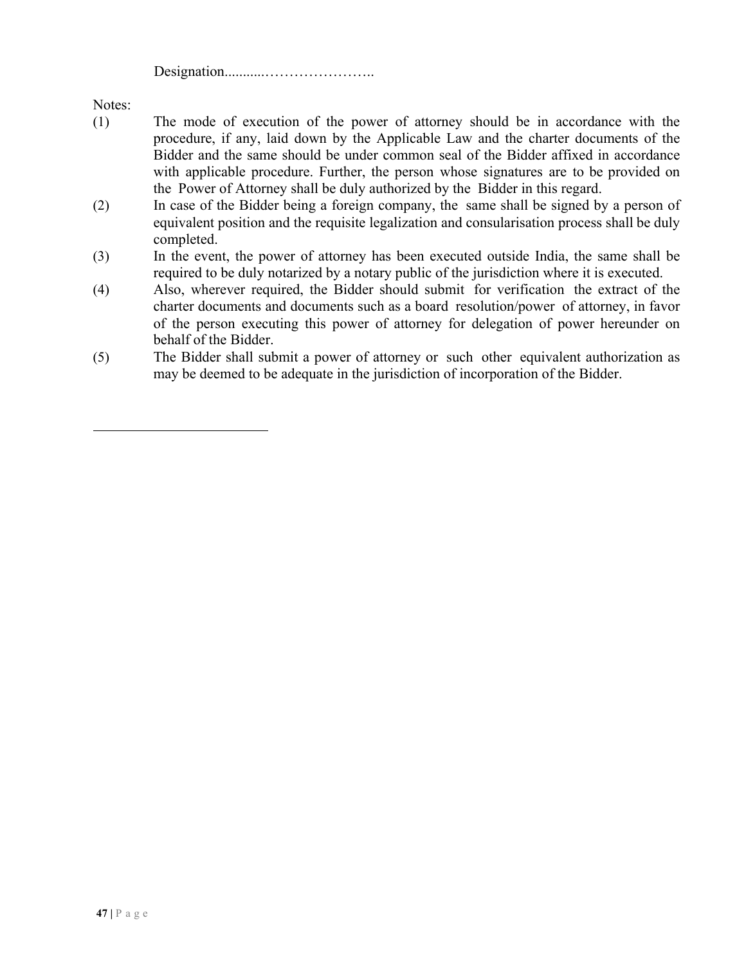Designation...........…………………..

Notes:

- (1) The mode of execution of the power of attorney should be in accordance with the procedure, if any, laid down by the Applicable Law and the charter documents of the Bidder and the same should be under common seal of the Bidder affixed in accordance with applicable procedure. Further, the person whose signatures are to be provided on the Power of Attorney shall be duly authorized by the Bidder in this regard.
- (2) In case of the Bidder being a foreign company, the same shall be signed by a person of equivalent position and the requisite legalization and consularisation process shall be duly completed.
- (3) In the event, the power of attorney has been executed outside India, the same shall be required to be duly notarized by a notary public of the jurisdiction where it is executed.
- (4) Also, wherever required, the Bidder should submit for verification the extract of the charter documents and documents such as a board resolution/power of attorney, in favor of the person executing this power of attorney for delegation of power hereunder on behalf of the Bidder.
- (5) The Bidder shall submit a power of attorney or such other equivalent authorization as may be deemed to be adequate in the jurisdiction of incorporation of the Bidder.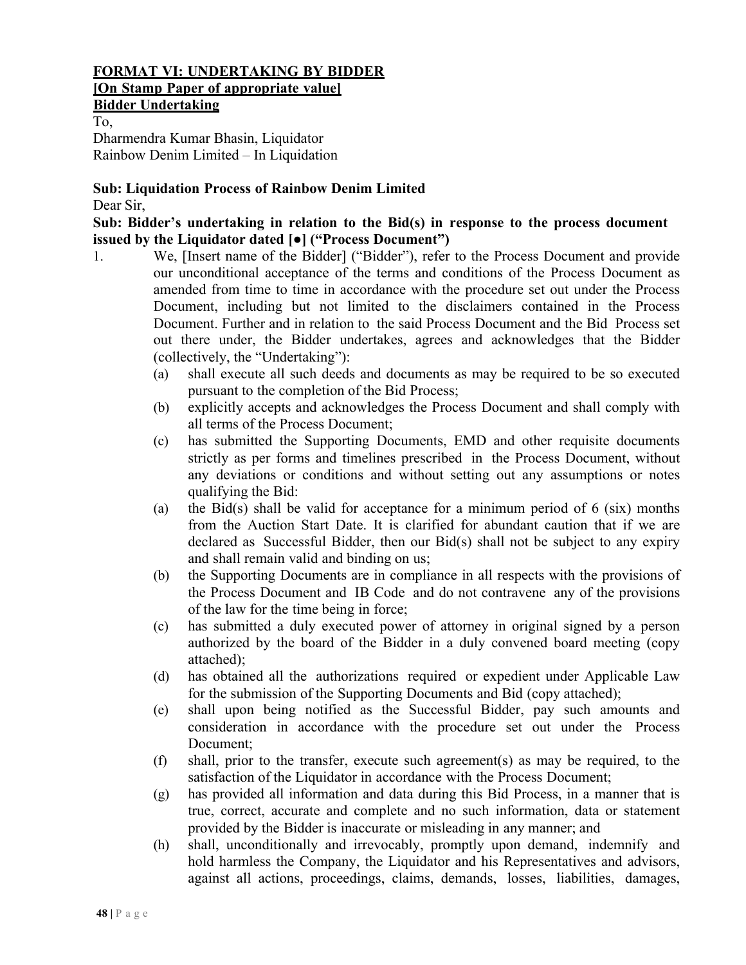#### **FORMAT VI: UNDERTAKING BY BIDDER [On Stamp Paper of appropriate value]**

# **Bidder Undertaking**

To, Dharmendra Kumar Bhasin, Liquidator Rainbow Denim Limited – In Liquidation

# **Sub: Liquidation Process of Rainbow Denim Limited**

Dear Sir,

#### **Sub: Bidder's undertaking in relation to the Bid(s) in response to the process document issued by the Liquidator dated [●] ("Process Document")**

- 1. We, [Insert name of the Bidder] ("Bidder"), refer to the Process Document and provide our unconditional acceptance of the terms and conditions of the Process Document as amended from time to time in accordance with the procedure set out under the Process Document, including but not limited to the disclaimers contained in the Process Document. Further and in relation to the said Process Document and the Bid Process set out there under, the Bidder undertakes, agrees and acknowledges that the Bidder (collectively, the "Undertaking"):
	- (a) shall execute all such deeds and documents as may be required to be so executed pursuant to the completion of the Bid Process;
	- (b) explicitly accepts and acknowledges the Process Document and shall comply with all terms of the Process Document;
	- (c) has submitted the Supporting Documents, EMD and other requisite documents strictly as per forms and timelines prescribed in the Process Document, without any deviations or conditions and without setting out any assumptions or notes qualifying the Bid:
	- (a) the Bid(s) shall be valid for acceptance for a minimum period of  $6$  (six) months from the Auction Start Date. It is clarified for abundant caution that if we are declared as Successful Bidder, then our Bid(s) shall not be subject to any expiry and shall remain valid and binding on us;
	- (b) the Supporting Documents are in compliance in all respects with the provisions of the Process Document and IB Code and do not contravene any of the provisions of the law for the time being in force;
	- (c) has submitted a duly executed power of attorney in original signed by a person authorized by the board of the Bidder in a duly convened board meeting (copy attached);
	- (d) has obtained all the authorizations required or expedient under Applicable Law for the submission of the Supporting Documents and Bid (copy attached);
	- (e) shall upon being notified as the Successful Bidder, pay such amounts and consideration in accordance with the procedure set out under the Process Document;
	- (f) shall, prior to the transfer, execute such agreement(s) as may be required, to the satisfaction of the Liquidator in accordance with the Process Document;
	- (g) has provided all information and data during this Bid Process, in a manner that is true, correct, accurate and complete and no such information, data or statement provided by the Bidder is inaccurate or misleading in any manner; and
	- (h) shall, unconditionally and irrevocably, promptly upon demand, indemnify and hold harmless the Company, the Liquidator and his Representatives and advisors, against all actions, proceedings, claims, demands, losses, liabilities, damages,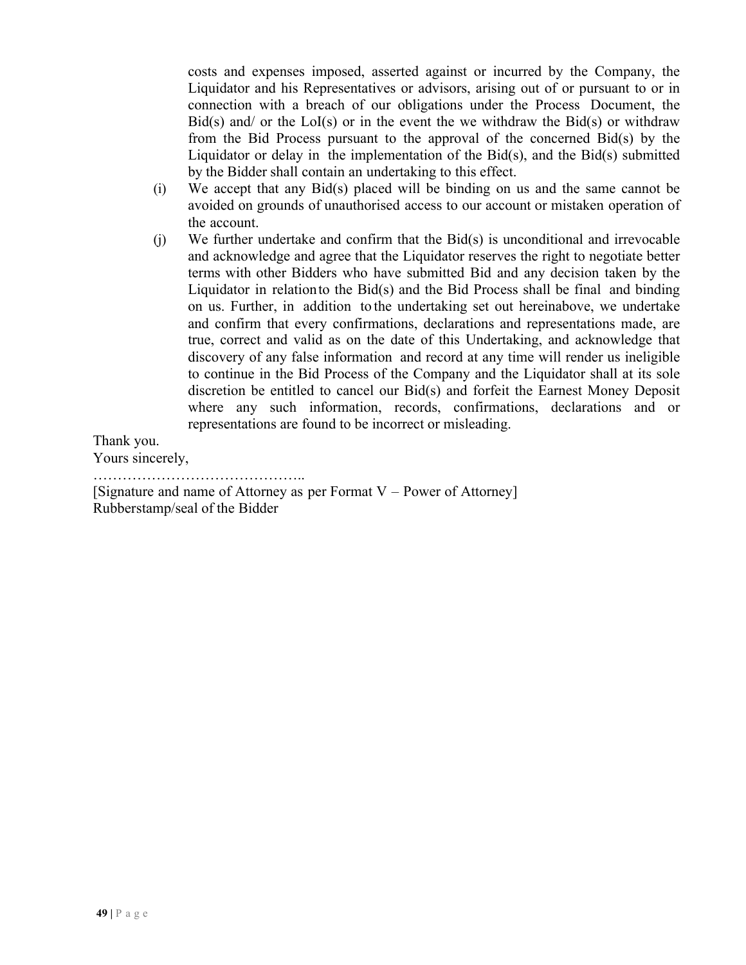costs and expenses imposed, asserted against or incurred by the Company, the Liquidator and his Representatives or advisors, arising out of or pursuant to or in connection with a breach of our obligations under the Process Document, the Bid(s) and/ or the  $LoI(s)$  or in the event the we withdraw the Bid(s) or withdraw from the Bid Process pursuant to the approval of the concerned Bid(s) by the Liquidator or delay in the implementation of the  $Bid(s)$ , and the  $Bid(s)$  submitted by the Bidder shall contain an undertaking to this effect.

- (i) We accept that any Bid(s) placed will be binding on us and the same cannot be avoided on grounds of unauthorised access to our account or mistaken operation of the account.
- (j) We further undertake and confirm that the Bid(s) is unconditional and irrevocable and acknowledge and agree that the Liquidator reserves the right to negotiate better terms with other Bidders who have submitted Bid and any decision taken by the Liquidator in relationto the Bid(s) and the Bid Process shall be final and binding on us. Further, in addition to the undertaking set out hereinabove, we undertake and confirm that every confirmations, declarations and representations made, are true, correct and valid as on the date of this Undertaking, and acknowledge that discovery of any false information and record at any time will render us ineligible to continue in the Bid Process of the Company and the Liquidator shall at its sole discretion be entitled to cancel our Bid(s) and forfeit the Earnest Money Deposit where any such information, records, confirmations, declarations and or representations are found to be incorrect or misleading.

Thank you.

Yours sincerely,

……………………………………..

[Signature and name of Attorney as per Format V – Power of Attorney] Rubberstamp/seal of the Bidder